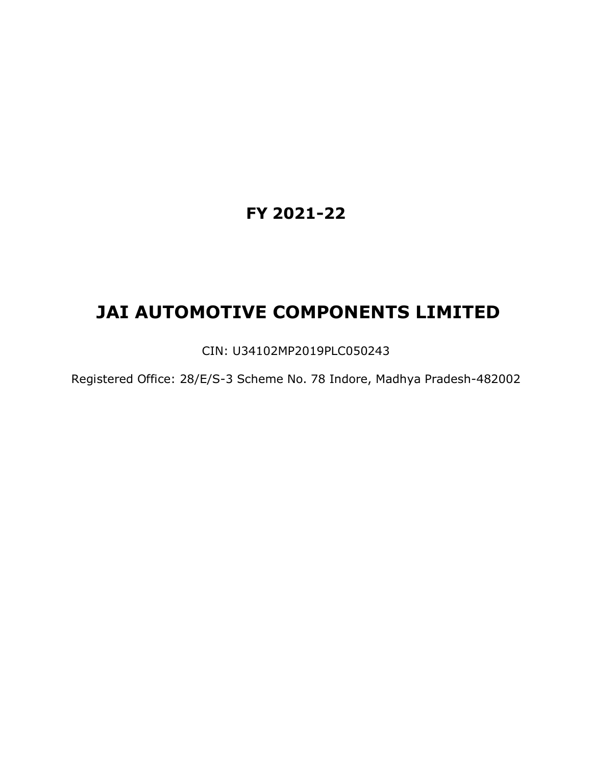## **FY 2021-22**

## **JAI AUTOMOTIVE COMPONENTS LIMITED**

CIN: U34102MP2019PLC050243

Registered Office: 28/E/S-3 Scheme No. 78 Indore, Madhya Pradesh-482002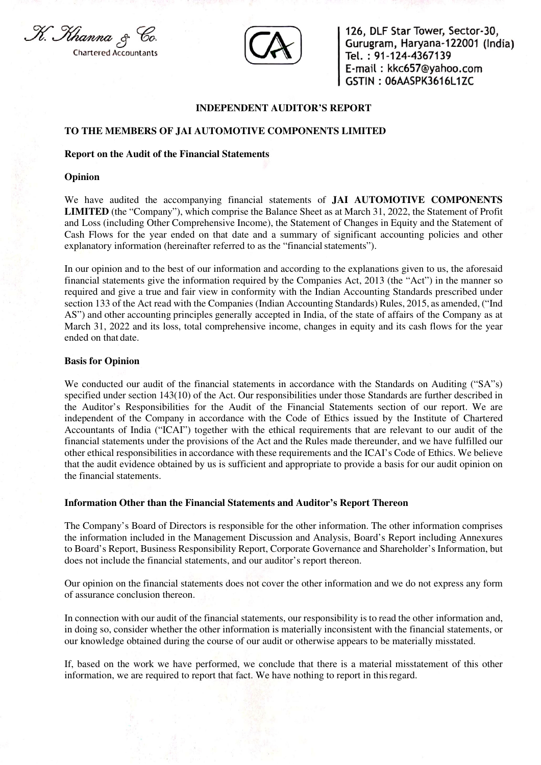K. Khanna & Co. **Chartered Accountants** 



126, DLF Star Tower, Sector-30, Gurugram, Haryana-122001 (India) Tel.: 91-124-4367139 E-mail: kkc657@yahoo.com GSTIN: 06AASPK3616L1ZC

## **INDEPENDENT AUDITOR'S REPORT**

### **TO THE MEMBERS OF JAI AUTOMOTIVE COMPONENTS LIMITED**

## **Report on the Audit of the Financial Statements**

### **Opinion**

We have audited the accompanying financial statements of **JAI AUTOMOTIVE COMPONENTS LIMITED** (the "Company"), which comprise the Balance Sheet as at March 31, 2022, the Statement of Profit and Loss (including Other Comprehensive Income), the Statement of Changes in Equity and the Statement of Cash Flows for the year ended on that date and a summary of significant accounting policies and other explanatory information (hereinafter referred to as the "financial statements").

In our opinion and to the best of our information and according to the explanations given to us, the aforesaid financial statements give the information required by the Companies Act, 2013 (the "Act") in the manner so required and give a true and fair view in conformity with the Indian Accounting Standards prescribed under section 133 of the Act read with the Companies (Indian Accounting Standards) Rules, 2015, as amended, ("Ind AS") and other accounting principles generally accepted in India, of the state of affairs of the Company as at March 31, 2022 and its loss, total comprehensive income, changes in equity and its cash flows for the year ended on that date.

### **Basis for Opinion**

We conducted our audit of the financial statements in accordance with the Standards on Auditing ("SA"s) specified under section 143(10) of the Act. Our responsibilities under those Standards are further described in the Auditor's Responsibilities for the Audit of the Financial Statements section of our report. We are independent of the Company in accordance with the Code of Ethics issued by the Institute of Chartered Accountants of India ("ICAI") together with the ethical requirements that are relevant to our audit of the financial statements under the provisions of the Act and the Rules made thereunder, and we have fulfilled our other ethical responsibilities in accordance with these requirements and the ICAI's Code of Ethics. We believe that the audit evidence obtained by us is sufficient and appropriate to provide a basis for our audit opinion on the financial statements.

### **Information Other than the Financial Statements and Auditor's Report Thereon**

The Company's Board of Directors is responsible for the other information. The other information comprises the information included in the Management Discussion and Analysis, Board's Report including Annexures to Board's Report, Business Responsibility Report, Corporate Governance and Shareholder's Information, but does not include the financial statements, and our auditor's report thereon.

Our opinion on the financial statements does not cover the other information and we do not express any form of assurance conclusion thereon.

In connection with our audit of the financial statements, our responsibility is to read the other information and, in doing so, consider whether the other information is materially inconsistent with the financial statements, or our knowledge obtained during the course of our audit or otherwise appears to be materially misstated.

If, based on the work we have performed, we conclude that there is a material misstatement of this other information, we are required to report that fact. We have nothing to report in this regard.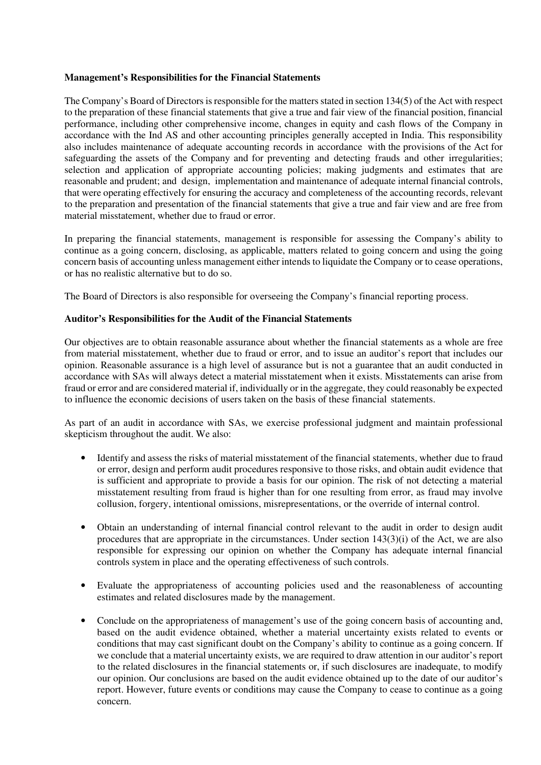## **Management's Responsibilities for the Financial Statements**

The Company's Board of Directors is responsible for the matters stated in section 134(5) of the Act with respect to the preparation of these financial statements that give a true and fair view of the financial position, financial performance, including other comprehensive income, changes in equity and cash flows of the Company in accordance with the Ind AS and other accounting principles generally accepted in India. This responsibility also includes maintenance of adequate accounting records in accordance with the provisions of the Act for safeguarding the assets of the Company and for preventing and detecting frauds and other irregularities; selection and application of appropriate accounting policies; making judgments and estimates that are reasonable and prudent; and design, implementation and maintenance of adequate internal financial controls, that were operating effectively for ensuring the accuracy and completeness of the accounting records, relevant to the preparation and presentation of the financial statements that give a true and fair view and are free from material misstatement, whether due to fraud or error.

In preparing the financial statements, management is responsible for assessing the Company's ability to continue as a going concern, disclosing, as applicable, matters related to going concern and using the going concern basis of accounting unless management either intends to liquidate the Company or to cease operations, or has no realistic alternative but to do so.

The Board of Directors is also responsible for overseeing the Company's financial reporting process.

## **Auditor's Responsibilities for the Audit of the Financial Statements**

Our objectives are to obtain reasonable assurance about whether the financial statements as a whole are free from material misstatement, whether due to fraud or error, and to issue an auditor's report that includes our opinion. Reasonable assurance is a high level of assurance but is not a guarantee that an audit conducted in accordance with SAs will always detect a material misstatement when it exists. Misstatements can arise from fraud or error and are considered material if, individually or in the aggregate, they could reasonably be expected to influence the economic decisions of users taken on the basis of these financial statements.

As part of an audit in accordance with SAs, we exercise professional judgment and maintain professional skepticism throughout the audit. We also:

- Identify and assess the risks of material misstatement of the financial statements, whether due to fraud or error, design and perform audit procedures responsive to those risks, and obtain audit evidence that is sufficient and appropriate to provide a basis for our opinion. The risk of not detecting a material misstatement resulting from fraud is higher than for one resulting from error, as fraud may involve collusion, forgery, intentional omissions, misrepresentations, or the override of internal control.
- Obtain an understanding of internal financial control relevant to the audit in order to design audit procedures that are appropriate in the circumstances. Under section 143(3)(i) of the Act, we are also responsible for expressing our opinion on whether the Company has adequate internal financial controls system in place and the operating effectiveness of such controls.
- Evaluate the appropriateness of accounting policies used and the reasonableness of accounting estimates and related disclosures made by the management.
- Conclude on the appropriateness of management's use of the going concern basis of accounting and, based on the audit evidence obtained, whether a material uncertainty exists related to events or conditions that may cast significant doubt on the Company's ability to continue as a going concern. If we conclude that a material uncertainty exists, we are required to draw attention in our auditor's report to the related disclosures in the financial statements or, if such disclosures are inadequate, to modify our opinion. Our conclusions are based on the audit evidence obtained up to the date of our auditor's report. However, future events or conditions may cause the Company to cease to continue as a going concern.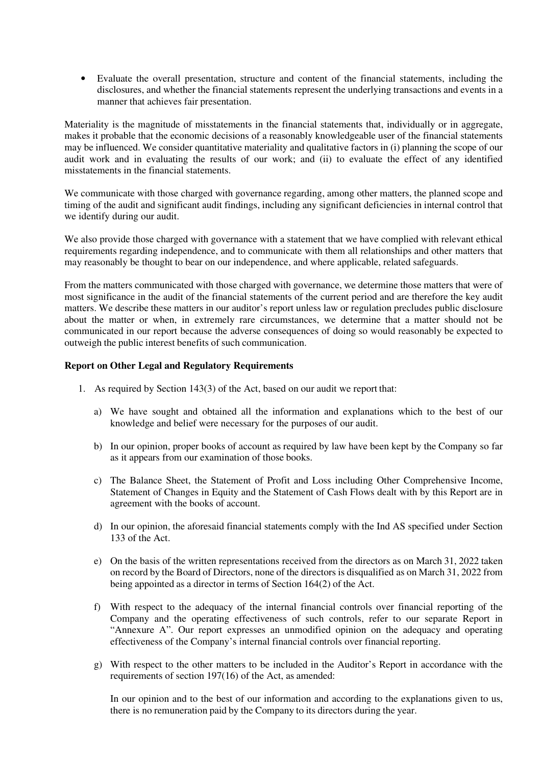• Evaluate the overall presentation, structure and content of the financial statements, including the disclosures, and whether the financial statements represent the underlying transactions and events in a manner that achieves fair presentation.

Materiality is the magnitude of misstatements in the financial statements that, individually or in aggregate, makes it probable that the economic decisions of a reasonably knowledgeable user of the financial statements may be influenced. We consider quantitative materiality and qualitative factors in (i) planning the scope of our audit work and in evaluating the results of our work; and (ii) to evaluate the effect of any identified misstatements in the financial statements.

We communicate with those charged with governance regarding, among other matters, the planned scope and timing of the audit and significant audit findings, including any significant deficiencies in internal control that we identify during our audit.

We also provide those charged with governance with a statement that we have complied with relevant ethical requirements regarding independence, and to communicate with them all relationships and other matters that may reasonably be thought to bear on our independence, and where applicable, related safeguards.

From the matters communicated with those charged with governance, we determine those matters that were of most significance in the audit of the financial statements of the current period and are therefore the key audit matters. We describe these matters in our auditor's report unless law or regulation precludes public disclosure about the matter or when, in extremely rare circumstances, we determine that a matter should not be communicated in our report because the adverse consequences of doing so would reasonably be expected to outweigh the public interest benefits of such communication.

## **Report on Other Legal and Regulatory Requirements**

- 1. As required by Section 143(3) of the Act, based on our audit we report that:
	- a) We have sought and obtained all the information and explanations which to the best of our knowledge and belief were necessary for the purposes of our audit.
	- b) In our opinion, proper books of account as required by law have been kept by the Company so far as it appears from our examination of those books.
	- c) The Balance Sheet, the Statement of Profit and Loss including Other Comprehensive Income, Statement of Changes in Equity and the Statement of Cash Flows dealt with by this Report are in agreement with the books of account.
	- d) In our opinion, the aforesaid financial statements comply with the Ind AS specified under Section 133 of the Act.
	- e) On the basis of the written representations received from the directors as on March 31, 2022 taken on record by the Board of Directors, none of the directors is disqualified as on March 31, 2022 from being appointed as a director in terms of Section 164(2) of the Act.
	- f) With respect to the adequacy of the internal financial controls over financial reporting of the Company and the operating effectiveness of such controls, refer to our separate Report in "Annexure A". Our report expresses an unmodified opinion on the adequacy and operating effectiveness of the Company's internal financial controls over financial reporting.
	- g) With respect to the other matters to be included in the Auditor's Report in accordance with the requirements of section 197(16) of the Act, as amended:

In our opinion and to the best of our information and according to the explanations given to us, there is no remuneration paid by the Company to its directors during the year.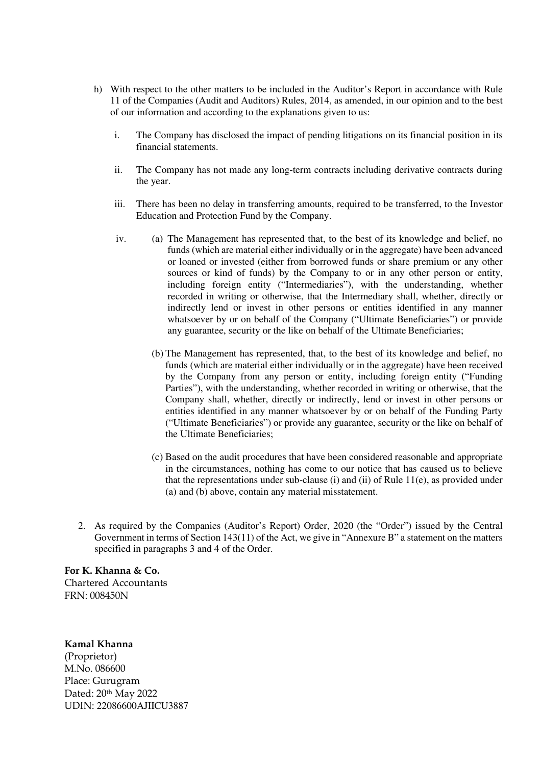- h) With respect to the other matters to be included in the Auditor's Report in accordance with Rule 11 of the Companies (Audit and Auditors) Rules, 2014, as amended, in our opinion and to the best of our information and according to the explanations given to us:
	- i. The Company has disclosed the impact of pending litigations on its financial position in its financial statements.
	- ii. The Company has not made any long-term contracts including derivative contracts during the year.
	- iii. There has been no delay in transferring amounts, required to be transferred, to the Investor Education and Protection Fund by the Company.
	- iv. (a) The Management has represented that, to the best of its knowledge and belief, no funds (which are material either individually or in the aggregate) have been advanced or loaned or invested (either from borrowed funds or share premium or any other sources or kind of funds) by the Company to or in any other person or entity, including foreign entity ("Intermediaries"), with the understanding, whether recorded in writing or otherwise, that the Intermediary shall, whether, directly or indirectly lend or invest in other persons or entities identified in any manner whatsoever by or on behalf of the Company ("Ultimate Beneficiaries") or provide any guarantee, security or the like on behalf of the Ultimate Beneficiaries;
		- (b) The Management has represented, that, to the best of its knowledge and belief, no funds (which are material either individually or in the aggregate) have been received by the Company from any person or entity, including foreign entity ("Funding Parties"), with the understanding, whether recorded in writing or otherwise, that the Company shall, whether, directly or indirectly, lend or invest in other persons or entities identified in any manner whatsoever by or on behalf of the Funding Party ("Ultimate Beneficiaries") or provide any guarantee, security or the like on behalf of the Ultimate Beneficiaries;
		- (c) Based on the audit procedures that have been considered reasonable and appropriate in the circumstances, nothing has come to our notice that has caused us to believe that the representations under sub-clause (i) and (ii) of Rule  $11(e)$ , as provided under (a) and (b) above, contain any material misstatement.
- 2. As required by the Companies (Auditor's Report) Order, 2020 (the "Order") issued by the Central Government in terms of Section 143(11) of the Act, we give in "Annexure B" a statement on the matters specified in paragraphs 3 and 4 of the Order.

**For K. Khanna & Co.**  Chartered Accountants FRN: 008450N

## **Kamal Khanna**

(Proprietor) M.No. 086600 Place: Gurugram Dated: 20th May 2022 UDIN: 22086600AJIICU3887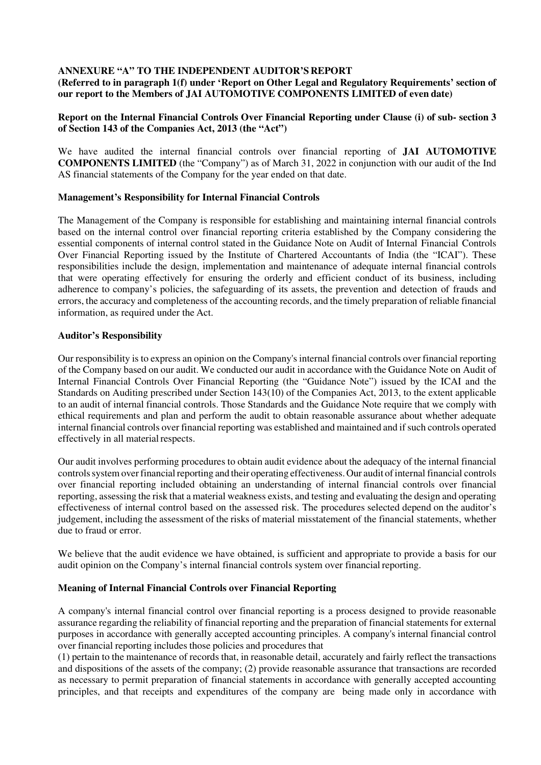## **ANNEXURE "A" TO THE INDEPENDENT AUDITOR'S REPORT**

**(Referred to in paragraph 1(f) under 'Report on Other Legal and Regulatory Requirements' section of our report to the Members of JAI AUTOMOTIVE COMPONENTS LIMITED of even date)** 

## **Report on the Internal Financial Controls Over Financial Reporting under Clause (i) of sub- section 3 of Section 143 of the Companies Act, 2013 (the "Act")**

We have audited the internal financial controls over financial reporting of **JAI AUTOMOTIVE COMPONENTS LIMITED** (the "Company") as of March 31, 2022 in conjunction with our audit of the Ind AS financial statements of the Company for the year ended on that date.

## **Management's Responsibility for Internal Financial Controls**

The Management of the Company is responsible for establishing and maintaining internal financial controls based on the internal control over financial reporting criteria established by the Company considering the essential components of internal control stated in the Guidance Note on Audit of Internal Financial Controls Over Financial Reporting issued by the Institute of Chartered Accountants of India (the "ICAI"). These responsibilities include the design, implementation and maintenance of adequate internal financial controls that were operating effectively for ensuring the orderly and efficient conduct of its business, including adherence to company's policies, the safeguarding of its assets, the prevention and detection of frauds and errors, the accuracy and completeness of the accounting records, and the timely preparation of reliable financial information, as required under the Act.

## **Auditor's Responsibility**

Our responsibility is to express an opinion on the Company's internal financial controls over financial reporting of the Company based on our audit. We conducted our audit in accordance with the Guidance Note on Audit of Internal Financial Controls Over Financial Reporting (the "Guidance Note") issued by the ICAI and the Standards on Auditing prescribed under Section 143(10) of the Companies Act, 2013, to the extent applicable to an audit of internal financial controls. Those Standards and the Guidance Note require that we comply with ethical requirements and plan and perform the audit to obtain reasonable assurance about whether adequate internal financial controls over financial reporting was established and maintained and if such controls operated effectively in all material respects.

Our audit involves performing procedures to obtain audit evidence about the adequacy of the internal financial controls system over financial reporting and their operating effectiveness. Our audit of internal financial controls over financial reporting included obtaining an understanding of internal financial controls over financial reporting, assessing the risk that a material weakness exists, and testing and evaluating the design and operating effectiveness of internal control based on the assessed risk. The procedures selected depend on the auditor's judgement, including the assessment of the risks of material misstatement of the financial statements, whether due to fraud or error.

We believe that the audit evidence we have obtained, is sufficient and appropriate to provide a basis for our audit opinion on the Company's internal financial controls system over financial reporting.

## **Meaning of Internal Financial Controls over Financial Reporting**

A company's internal financial control over financial reporting is a process designed to provide reasonable assurance regarding the reliability of financial reporting and the preparation of financial statements for external purposes in accordance with generally accepted accounting principles. A company's internal financial control over financial reporting includes those policies and procedures that

(1) pertain to the maintenance of records that, in reasonable detail, accurately and fairly reflect the transactions and dispositions of the assets of the company; (2) provide reasonable assurance that transactions are recorded as necessary to permit preparation of financial statements in accordance with generally accepted accounting principles, and that receipts and expenditures of the company are being made only in accordance with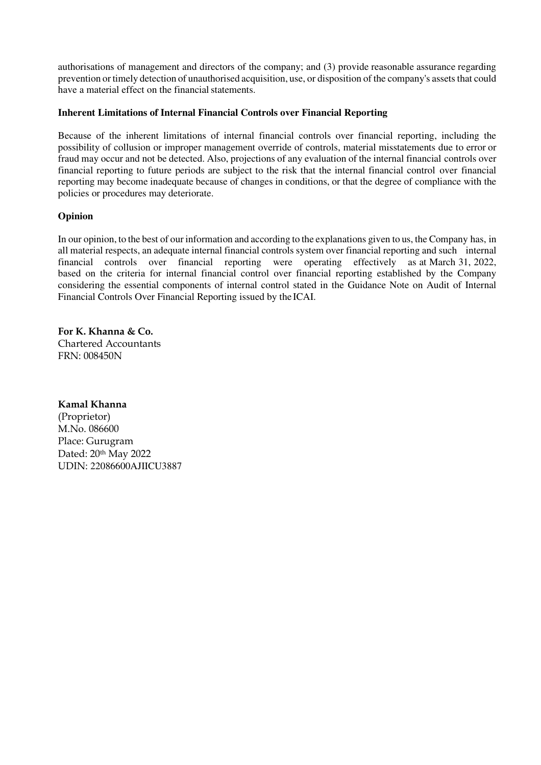authorisations of management and directors of the company; and (3) provide reasonable assurance regarding prevention or timely detection of unauthorised acquisition, use, or disposition of the company's assets that could have a material effect on the financial statements.

## **Inherent Limitations of Internal Financial Controls over Financial Reporting**

Because of the inherent limitations of internal financial controls over financial reporting, including the possibility of collusion or improper management override of controls, material misstatements due to error or fraud may occur and not be detected. Also, projections of any evaluation of the internal financial controls over financial reporting to future periods are subject to the risk that the internal financial control over financial reporting may become inadequate because of changes in conditions, or that the degree of compliance with the policies or procedures may deteriorate.

## **Opinion**

In our opinion, to the best of our information and according to the explanations given to us, the Company has, in all material respects, an adequate internal financial controls system over financial reporting and such internal financial controls over financial reporting were operating effectively as at March 31, 2022, based on the criteria for internal financial control over financial reporting established by the Company considering the essential components of internal control stated in the Guidance Note on Audit of Internal Financial Controls Over Financial Reporting issued by the ICAI.

**For K. Khanna & Co.**  Chartered Accountants FRN: 008450N

**Kamal Khanna**  (Proprietor) M.No. 086600 Place: Gurugram Dated: 20th May 2022 UDIN: 22086600AJIICU3887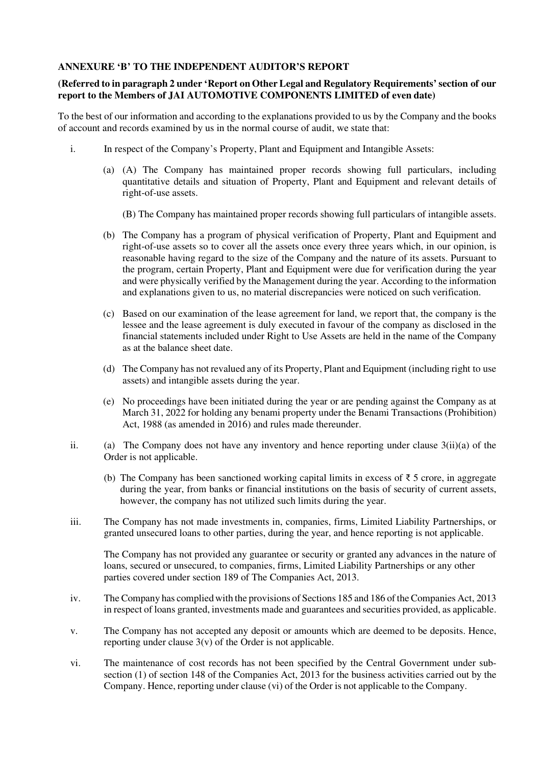## **ANNEXURE 'B' TO THE INDEPENDENT AUDITOR'S REPORT**

## **(Referred to in paragraph 2 under 'Report on Other Legal and Regulatory Requirements' section of our report to the Members of JAI AUTOMOTIVE COMPONENTS LIMITED of even date)**

To the best of our information and according to the explanations provided to us by the Company and the books of account and records examined by us in the normal course of audit, we state that:

- i. In respect of the Company's Property, Plant and Equipment and Intangible Assets:
	- (a) (A) The Company has maintained proper records showing full particulars, including quantitative details and situation of Property, Plant and Equipment and relevant details of right-of-use assets.
		- (B) The Company has maintained proper records showing full particulars of intangible assets.
	- (b) The Company has a program of physical verification of Property, Plant and Equipment and right-of-use assets so to cover all the assets once every three years which, in our opinion, is reasonable having regard to the size of the Company and the nature of its assets. Pursuant to the program, certain Property, Plant and Equipment were due for verification during the year and were physically verified by the Management during the year. According to the information and explanations given to us, no material discrepancies were noticed on such verification.
	- (c) Based on our examination of the lease agreement for land, we report that, the company is the lessee and the lease agreement is duly executed in favour of the company as disclosed in the financial statements included under Right to Use Assets are held in the name of the Company as at the balance sheet date.
	- (d) The Company has not revalued any of its Property, Plant and Equipment (including right to use assets) and intangible assets during the year.
	- (e) No proceedings have been initiated during the year or are pending against the Company as at March 31, 2022 for holding any benami property under the Benami Transactions (Prohibition) Act, 1988 (as amended in 2016) and rules made thereunder.
- ii. (a) The Company does not have any inventory and hence reporting under clause  $3(ii)(a)$  of the Order is not applicable.
	- (b) The Company has been sanctioned working capital limits in excess of  $\bar{z}$  5 crore, in aggregate during the year, from banks or financial institutions on the basis of security of current assets, however, the company has not utilized such limits during the year.
- iii. The Company has not made investments in, companies, firms, Limited Liability Partnerships, or granted unsecured loans to other parties, during the year, and hence reporting is not applicable.

The Company has not provided any guarantee or security or granted any advances in the nature of loans, secured or unsecured, to companies, firms, Limited Liability Partnerships or any other parties covered under section 189 of The Companies Act, 2013.

- iv. The Company has complied with the provisions of Sections 185 and 186 of the Companies Act, 2013 in respect of loans granted, investments made and guarantees and securities provided, as applicable.
- v. The Company has not accepted any deposit or amounts which are deemed to be deposits. Hence, reporting under clause  $3(v)$  of the Order is not applicable.
- vi. The maintenance of cost records has not been specified by the Central Government under subsection (1) of section 148 of the Companies Act, 2013 for the business activities carried out by the Company. Hence, reporting under clause (vi) of the Order is not applicable to the Company.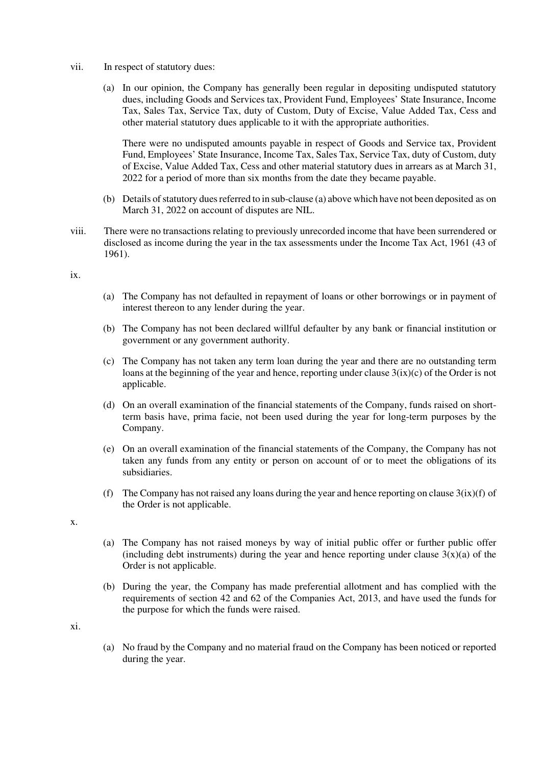- vii. In respect of statutory dues:
	- (a) In our opinion, the Company has generally been regular in depositing undisputed statutory dues, including Goods and Services tax, Provident Fund, Employees' State Insurance, Income Tax, Sales Tax, Service Tax, duty of Custom, Duty of Excise, Value Added Tax, Cess and other material statutory dues applicable to it with the appropriate authorities.

There were no undisputed amounts payable in respect of Goods and Service tax, Provident Fund, Employees' State Insurance, Income Tax, Sales Tax, Service Tax, duty of Custom, duty of Excise, Value Added Tax, Cess and other material statutory dues in arrears as at March 31, 2022 for a period of more than six months from the date they became payable.

- (b) Details of statutory dues referred to in sub-clause (a) above which have not been deposited as on March 31, 2022 on account of disputes are NIL.
- viii. There were no transactions relating to previously unrecorded income that have been surrendered or disclosed as income during the year in the tax assessments under the Income Tax Act, 1961 (43 of 1961).

ix.

- (a) The Company has not defaulted in repayment of loans or other borrowings or in payment of interest thereon to any lender during the year.
- (b) The Company has not been declared willful defaulter by any bank or financial institution or government or any government authority.
- (c) The Company has not taken any term loan during the year and there are no outstanding term loans at the beginning of the year and hence, reporting under clause 3(ix)(c) of the Order is not applicable.
- (d) On an overall examination of the financial statements of the Company, funds raised on shortterm basis have, prima facie, not been used during the year for long-term purposes by the Company.
- (e) On an overall examination of the financial statements of the Company, the Company has not taken any funds from any entity or person on account of or to meet the obligations of its subsidiaries.
- (f) The Company has not raised any loans during the year and hence reporting on clause  $3(ix)(f)$  of the Order is not applicable.

x.

- (a) The Company has not raised moneys by way of initial public offer or further public offer (including debt instruments) during the year and hence reporting under clause  $3(x)(a)$  of the Order is not applicable.
- (b) During the year, the Company has made preferential allotment and has complied with the requirements of section 42 and 62 of the Companies Act, 2013, and have used the funds for the purpose for which the funds were raised.

xi.

(a) No fraud by the Company and no material fraud on the Company has been noticed or reported during the year.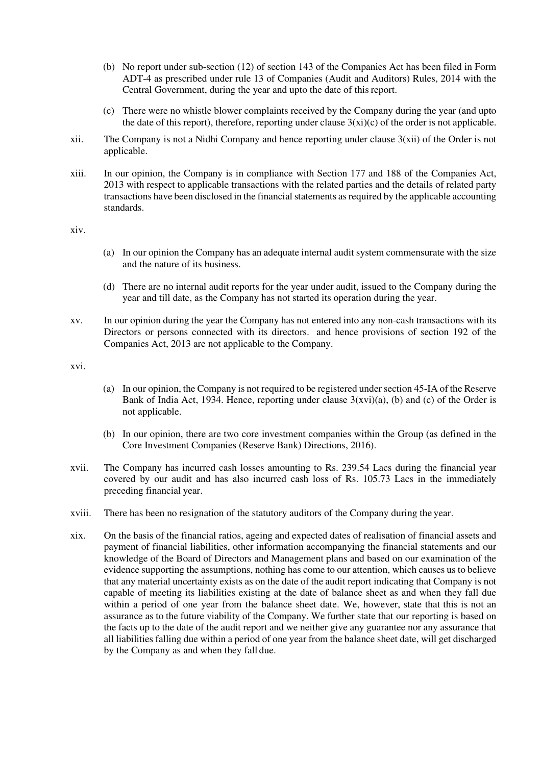- (b) No report under sub-section (12) of section 143 of the Companies Act has been filed in Form ADT-4 as prescribed under rule 13 of Companies (Audit and Auditors) Rules, 2014 with the Central Government, during the year and upto the date of this report.
- (c) There were no whistle blower complaints received by the Company during the year (and upto the date of this report), therefore, reporting under clause  $3(xi)(c)$  of the order is not applicable.
- xii. The Company is not a Nidhi Company and hence reporting under clause 3(xii) of the Order is not applicable.
- xiii. In our opinion, the Company is in compliance with Section 177 and 188 of the Companies Act, 2013 with respect to applicable transactions with the related parties and the details of related party transactions have been disclosed in the financial statements as required by the applicable accounting standards.

xiv.

- (a) In our opinion the Company has an adequate internal audit system commensurate with the size and the nature of its business.
- (d) There are no internal audit reports for the year under audit, issued to the Company during the year and till date, as the Company has not started its operation during the year.
- xv. In our opinion during the year the Company has not entered into any non-cash transactions with its Directors or persons connected with its directors. and hence provisions of section 192 of the Companies Act, 2013 are not applicable to the Company.

xvi.

- (a) In our opinion, the Company is not required to be registered under section 45-IA of the Reserve Bank of India Act, 1934. Hence, reporting under clause  $3(xvi)(a)$ , (b) and (c) of the Order is not applicable.
- (b) In our opinion, there are two core investment companies within the Group (as defined in the Core Investment Companies (Reserve Bank) Directions, 2016).
- xvii. The Company has incurred cash losses amounting to Rs. 239.54 Lacs during the financial year covered by our audit and has also incurred cash loss of Rs. 105.73 Lacs in the immediately preceding financial year.
- xviii. There has been no resignation of the statutory auditors of the Company during the year.
- xix. On the basis of the financial ratios, ageing and expected dates of realisation of financial assets and payment of financial liabilities, other information accompanying the financial statements and our knowledge of the Board of Directors and Management plans and based on our examination of the evidence supporting the assumptions, nothing has come to our attention, which causes us to believe that any material uncertainty exists as on the date of the audit report indicating that Company is not capable of meeting its liabilities existing at the date of balance sheet as and when they fall due within a period of one year from the balance sheet date. We, however, state that this is not an assurance as to the future viability of the Company. We further state that our reporting is based on the facts up to the date of the audit report and we neither give any guarantee nor any assurance that all liabilities falling due within a period of one year from the balance sheet date, will get discharged by the Company as and when they fall due.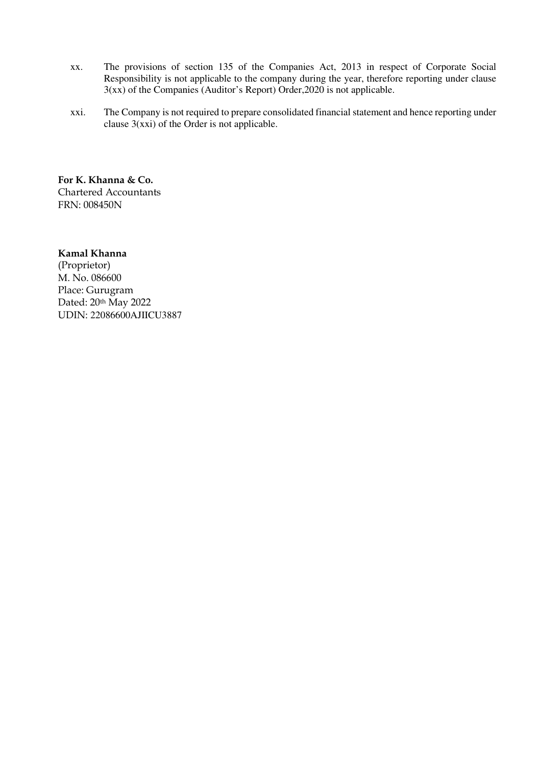- xx. The provisions of section 135 of the Companies Act, 2013 in respect of Corporate Social Responsibility is not applicable to the company during the year, therefore reporting under clause 3(xx) of the Companies (Auditor's Report) Order,2020 is not applicable.
- xxi. The Company is not required to prepare consolidated financial statement and hence reporting under clause 3(xxi) of the Order is not applicable.

**For K. Khanna & Co.**  Chartered Accountants FRN: 008450N

## **Kamal Khanna**

(Proprietor) M. No. 086600 Place: Gurugram Dated: 20th May 2022 UDIN: 22086600AJIICU3887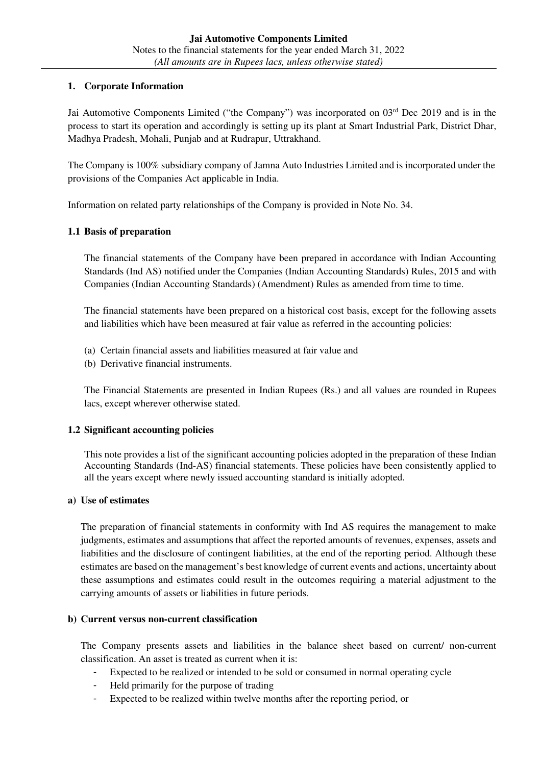## **1. Corporate Information**

Jai Automotive Components Limited ("the Company") was incorporated on 03<sup>rd</sup> Dec 2019 and is in the process to start its operation and accordingly is setting up its plant at Smart Industrial Park, District Dhar, Madhya Pradesh, Mohali, Punjab and at Rudrapur, Uttrakhand.

 The Company is 100% subsidiary company of Jamna Auto Industries Limited and is incorporated under the provisions of the Companies Act applicable in India.

Information on related party relationships of the Company is provided in Note No. 34.

## **1.1 Basis of preparation**

The financial statements of the Company have been prepared in accordance with Indian Accounting Standards (Ind AS) notified under the Companies (Indian Accounting Standards) Rules, 2015 and with Companies (Indian Accounting Standards) (Amendment) Rules as amended from time to time.

The financial statements have been prepared on a historical cost basis, except for the following assets and liabilities which have been measured at fair value as referred in the accounting policies:

- (a) Certain financial assets and liabilities measured at fair value and
- (b) Derivative financial instruments.

The Financial Statements are presented in Indian Rupees (Rs.) and all values are rounded in Rupees lacs, except wherever otherwise stated.

## **1.2 Significant accounting policies**

This note provides a list of the significant accounting policies adopted in the preparation of these Indian Accounting Standards (Ind-AS) financial statements. These policies have been consistently applied to all the years except where newly issued accounting standard is initially adopted.

## **a) Use of estimates**

The preparation of financial statements in conformity with Ind AS requires the management to make judgments, estimates and assumptions that affect the reported amounts of revenues, expenses, assets and liabilities and the disclosure of contingent liabilities, at the end of the reporting period. Although these estimates are based on the management's best knowledge of current events and actions, uncertainty about these assumptions and estimates could result in the outcomes requiring a material adjustment to the carrying amounts of assets or liabilities in future periods.

## **b) Current versus non-current classification**

The Company presents assets and liabilities in the balance sheet based on current/ non-current classification. An asset is treated as current when it is:

- Expected to be realized or intended to be sold or consumed in normal operating cycle
- Held primarily for the purpose of trading
- Expected to be realized within twelve months after the reporting period, or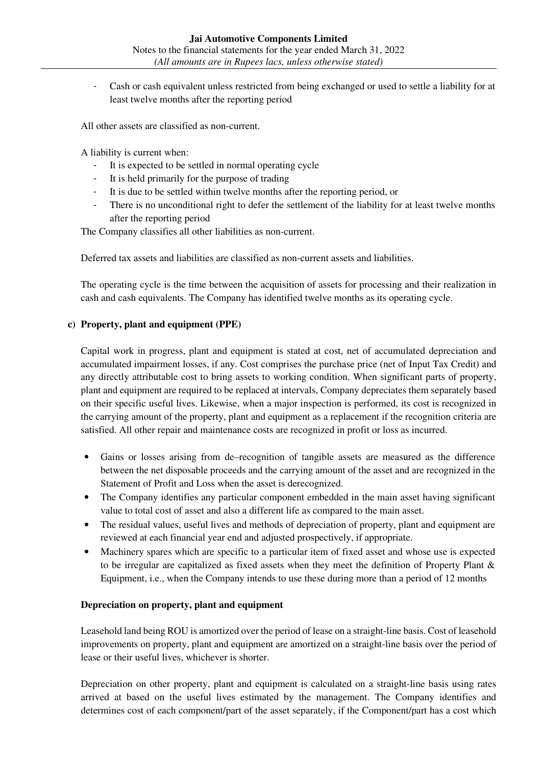- Cash or cash equivalent unless restricted from being exchanged or used to settle a liability for at least twelve months after the reporting period

All other assets are classified as non-current.

A liability is current when:

- It is expected to be settled in normal operating cycle
- It is held primarily for the purpose of trading
- It is due to be settled within twelve months after the reporting period, or
- There is no unconditional right to defer the settlement of the liability for at least twelve months after the reporting period

The Company classifies all other liabilities as non-current.

Deferred tax assets and liabilities are classified as non-current assets and liabilities.

The operating cycle is the time between the acquisition of assets for processing and their realization in cash and cash equivalents. The Company has identified twelve months as its operating cycle.

## **c) Property, plant and equipment (PPE)**

Capital work in progress, plant and equipment is stated at cost, net of accumulated depreciation and accumulated impairment losses, if any. Cost comprises the purchase price (net of Input Tax Credit) and any directly attributable cost to bring assets to working condition. When significant parts of property, plant and equipment are required to be replaced at intervals, Company depreciates them separately based on their specific useful lives. Likewise, when a major inspection is performed, its cost is recognized in the carrying amount of the property, plant and equipment as a replacement if the recognition criteria are satisfied. All other repair and maintenance costs are recognized in profit or loss as incurred.

- Gains or losses arising from de–recognition of tangible assets are measured as the difference between the net disposable proceeds and the carrying amount of the asset and are recognized in the Statement of Profit and Loss when the asset is derecognized.
- The Company identifies any particular component embedded in the main asset having significant value to total cost of asset and also a different life as compared to the main asset.
- The residual values, useful lives and methods of depreciation of property, plant and equipment are reviewed at each financial year end and adjusted prospectively, if appropriate.
- Machinery spares which are specific to a particular item of fixed asset and whose use is expected to be irregular are capitalized as fixed assets when they meet the definition of Property Plant & Equipment, i.e., when the Company intends to use these during more than a period of 12 months

## **Depreciation on property, plant and equipment**

Leasehold land being ROU is amortized over the period of lease on a straight-line basis. Cost of leasehold improvements on property, plant and equipment are amortized on a straight-line basis over the period of lease or their useful lives, whichever is shorter.

Depreciation on other property, plant and equipment is calculated on a straight-line basis using rates arrived at based on the useful lives estimated by the management. The Company identifies and determines cost of each component/part of the asset separately, if the Component/part has a cost which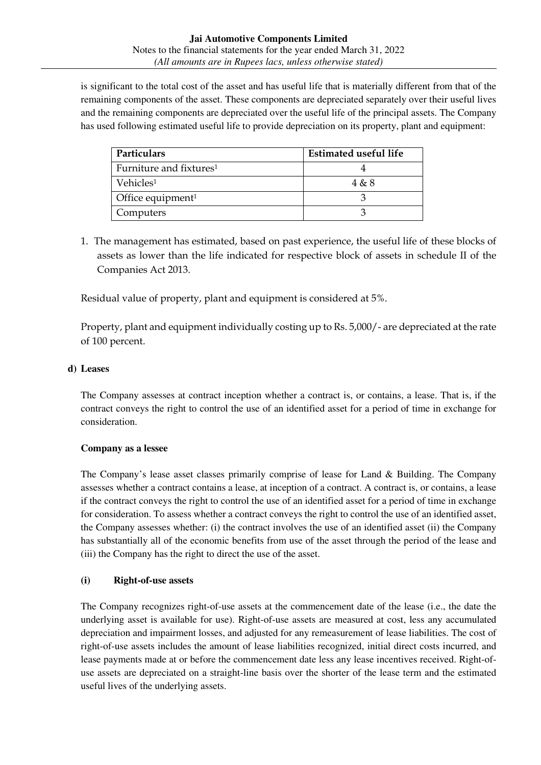is significant to the total cost of the asset and has useful life that is materially different from that of the remaining components of the asset. These components are depreciated separately over their useful lives and the remaining components are depreciated over the useful life of the principal assets. The Company has used following estimated useful life to provide depreciation on its property, plant and equipment:

| Particulars                         | Estimated useful life |
|-------------------------------------|-----------------------|
| Furniture and fixtures <sup>1</sup> |                       |
| Vehicles <sup>1</sup>               | 4 & 8                 |
| Office equipment <sup>1</sup>       |                       |
| Computers                           |                       |

1. The management has estimated, based on past experience, the useful life of these blocks of assets as lower than the life indicated for respective block of assets in schedule II of the Companies Act 2013.

Residual value of property, plant and equipment is considered at 5%.

Property, plant and equipment individually costing up to Rs. 5,000/- are depreciated at the rate of 100 percent.

## **d) Leases**

The Company assesses at contract inception whether a contract is, or contains, a lease. That is, if the contract conveys the right to control the use of an identified asset for a period of time in exchange for consideration.

## **Company as a lessee**

The Company's lease asset classes primarily comprise of lease for Land & Building. The Company assesses whether a contract contains a lease, at inception of a contract. A contract is, or contains, a lease if the contract conveys the right to control the use of an identified asset for a period of time in exchange for consideration. To assess whether a contract conveys the right to control the use of an identified asset, the Company assesses whether: (i) the contract involves the use of an identified asset (ii) the Company has substantially all of the economic benefits from use of the asset through the period of the lease and (iii) the Company has the right to direct the use of the asset.

## **(i) Right-of-use assets**

The Company recognizes right-of-use assets at the commencement date of the lease (i.e., the date the underlying asset is available for use). Right-of-use assets are measured at cost, less any accumulated depreciation and impairment losses, and adjusted for any remeasurement of lease liabilities. The cost of right-of-use assets includes the amount of lease liabilities recognized, initial direct costs incurred, and lease payments made at or before the commencement date less any lease incentives received. Right-ofuse assets are depreciated on a straight-line basis over the shorter of the lease term and the estimated useful lives of the underlying assets.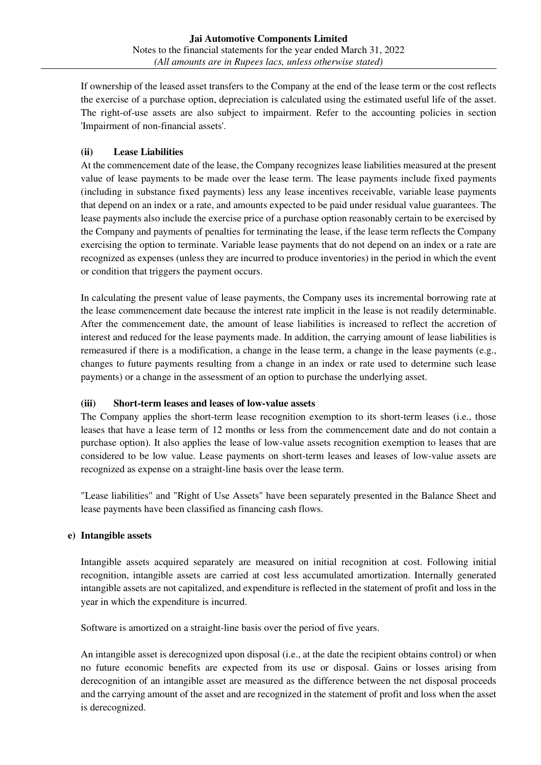If ownership of the leased asset transfers to the Company at the end of the lease term or the cost reflects the exercise of a purchase option, depreciation is calculated using the estimated useful life of the asset. The right-of-use assets are also subject to impairment. Refer to the accounting policies in section 'Impairment of non-financial assets'.

## **(ii) Lease Liabilities**

At the commencement date of the lease, the Company recognizes lease liabilities measured at the present value of lease payments to be made over the lease term. The lease payments include fixed payments (including in substance fixed payments) less any lease incentives receivable, variable lease payments that depend on an index or a rate, and amounts expected to be paid under residual value guarantees. The lease payments also include the exercise price of a purchase option reasonably certain to be exercised by the Company and payments of penalties for terminating the lease, if the lease term reflects the Company exercising the option to terminate. Variable lease payments that do not depend on an index or a rate are recognized as expenses (unless they are incurred to produce inventories) in the period in which the event or condition that triggers the payment occurs.

In calculating the present value of lease payments, the Company uses its incremental borrowing rate at the lease commencement date because the interest rate implicit in the lease is not readily determinable. After the commencement date, the amount of lease liabilities is increased to reflect the accretion of interest and reduced for the lease payments made. In addition, the carrying amount of lease liabilities is remeasured if there is a modification, a change in the lease term, a change in the lease payments (e.g., changes to future payments resulting from a change in an index or rate used to determine such lease payments) or a change in the assessment of an option to purchase the underlying asset.

## **(iii) Short-term leases and leases of low-value assets**

The Company applies the short-term lease recognition exemption to its short-term leases (i.e., those leases that have a lease term of 12 months or less from the commencement date and do not contain a purchase option). It also applies the lease of low-value assets recognition exemption to leases that are considered to be low value. Lease payments on short-term leases and leases of low-value assets are recognized as expense on a straight-line basis over the lease term.

"Lease liabilities" and "Right of Use Assets" have been separately presented in the Balance Sheet and lease payments have been classified as financing cash flows.

## **e) Intangible assets**

Intangible assets acquired separately are measured on initial recognition at cost. Following initial recognition, intangible assets are carried at cost less accumulated amortization. Internally generated intangible assets are not capitalized, and expenditure is reflected in the statement of profit and loss in the year in which the expenditure is incurred.

Software is amortized on a straight-line basis over the period of five years.

An intangible asset is derecognized upon disposal (i.e., at the date the recipient obtains control) or when no future economic benefits are expected from its use or disposal. Gains or losses arising from derecognition of an intangible asset are measured as the difference between the net disposal proceeds and the carrying amount of the asset and are recognized in the statement of profit and loss when the asset is derecognized.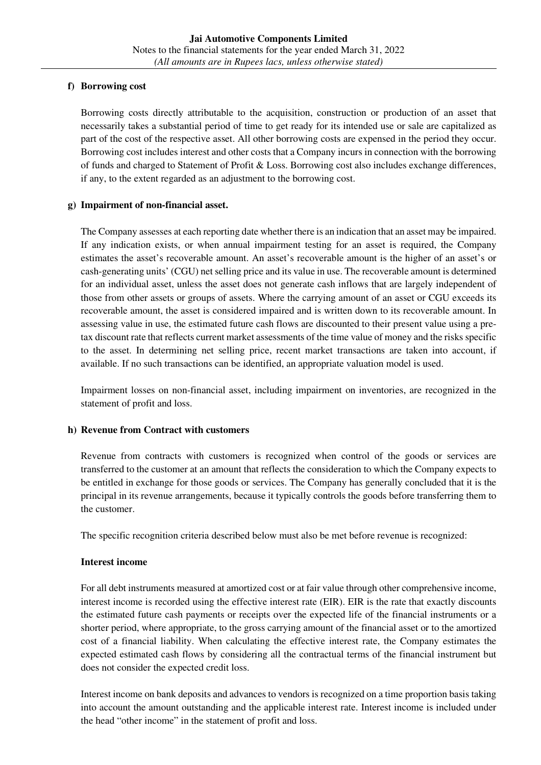## **f) Borrowing cost**

Borrowing costs directly attributable to the acquisition, construction or production of an asset that necessarily takes a substantial period of time to get ready for its intended use or sale are capitalized as part of the cost of the respective asset. All other borrowing costs are expensed in the period they occur. Borrowing cost includes interest and other costs that a Company incurs in connection with the borrowing of funds and charged to Statement of Profit & Loss. Borrowing cost also includes exchange differences, if any, to the extent regarded as an adjustment to the borrowing cost.

## **g) Impairment of non-financial asset.**

The Company assesses at each reporting date whether there is an indication that an asset may be impaired. If any indication exists, or when annual impairment testing for an asset is required, the Company estimates the asset's recoverable amount. An asset's recoverable amount is the higher of an asset's or cash-generating units' (CGU) net selling price and its value in use. The recoverable amount is determined for an individual asset, unless the asset does not generate cash inflows that are largely independent of those from other assets or groups of assets. Where the carrying amount of an asset or CGU exceeds its recoverable amount, the asset is considered impaired and is written down to its recoverable amount. In assessing value in use, the estimated future cash flows are discounted to their present value using a pretax discount rate that reflects current market assessments of the time value of money and the risks specific to the asset. In determining net selling price, recent market transactions are taken into account, if available. If no such transactions can be identified, an appropriate valuation model is used.

Impairment losses on non-financial asset, including impairment on inventories, are recognized in the statement of profit and loss.

## **h) Revenue from Contract with customers**

Revenue from contracts with customers is recognized when control of the goods or services are transferred to the customer at an amount that reflects the consideration to which the Company expects to be entitled in exchange for those goods or services. The Company has generally concluded that it is the principal in its revenue arrangements, because it typically controls the goods before transferring them to the customer.

The specific recognition criteria described below must also be met before revenue is recognized:

## **Interest income**

For all debt instruments measured at amortized cost or at fair value through other comprehensive income, interest income is recorded using the effective interest rate (EIR). EIR is the rate that exactly discounts the estimated future cash payments or receipts over the expected life of the financial instruments or a shorter period, where appropriate, to the gross carrying amount of the financial asset or to the amortized cost of a financial liability. When calculating the effective interest rate, the Company estimates the expected estimated cash flows by considering all the contractual terms of the financial instrument but does not consider the expected credit loss.

Interest income on bank deposits and advances to vendors is recognized on a time proportion basis taking into account the amount outstanding and the applicable interest rate. Interest income is included under the head "other income" in the statement of profit and loss.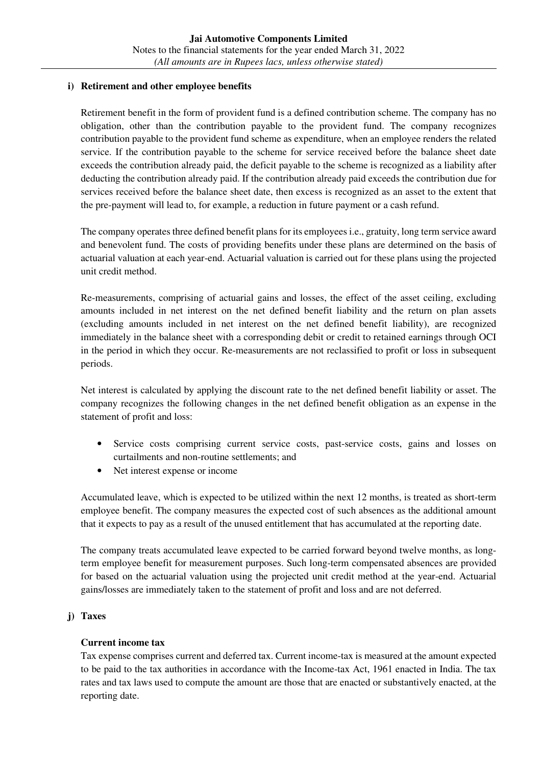## **i) Retirement and other employee benefits**

Retirement benefit in the form of provident fund is a defined contribution scheme. The company has no obligation, other than the contribution payable to the provident fund. The company recognizes contribution payable to the provident fund scheme as expenditure, when an employee renders the related service. If the contribution payable to the scheme for service received before the balance sheet date exceeds the contribution already paid, the deficit payable to the scheme is recognized as a liability after deducting the contribution already paid. If the contribution already paid exceeds the contribution due for services received before the balance sheet date, then excess is recognized as an asset to the extent that the pre-payment will lead to, for example, a reduction in future payment or a cash refund.

The company operates three defined benefit plans for its employees i.e., gratuity, long term service award and benevolent fund. The costs of providing benefits under these plans are determined on the basis of actuarial valuation at each year-end. Actuarial valuation is carried out for these plans using the projected unit credit method.

Re-measurements, comprising of actuarial gains and losses, the effect of the asset ceiling, excluding amounts included in net interest on the net defined benefit liability and the return on plan assets (excluding amounts included in net interest on the net defined benefit liability), are recognized immediately in the balance sheet with a corresponding debit or credit to retained earnings through OCI in the period in which they occur. Re-measurements are not reclassified to profit or loss in subsequent periods.

Net interest is calculated by applying the discount rate to the net defined benefit liability or asset. The company recognizes the following changes in the net defined benefit obligation as an expense in the statement of profit and loss:

- Service costs comprising current service costs, past-service costs, gains and losses on curtailments and non-routine settlements; and
- Net interest expense or income

Accumulated leave, which is expected to be utilized within the next 12 months, is treated as short-term employee benefit. The company measures the expected cost of such absences as the additional amount that it expects to pay as a result of the unused entitlement that has accumulated at the reporting date.

The company treats accumulated leave expected to be carried forward beyond twelve months, as longterm employee benefit for measurement purposes. Such long-term compensated absences are provided for based on the actuarial valuation using the projected unit credit method at the year-end. Actuarial gains/losses are immediately taken to the statement of profit and loss and are not deferred.

## **j) Taxes**

## **Current income tax**

Tax expense comprises current and deferred tax. Current income-tax is measured at the amount expected to be paid to the tax authorities in accordance with the Income-tax Act, 1961 enacted in India. The tax rates and tax laws used to compute the amount are those that are enacted or substantively enacted, at the reporting date.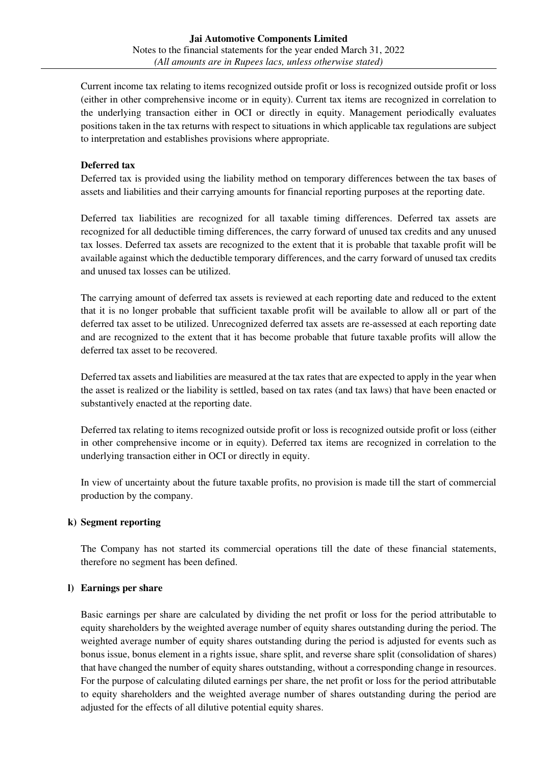Current income tax relating to items recognized outside profit or loss is recognized outside profit or loss (either in other comprehensive income or in equity). Current tax items are recognized in correlation to the underlying transaction either in OCI or directly in equity. Management periodically evaluates positions taken in the tax returns with respect to situations in which applicable tax regulations are subject to interpretation and establishes provisions where appropriate.

## **Deferred tax**

Deferred tax is provided using the liability method on temporary differences between the tax bases of assets and liabilities and their carrying amounts for financial reporting purposes at the reporting date.

Deferred tax liabilities are recognized for all taxable timing differences. Deferred tax assets are recognized for all deductible timing differences, the carry forward of unused tax credits and any unused tax losses. Deferred tax assets are recognized to the extent that it is probable that taxable profit will be available against which the deductible temporary differences, and the carry forward of unused tax credits and unused tax losses can be utilized.

The carrying amount of deferred tax assets is reviewed at each reporting date and reduced to the extent that it is no longer probable that sufficient taxable profit will be available to allow all or part of the deferred tax asset to be utilized. Unrecognized deferred tax assets are re-assessed at each reporting date and are recognized to the extent that it has become probable that future taxable profits will allow the deferred tax asset to be recovered.

Deferred tax assets and liabilities are measured at the tax rates that are expected to apply in the year when the asset is realized or the liability is settled, based on tax rates (and tax laws) that have been enacted or substantively enacted at the reporting date.

Deferred tax relating to items recognized outside profit or loss is recognized outside profit or loss (either in other comprehensive income or in equity). Deferred tax items are recognized in correlation to the underlying transaction either in OCI or directly in equity.

In view of uncertainty about the future taxable profits, no provision is made till the start of commercial production by the company.

## **k) Segment reporting**

The Company has not started its commercial operations till the date of these financial statements, therefore no segment has been defined.

## **l) Earnings per share**

Basic earnings per share are calculated by dividing the net profit or loss for the period attributable to equity shareholders by the weighted average number of equity shares outstanding during the period. The weighted average number of equity shares outstanding during the period is adjusted for events such as bonus issue, bonus element in a rights issue, share split, and reverse share split (consolidation of shares) that have changed the number of equity shares outstanding, without a corresponding change in resources. For the purpose of calculating diluted earnings per share, the net profit or loss for the period attributable to equity shareholders and the weighted average number of shares outstanding during the period are adjusted for the effects of all dilutive potential equity shares.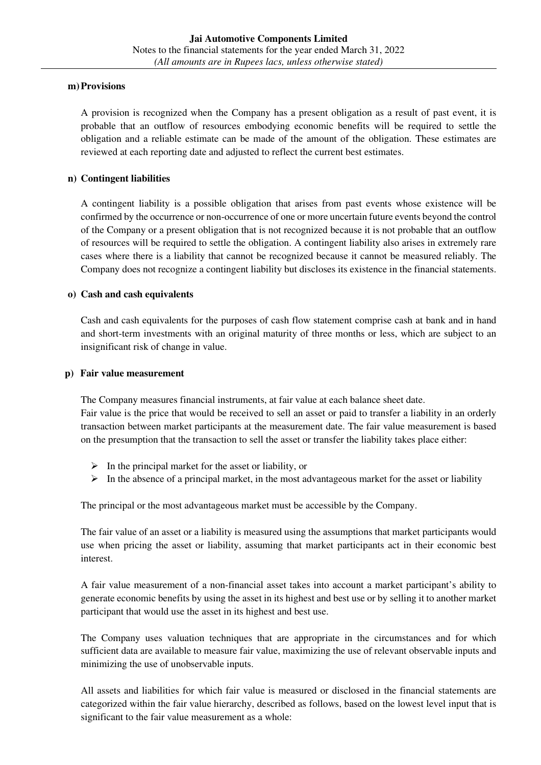## **m)Provisions**

A provision is recognized when the Company has a present obligation as a result of past event, it is probable that an outflow of resources embodying economic benefits will be required to settle the obligation and a reliable estimate can be made of the amount of the obligation. These estimates are reviewed at each reporting date and adjusted to reflect the current best estimates.

## **n) Contingent liabilities**

A contingent liability is a possible obligation that arises from past events whose existence will be confirmed by the occurrence or non-occurrence of one or more uncertain future events beyond the control of the Company or a present obligation that is not recognized because it is not probable that an outflow of resources will be required to settle the obligation. A contingent liability also arises in extremely rare cases where there is a liability that cannot be recognized because it cannot be measured reliably. The Company does not recognize a contingent liability but discloses its existence in the financial statements.

## **o) Cash and cash equivalents**

Cash and cash equivalents for the purposes of cash flow statement comprise cash at bank and in hand and short-term investments with an original maturity of three months or less, which are subject to an insignificant risk of change in value.

## **p) Fair value measurement**

The Company measures financial instruments, at fair value at each balance sheet date. Fair value is the price that would be received to sell an asset or paid to transfer a liability in an orderly transaction between market participants at the measurement date. The fair value measurement is based on the presumption that the transaction to sell the asset or transfer the liability takes place either:

- $\triangleright$  In the principal market for the asset or liability, or
- $\triangleright$  In the absence of a principal market, in the most advantageous market for the asset or liability

The principal or the most advantageous market must be accessible by the Company.

The fair value of an asset or a liability is measured using the assumptions that market participants would use when pricing the asset or liability, assuming that market participants act in their economic best interest.

A fair value measurement of a non-financial asset takes into account a market participant's ability to generate economic benefits by using the asset in its highest and best use or by selling it to another market participant that would use the asset in its highest and best use.

The Company uses valuation techniques that are appropriate in the circumstances and for which sufficient data are available to measure fair value, maximizing the use of relevant observable inputs and minimizing the use of unobservable inputs.

All assets and liabilities for which fair value is measured or disclosed in the financial statements are categorized within the fair value hierarchy, described as follows, based on the lowest level input that is significant to the fair value measurement as a whole: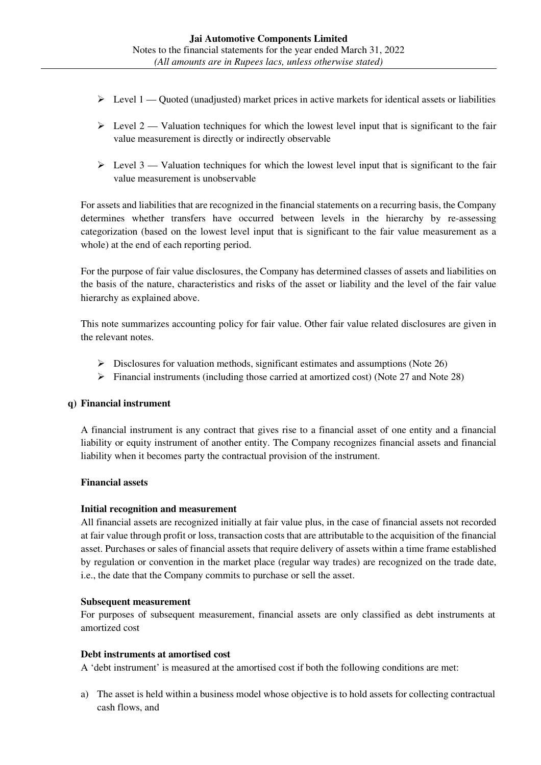- $\triangleright$  Level 1 Quoted (unadjusted) market prices in active markets for identical assets or liabilities
- $\triangleright$  Level 2 Valuation techniques for which the lowest level input that is significant to the fair value measurement is directly or indirectly observable
- $\triangleright$  Level 3 Valuation techniques for which the lowest level input that is significant to the fair value measurement is unobservable

For assets and liabilities that are recognized in the financial statements on a recurring basis, the Company determines whether transfers have occurred between levels in the hierarchy by re-assessing categorization (based on the lowest level input that is significant to the fair value measurement as a whole) at the end of each reporting period.

For the purpose of fair value disclosures, the Company has determined classes of assets and liabilities on the basis of the nature, characteristics and risks of the asset or liability and the level of the fair value hierarchy as explained above.

This note summarizes accounting policy for fair value. Other fair value related disclosures are given in the relevant notes.

- $\triangleright$  Disclosures for valuation methods, significant estimates and assumptions (Note 26)
- $\triangleright$  Financial instruments (including those carried at amortized cost) (Note 27 and Note 28)

## **q) Financial instrument**

A financial instrument is any contract that gives rise to a financial asset of one entity and a financial liability or equity instrument of another entity. The Company recognizes financial assets and financial liability when it becomes party the contractual provision of the instrument.

## **Financial assets**

## **Initial recognition and measurement**

All financial assets are recognized initially at fair value plus, in the case of financial assets not recorded at fair value through profit or loss, transaction costs that are attributable to the acquisition of the financial asset. Purchases or sales of financial assets that require delivery of assets within a time frame established by regulation or convention in the market place (regular way trades) are recognized on the trade date, i.e., the date that the Company commits to purchase or sell the asset.

## **Subsequent measurement**

For purposes of subsequent measurement, financial assets are only classified as debt instruments at amortized cost

## **Debt instruments at amortised cost**

A 'debt instrument' is measured at the amortised cost if both the following conditions are met:

a) The asset is held within a business model whose objective is to hold assets for collecting contractual cash flows, and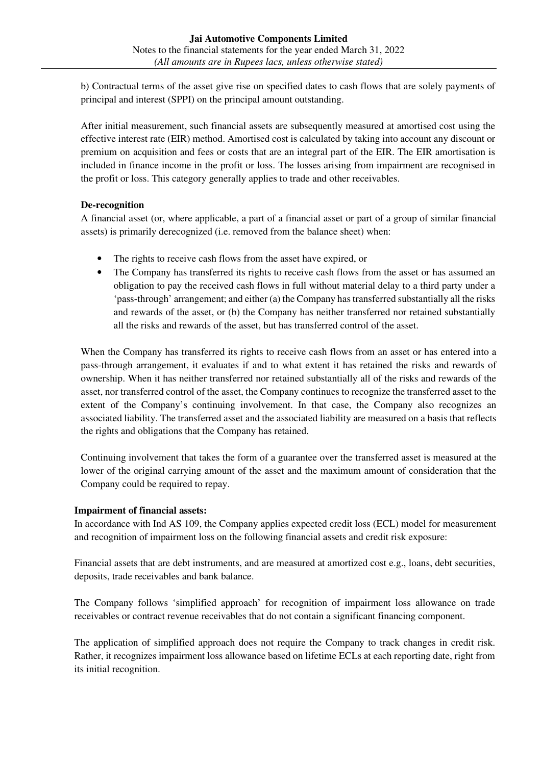b) Contractual terms of the asset give rise on specified dates to cash flows that are solely payments of principal and interest (SPPI) on the principal amount outstanding.

After initial measurement, such financial assets are subsequently measured at amortised cost using the effective interest rate (EIR) method. Amortised cost is calculated by taking into account any discount or premium on acquisition and fees or costs that are an integral part of the EIR. The EIR amortisation is included in finance income in the profit or loss. The losses arising from impairment are recognised in the profit or loss. This category generally applies to trade and other receivables.

## **De-recognition**

A financial asset (or, where applicable, a part of a financial asset or part of a group of similar financial assets) is primarily derecognized (i.e. removed from the balance sheet) when:

- The rights to receive cash flows from the asset have expired, or
- The Company has transferred its rights to receive cash flows from the asset or has assumed an obligation to pay the received cash flows in full without material delay to a third party under a 'pass-through' arrangement; and either (a) the Company has transferred substantially all the risks and rewards of the asset, or (b) the Company has neither transferred nor retained substantially all the risks and rewards of the asset, but has transferred control of the asset.

When the Company has transferred its rights to receive cash flows from an asset or has entered into a pass-through arrangement, it evaluates if and to what extent it has retained the risks and rewards of ownership. When it has neither transferred nor retained substantially all of the risks and rewards of the asset, nor transferred control of the asset, the Company continues to recognize the transferred asset to the extent of the Company's continuing involvement. In that case, the Company also recognizes an associated liability. The transferred asset and the associated liability are measured on a basis that reflects the rights and obligations that the Company has retained.

Continuing involvement that takes the form of a guarantee over the transferred asset is measured at the lower of the original carrying amount of the asset and the maximum amount of consideration that the Company could be required to repay.

## **Impairment of financial assets:**

In accordance with Ind AS 109, the Company applies expected credit loss (ECL) model for measurement and recognition of impairment loss on the following financial assets and credit risk exposure:

Financial assets that are debt instruments, and are measured at amortized cost e.g., loans, debt securities, deposits, trade receivables and bank balance.

The Company follows 'simplified approach' for recognition of impairment loss allowance on trade receivables or contract revenue receivables that do not contain a significant financing component.

The application of simplified approach does not require the Company to track changes in credit risk. Rather, it recognizes impairment loss allowance based on lifetime ECLs at each reporting date, right from its initial recognition.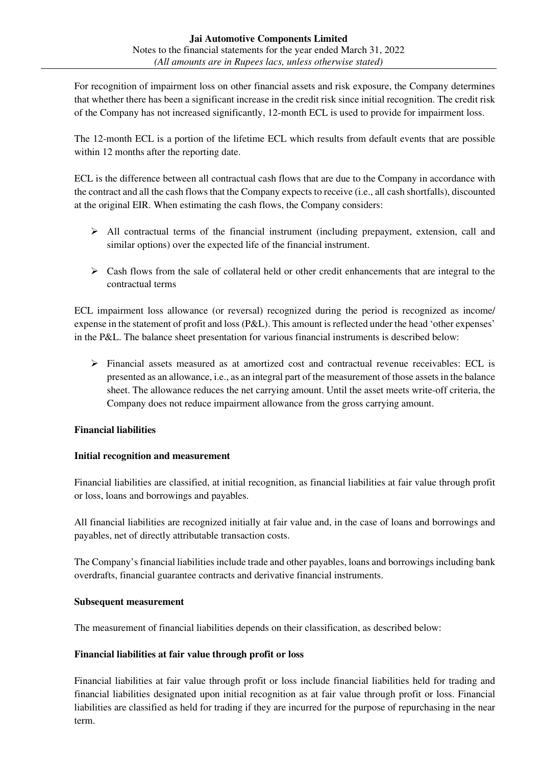For recognition of impairment loss on other financial assets and risk exposure, the Company determines that whether there has been a significant increase in the credit risk since initial recognition. The credit risk of the Company has not increased significantly, 12-month ECL is used to provide for impairment loss.

The 12-month ECL is a portion of the lifetime ECL which results from default events that are possible within 12 months after the reporting date.

ECL is the difference between all contractual cash flows that are due to the Company in accordance with the contract and all the cash flows that the Company expects to receive (i.e., all cash shortfalls), discounted at the original EIR. When estimating the cash flows, the Company considers:

- $\triangleright$  All contractual terms of the financial instrument (including prepayment, extension, call and similar options) over the expected life of the financial instrument.
- $\triangleright$  Cash flows from the sale of collateral held or other credit enhancements that are integral to the contractual terms

ECL impairment loss allowance (or reversal) recognized during the period is recognized as income/ expense in the statement of profit and loss (P&L). This amount is reflected under the head 'other expenses' in the P&L. The balance sheet presentation for various financial instruments is described below:

 Financial assets measured as at amortized cost and contractual revenue receivables: ECL is presented as an allowance, i.e., as an integral part of the measurement of those assets in the balance sheet. The allowance reduces the net carrying amount. Until the asset meets write-off criteria, the Company does not reduce impairment allowance from the gross carrying amount.

## **Financial liabilities**

## **Initial recognition and measurement**

Financial liabilities are classified, at initial recognition, as financial liabilities at fair value through profit or loss, loans and borrowings and payables.

All financial liabilities are recognized initially at fair value and, in the case of loans and borrowings and payables, net of directly attributable transaction costs.

The Company's financial liabilities include trade and other payables, loans and borrowings including bank overdrafts, financial guarantee contracts and derivative financial instruments.

## **Subsequent measurement**

The measurement of financial liabilities depends on their classification, as described below:

## **Financial liabilities at fair value through profit or loss**

Financial liabilities at fair value through profit or loss include financial liabilities held for trading and financial liabilities designated upon initial recognition as at fair value through profit or loss. Financial liabilities are classified as held for trading if they are incurred for the purpose of repurchasing in the near term.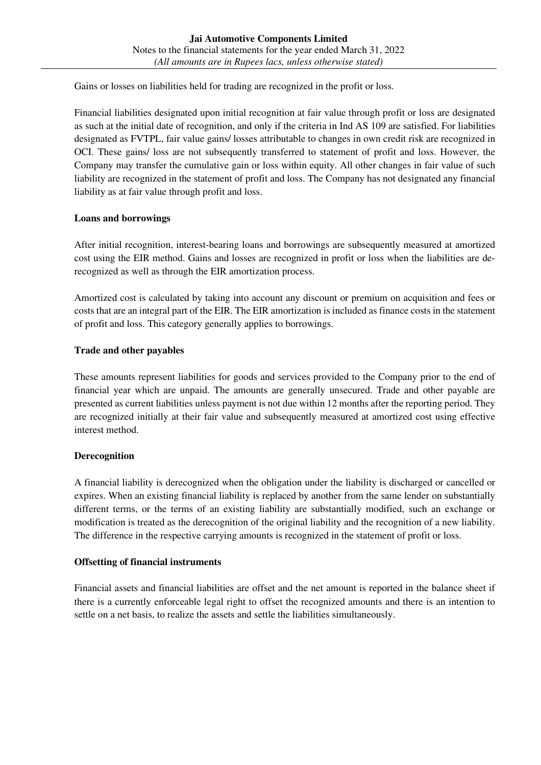Gains or losses on liabilities held for trading are recognized in the profit or loss.

Financial liabilities designated upon initial recognition at fair value through profit or loss are designated as such at the initial date of recognition, and only if the criteria in Ind AS 109 are satisfied. For liabilities designated as FVTPL, fair value gains/ losses attributable to changes in own credit risk are recognized in OCI. These gains/ loss are not subsequently transferred to statement of profit and loss. However, the Company may transfer the cumulative gain or loss within equity. All other changes in fair value of such liability are recognized in the statement of profit and loss. The Company has not designated any financial liability as at fair value through profit and loss.

## **Loans and borrowings**

After initial recognition, interest-bearing loans and borrowings are subsequently measured at amortized cost using the EIR method. Gains and losses are recognized in profit or loss when the liabilities are derecognized as well as through the EIR amortization process.

Amortized cost is calculated by taking into account any discount or premium on acquisition and fees or costs that are an integral part of the EIR. The EIR amortization is included as finance costs in the statement of profit and loss. This category generally applies to borrowings.

## **Trade and other payables**

These amounts represent liabilities for goods and services provided to the Company prior to the end of financial year which are unpaid. The amounts are generally unsecured. Trade and other payable are presented as current liabilities unless payment is not due within 12 months after the reporting period. They are recognized initially at their fair value and subsequently measured at amortized cost using effective interest method.

## **Derecognition**

A financial liability is derecognized when the obligation under the liability is discharged or cancelled or expires. When an existing financial liability is replaced by another from the same lender on substantially different terms, or the terms of an existing liability are substantially modified, such an exchange or modification is treated as the derecognition of the original liability and the recognition of a new liability. The difference in the respective carrying amounts is recognized in the statement of profit or loss.

## **Offsetting of financial instruments**

Financial assets and financial liabilities are offset and the net amount is reported in the balance sheet if there is a currently enforceable legal right to offset the recognized amounts and there is an intention to settle on a net basis, to realize the assets and settle the liabilities simultaneously.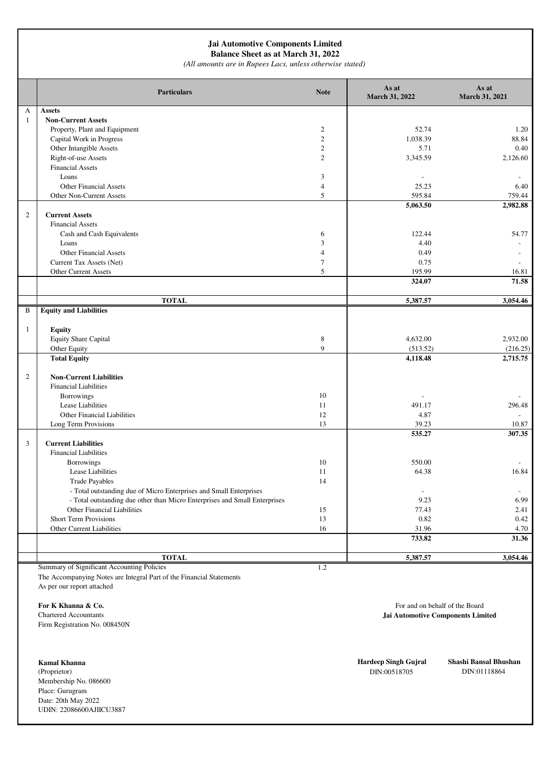**Balance Sheet as at March 31, 2022**

*(All amounts are in Rupees Lacs, unless otherwise stated)*

|                | <b>Particulars</b>                                                         | <b>Note</b>    | As at<br>March 31, 2022  | As at<br>March 31, 2021 |
|----------------|----------------------------------------------------------------------------|----------------|--------------------------|-------------------------|
| A              | <b>Assets</b>                                                              |                |                          |                         |
| $\mathbf{1}$   | <b>Non-Current Assets</b>                                                  |                |                          |                         |
|                | Property, Plant and Equipment                                              | $\overline{c}$ | 52.74                    | 1.20                    |
|                | Capital Work in Progress                                                   | $\overline{2}$ | 1,038.39                 | 88.84                   |
|                | Other Intangible Assets                                                    | $\overline{c}$ | 5.71                     | 0.40                    |
|                | Right-of-use Assets                                                        | $\overline{c}$ | 3,345.59                 | 2,126.60                |
|                | <b>Financial Assets</b>                                                    |                |                          |                         |
|                | Loans                                                                      | 3              | $\overline{\phantom{a}}$ |                         |
|                | <b>Other Financial Assets</b>                                              | $\overline{4}$ | 25.23                    | 6.40                    |
|                | Other Non-Current Assets                                                   | 5              | 595.84                   | 759.44                  |
|                |                                                                            |                | 5,063.50                 | 2,982.88                |
| $\overline{2}$ | <b>Current Assets</b>                                                      |                |                          |                         |
|                | <b>Financial Assets</b>                                                    |                |                          |                         |
|                | Cash and Cash Equivalents                                                  | 6              | 122.44                   | 54.77                   |
|                | Loans                                                                      | 3              | 4.40                     |                         |
|                | <b>Other Financial Assets</b>                                              | $\overline{4}$ | 0.49                     |                         |
|                | Current Tax Assets (Net)                                                   | $\tau$         | 0.75                     |                         |
|                | <b>Other Current Assets</b>                                                | 5              | 195.99                   | 16.81                   |
|                |                                                                            |                | 324.07                   | 71.58                   |
|                | <b>TOTAL</b>                                                               |                | 5,387.57                 | 3,054.46                |
| B              | <b>Equity and Liabilities</b>                                              |                |                          |                         |
|                |                                                                            |                |                          |                         |
| $\mathbf{1}$   | <b>Equity</b>                                                              |                |                          |                         |
|                | <b>Equity Share Capital</b>                                                | 8              | 4,632.00                 | 2,932.00                |
|                | Other Equity                                                               | 9              | (513.52)                 | (216.25)                |
|                | <b>Total Equity</b>                                                        |                | 4,118.48                 | 2,715.75                |
| $\mathfrak{2}$ | <b>Non-Current Liabilities</b>                                             |                |                          |                         |
|                | <b>Financial Liabilities</b>                                               |                |                          |                         |
|                | <b>Borrowings</b>                                                          | 10             | $\overline{\phantom{a}}$ |                         |
|                | Lease Liabilities                                                          | 11             | 491.17                   | 296.48                  |
|                | Other Financial Liabilities                                                | 12             | 4.87                     |                         |
|                | Long Term Provisions                                                       | 13             | 39.23                    | 10.87                   |
|                |                                                                            |                | 535.27                   | 307.35                  |
| 3              | <b>Current Liabilities</b>                                                 |                |                          |                         |
|                | <b>Financial Liabilities</b>                                               |                |                          |                         |
|                | <b>Borrowings</b>                                                          | 10             | 550.00                   |                         |
|                | Lease Liabilities                                                          | 11             | 64.38                    | 16.84                   |
|                | <b>Trade Payables</b>                                                      | 14             |                          |                         |
|                | - Total outstanding due of Micro Enterprises and Small Enterprises         |                | $\overline{\phantom{a}}$ |                         |
|                | - Total outstanding due other than Micro Enterprises and Small Enterprises |                | 9.23                     | 6.99                    |
|                | Other Financial Liabilities                                                | 15             | 77.43                    | 2.41                    |
|                | <b>Short Term Provisions</b>                                               | $13\,$         | 0.82                     | 0.42                    |
|                | Other Current Liabilities                                                  | 16             | 31.96                    | 4.70                    |
|                |                                                                            |                | 733.82                   | 31.36                   |
|                | <b>TOTAL</b>                                                               |                | 5,387.57                 | 3,054.46                |
|                | Summary of Significant Accounting Policies                                 | 1.2            |                          |                         |
|                |                                                                            |                |                          |                         |

The Accompanying Notes are Integral Part of the Financial Statements As per our report attached

Firm Registration No. 008450N

(Proprietor) DIN:00518705 DIN:01118864 Membership No. 086600 Place: Gurugram Date: 20th May 2022 UDIN: 22086600AJIICU3887

**For K Khanna & Co.** For and on behalf of the Board Chartered Accountants **For and on behalf of the Board** Chartered Accountants Jai Automotive Components Limited

**Kamal Khanna Khanna Hardeep Singh Gujral Shashi Bansal Bhushan**<br>
(Proprietor) **DIN:00518705 DIN:00518705 DIN:01118864**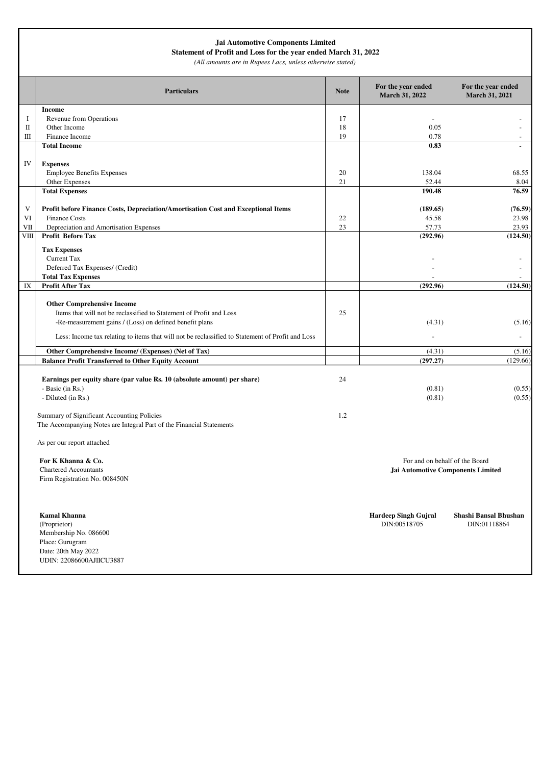**Statement of Profit and Loss for the year ended March 31, 2022**

|             | <b>Particulars</b>                                                                                     | <b>Note</b> | For the year ended<br>March 31, 2022 | For the year ended<br>March 31, 2021  |
|-------------|--------------------------------------------------------------------------------------------------------|-------------|--------------------------------------|---------------------------------------|
|             | Income                                                                                                 |             |                                      |                                       |
| 1           | Revenue from Operations                                                                                | 17          |                                      |                                       |
| $\mathbf I$ | Other Income                                                                                           | 18          | 0.05                                 |                                       |
| Ш           | Finance Income                                                                                         | 19          | 0.78                                 |                                       |
|             | <b>Total Income</b>                                                                                    |             | 0.83                                 |                                       |
| IV          | <b>Expenses</b>                                                                                        |             |                                      |                                       |
|             | <b>Employee Benefits Expenses</b>                                                                      | 20          | 138.04                               | 68.55                                 |
|             | Other Expenses                                                                                         | 21          | 52.44                                | 8.04                                  |
|             | <b>Total Expenses</b>                                                                                  |             | 190.48                               | 76.59                                 |
| V           | Profit before Finance Costs, Depreciation/Amortisation Cost and Exceptional Items                      |             | (189.65)                             | (76.59)                               |
| VI          | <b>Finance Costs</b>                                                                                   | 22          | 45.58                                | 23.98                                 |
| VІ          | Depreciation and Amortisation Expenses                                                                 | 23          | 57.73                                | 23.93                                 |
| VШ          | Profit Before Tax                                                                                      |             | (292.96)                             | (124.50)                              |
|             | <b>Tax Expenses</b>                                                                                    |             |                                      |                                       |
|             | <b>Current Tax</b>                                                                                     |             |                                      |                                       |
|             | Deferred Tax Expenses/ (Credit)                                                                        |             |                                      |                                       |
|             | <b>Total Tax Expenses</b>                                                                              |             |                                      |                                       |
| ${\rm IX}$  | <b>Profit After Tax</b>                                                                                |             | (292.96)                             | (124.50)                              |
|             | <b>Other Comprehensive Income</b>                                                                      |             |                                      |                                       |
|             | Items that will not be reclassified to Statement of Profit and Loss                                    | 25          |                                      |                                       |
|             | -Re-measurement gains / (Loss) on defined benefit plans                                                |             | (4.31)                               | (5.16)                                |
|             |                                                                                                        |             |                                      |                                       |
|             | Less: Income tax relating to items that will not be reclassified to Statement of Profit and Loss       |             |                                      |                                       |
|             | Other Comprehensive Income/ (Expenses) (Net of Tax)                                                    |             | (4.31)                               | (5.16)                                |
|             | <b>Balance Profit Transferred to Other Equity Account</b>                                              |             | (297.27)                             | (129.66)                              |
|             | Earnings per equity share (par value Rs. 10 (absolute amount) per share)                               | 24          |                                      |                                       |
|             | - Basic (in Rs.)                                                                                       |             | (0.81)                               | (0.55)                                |
|             | - Diluted (in Rs.)                                                                                     |             | (0.81)                               | (0.55)                                |
|             |                                                                                                        |             |                                      |                                       |
|             | Summary of Significant Accounting Policies                                                             | 1.2         |                                      |                                       |
|             | The Accompanying Notes are Integral Part of the Financial Statements                                   |             |                                      |                                       |
|             | As per our report attached                                                                             |             |                                      |                                       |
|             | For K Khanna & Co.                                                                                     |             | For and on behalf of the Board       |                                       |
|             | <b>Chartered Accountants</b>                                                                           |             | Jai Automotive Components Limited    |                                       |
|             | Firm Registration No. 008450N                                                                          |             |                                      |                                       |
|             | <b>Kamal Khanna</b><br>(Proprietor)<br>Membership No. 086600<br>Place: Gurugram<br>Date: 20th May 2022 |             | Hardeep Singh Gujral<br>DIN:00518705 | Shashi Bansal Bhushan<br>DIN:01118864 |
|             | UDIN: 22086600AJIICU3887                                                                               |             |                                      |                                       |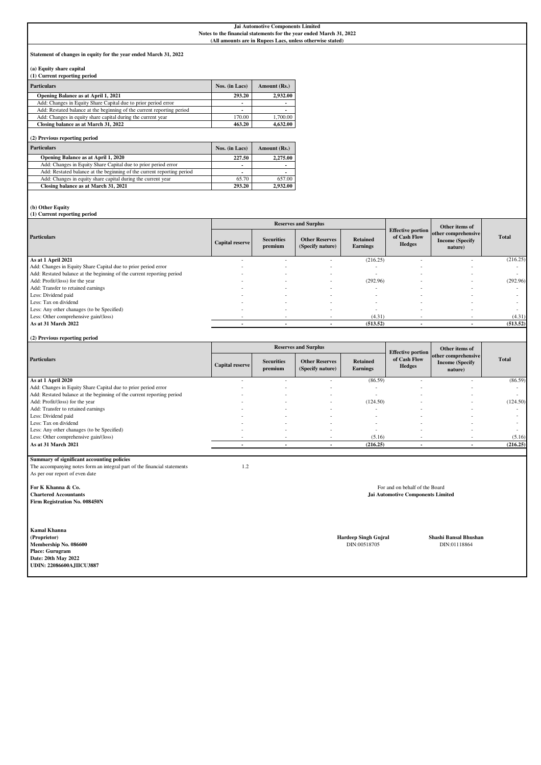|                                                                                                                                          |                                                                     | <b>Jai Automotive Components Limited</b> |                                                           |                                    |                                          |                                       |              |  |
|------------------------------------------------------------------------------------------------------------------------------------------|---------------------------------------------------------------------|------------------------------------------|-----------------------------------------------------------|------------------------------------|------------------------------------------|---------------------------------------|--------------|--|
|                                                                                                                                          | Notes to the financial statements for the year ended March 31, 2022 |                                          | (All amounts are in Rupees Lacs, unless otherwise stated) |                                    |                                          |                                       |              |  |
|                                                                                                                                          |                                                                     |                                          |                                                           |                                    |                                          |                                       |              |  |
| Statement of changes in equity for the year ended March 31, 2022                                                                         |                                                                     |                                          |                                                           |                                    |                                          |                                       |              |  |
| (a) Equity share capital                                                                                                                 |                                                                     |                                          |                                                           |                                    |                                          |                                       |              |  |
| (1) Current reporting period                                                                                                             |                                                                     |                                          |                                                           |                                    |                                          |                                       |              |  |
| <b>Particulars</b>                                                                                                                       | Nos. (in Lacs)                                                      | Amount (Rs.)                             |                                                           |                                    |                                          |                                       |              |  |
| Opening Balance as at April 1, 2021                                                                                                      | 293.20                                                              | 2,932.00                                 |                                                           |                                    |                                          |                                       |              |  |
| Add: Changes in Equity Share Capital due to prior period error                                                                           | $\overline{\phantom{a}}$                                            | $\sim$                                   |                                                           |                                    |                                          |                                       |              |  |
| Add: Restated balance at the beginning of the current reporting period                                                                   | $\sim$                                                              | $\mathbf{r}$                             |                                                           |                                    |                                          |                                       |              |  |
| Add: Changes in equity share capital during the current year<br>Closing balance as at March 31, 2022                                     | 170.00<br>463.20                                                    | 1,700.00<br>4,632.00                     |                                                           |                                    |                                          |                                       |              |  |
|                                                                                                                                          |                                                                     |                                          |                                                           |                                    |                                          |                                       |              |  |
| (2) Previous reporting period                                                                                                            |                                                                     |                                          |                                                           |                                    |                                          |                                       |              |  |
| <b>Particulars</b>                                                                                                                       | Nos. (in Lacs)                                                      | Amount (Rs.)                             |                                                           |                                    |                                          |                                       |              |  |
| Opening Balance as at April 1, 2020                                                                                                      | 227.50                                                              | 2,275.00                                 |                                                           |                                    |                                          |                                       |              |  |
| Add: Changes in Equity Share Capital due to prior period error                                                                           | $\overline{\phantom{a}}$                                            | $\blacksquare$                           |                                                           |                                    |                                          |                                       |              |  |
| Add: Restated balance at the beginning of the current reporting period<br>Add: Changes in equity share capital during the current year   | $\blacksquare$<br>65.70                                             | $\blacksquare$<br>657.00                 |                                                           |                                    |                                          |                                       |              |  |
| Closing balance as at March 31, 2021                                                                                                     | 293.20                                                              | 2,932.00                                 |                                                           |                                    |                                          |                                       |              |  |
|                                                                                                                                          |                                                                     |                                          |                                                           |                                    |                                          |                                       |              |  |
| (b) Other Equity                                                                                                                         |                                                                     |                                          |                                                           |                                    |                                          |                                       |              |  |
| (1) Current reporting period                                                                                                             |                                                                     |                                          |                                                           |                                    |                                          |                                       |              |  |
|                                                                                                                                          |                                                                     |                                          | <b>Reserves and Surplus</b>                               |                                    |                                          | Other items of                        |              |  |
| <b>Particulars</b>                                                                                                                       |                                                                     |                                          |                                                           |                                    | <b>Effective portion</b><br>of Cash Flow | other comprehensive                   | <b>Total</b> |  |
|                                                                                                                                          | Capital reserve                                                     | <b>Securities</b><br>premium             | <b>Other Reserves</b><br>(Specify nature)                 | <b>Retained</b><br><b>Earnings</b> | <b>Hedges</b>                            | <b>Income (Specify</b>                |              |  |
|                                                                                                                                          |                                                                     |                                          |                                                           |                                    |                                          | nature)                               |              |  |
| As at 1 April 2021                                                                                                                       |                                                                     |                                          |                                                           | (216.25)                           |                                          |                                       | (216.25)     |  |
| Add: Changes in Equity Share Capital due to prior period error<br>Add: Restated balance at the beginning of the current reporting period |                                                                     |                                          |                                                           |                                    |                                          |                                       |              |  |
| Add: Profit/(loss) for the year                                                                                                          |                                                                     |                                          |                                                           | (292.96)                           |                                          |                                       | (292.96)     |  |
| Add: Transfer to retained earnings                                                                                                       |                                                                     |                                          |                                                           |                                    |                                          |                                       |              |  |
| Less: Dividend paid                                                                                                                      |                                                                     |                                          |                                                           |                                    |                                          |                                       |              |  |
| Less: Tax on dividend                                                                                                                    |                                                                     |                                          |                                                           |                                    |                                          |                                       |              |  |
| Less: Any other chanages (to be Specified)<br>Less: Other comprehensive gain/(loss)                                                      |                                                                     |                                          |                                                           | (4.31)                             |                                          |                                       | (4.31)       |  |
| As at 31 March 2022                                                                                                                      |                                                                     |                                          |                                                           | (513.52)                           |                                          |                                       | (513.52)     |  |
|                                                                                                                                          |                                                                     |                                          |                                                           |                                    |                                          |                                       |              |  |
| (2) Previous reporting period                                                                                                            |                                                                     |                                          |                                                           |                                    |                                          |                                       |              |  |
|                                                                                                                                          |                                                                     |                                          | <b>Reserves and Surplus</b>                               |                                    | <b>Effective portion</b>                 | Other items of<br>other comprehensive |              |  |
| <b>Particulars</b>                                                                                                                       | <b>Capital reserve</b>                                              | <b>Securities</b>                        | <b>Other Reserves</b>                                     | <b>Retained</b>                    | of Cash Flow<br><b>Hedges</b>            | <b>Income (Specify</b>                | <b>Total</b> |  |
|                                                                                                                                          |                                                                     | premium                                  | (Specify nature)                                          | <b>Earnings</b>                    |                                          | nature)                               |              |  |
| As at 1 April 2020                                                                                                                       |                                                                     |                                          |                                                           | (86.59)                            |                                          |                                       | (86.59)      |  |
| Add: Changes in Equity Share Capital due to prior period error<br>Add: Restated balance at the beginning of the current reporting period |                                                                     |                                          |                                                           |                                    |                                          |                                       |              |  |
| Add: Profit/(loss) for the year                                                                                                          |                                                                     |                                          |                                                           | (124.50)                           |                                          |                                       | (124.50)     |  |
| Add: Transfer to retained earnings                                                                                                       |                                                                     |                                          |                                                           |                                    |                                          |                                       |              |  |
| Less: Dividend paid                                                                                                                      |                                                                     |                                          |                                                           |                                    |                                          |                                       |              |  |
| Less: Tax on dividend<br>Less: Any other chanages (to be Specified)                                                                      |                                                                     |                                          |                                                           | $\sim$                             |                                          |                                       | $\sim$       |  |
| Less: Other comprehensive gain/(loss)                                                                                                    |                                                                     |                                          |                                                           | (5.16)                             |                                          |                                       | (5.16)       |  |
| As at 31 March 2021                                                                                                                      | ٠                                                                   |                                          |                                                           | (216.25)                           |                                          |                                       | (216.25)     |  |
|                                                                                                                                          |                                                                     |                                          |                                                           |                                    |                                          |                                       |              |  |
| Summary of significant accounting policies<br>The accompanying notes form an integral part of the financial statements                   | 1.2                                                                 |                                          |                                                           |                                    |                                          |                                       |              |  |
| As per our report of even date                                                                                                           |                                                                     |                                          |                                                           |                                    |                                          |                                       |              |  |
|                                                                                                                                          |                                                                     |                                          |                                                           |                                    |                                          |                                       |              |  |
| For K Khanna & Co.                                                                                                                       |                                                                     |                                          |                                                           |                                    | For and on behalf of the Board           |                                       |              |  |
| <b>Chartered Accountants</b><br>Firm Registration No. 008450N                                                                            |                                                                     |                                          |                                                           |                                    | <b>Jai Automotive Components Limited</b> |                                       |              |  |
|                                                                                                                                          |                                                                     |                                          |                                                           |                                    |                                          |                                       |              |  |
|                                                                                                                                          |                                                                     |                                          |                                                           |                                    |                                          |                                       |              |  |
| <b>Kamal Khanna</b>                                                                                                                      |                                                                     |                                          |                                                           |                                    |                                          |                                       |              |  |
| (Proprietor)                                                                                                                             |                                                                     |                                          |                                                           | Hardeep Singh Gujral               |                                          | Shashi Bansal Bhushan                 |              |  |
| Membership No. 086600                                                                                                                    |                                                                     |                                          |                                                           | DIN:00518705                       |                                          | DIN:01118864                          |              |  |
| Place: Gurugram                                                                                                                          |                                                                     |                                          |                                                           |                                    |                                          |                                       |              |  |
| Date: 20th May 2022<br>UDIN: 22086600AJIICU3887                                                                                          |                                                                     |                                          |                                                           |                                    |                                          |                                       |              |  |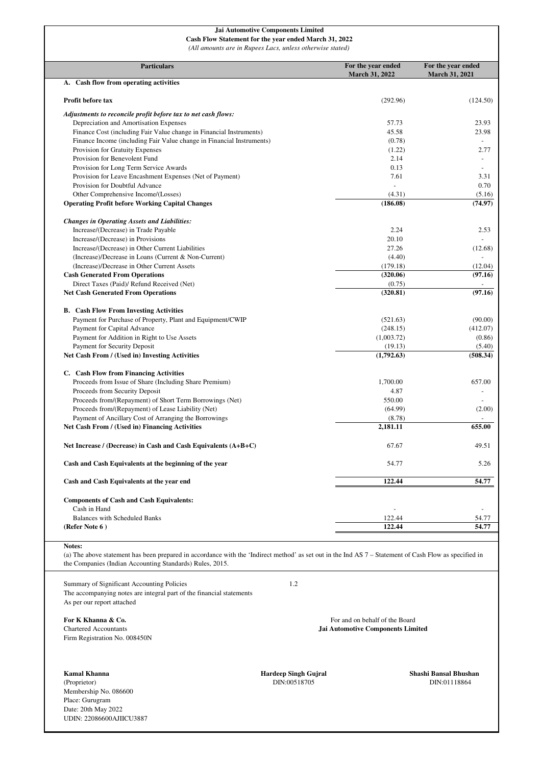**Cash Flow Statement for the year ended March 31, 2022** *(All amounts are in Rupees Lacs, unless otherwise stated)*

| <b>Particulars</b>                                                                                      | For the year ended<br>March 31, 2022 | For the year ended<br><b>March 31, 2021</b> |
|---------------------------------------------------------------------------------------------------------|--------------------------------------|---------------------------------------------|
| A. Cash flow from operating activities                                                                  |                                      |                                             |
| Profit before tax                                                                                       | (292.96)                             | (124.50)                                    |
| Adjustments to reconcile profit before tax to net cash flows:                                           |                                      |                                             |
| Depreciation and Amortisation Expenses                                                                  | 57.73                                | 23.93                                       |
| Finance Cost (including Fair Value change in Financial Instruments)                                     | 45.58                                | 23.98                                       |
| Finance Income (including Fair Value change in Financial Instruments)                                   | (0.78)                               |                                             |
| Provision for Gratuity Expenses                                                                         | (1.22)                               | 2.77                                        |
| Provision for Benevolent Fund                                                                           | 2.14                                 |                                             |
| Provision for Long Term Service Awards                                                                  | 0.13                                 |                                             |
| Provision for Leave Encashment Expenses (Net of Payment)                                                | 7.61                                 | 3.31                                        |
| Provision for Doubtful Advance                                                                          | $\overline{a}$                       | 0.70                                        |
| Other Comprehensive Income/(Losses)                                                                     | (4.31)                               | (5.16)                                      |
| <b>Operating Profit before Working Capital Changes</b>                                                  | (186.08)                             | (74.97)                                     |
|                                                                                                         |                                      |                                             |
| <b>Changes in Operating Assets and Liabilities:</b>                                                     |                                      |                                             |
| Increase/(Decrease) in Trade Payable                                                                    | 2.24                                 | 2.53                                        |
| Increase/(Decrease) in Provisions                                                                       | 20.10                                |                                             |
| Increase/(Decrease) in Other Current Liabilities                                                        | 27.26                                | (12.68)                                     |
| (Increase)/Decrease in Loans (Current & Non-Current)                                                    | (4.40)                               |                                             |
| (Increase)/Decrease in Other Current Assets                                                             | (179.18)                             | (12.04)                                     |
| <b>Cash Generated From Operations</b>                                                                   | (320.06)                             | (97.16)                                     |
| Direct Taxes (Paid)/ Refund Received (Net)                                                              | (0.75)                               |                                             |
| <b>Net Cash Generated From Operations</b>                                                               | (320.81)                             | (97.16)                                     |
| <b>B.</b> Cash Flow From Investing Activities                                                           |                                      |                                             |
| Payment for Purchase of Property, Plant and Equipment/CWIP                                              | (521.63)                             | (90.00)                                     |
| Payment for Capital Advance                                                                             | (248.15)                             | (412.07)                                    |
| Payment for Addition in Right to Use Assets                                                             | (1,003.72)                           | (0.86)                                      |
| Payment for Security Deposit                                                                            | (19.13)                              | (5.40)                                      |
| Net Cash From / (Used in) Investing Activities                                                          | (1,792.63)                           | (508.34)                                    |
|                                                                                                         |                                      |                                             |
| C. Cash Flow from Financing Activities<br>Proceeds from Issue of Share (Including Share Premium)        | 1,700.00                             | 657.00                                      |
| Proceeds from Security Deposit                                                                          | 4.87                                 |                                             |
| Proceeds from/(Repayment) of Short Term Borrowings (Net)                                                | 550.00                               |                                             |
| Proceeds from/(Repayment) of Lease Liability (Net)                                                      | (64.99)                              | (2.00)                                      |
|                                                                                                         |                                      |                                             |
| Payment of Ancillary Cost of Arranging the Borrowings<br>Net Cash From / (Used in) Financing Activities | (8.78)<br>2,181.11                   | 655.00                                      |
|                                                                                                         |                                      |                                             |
| Net Increase / (Decrease) in Cash and Cash Equivalents $(A+B+C)$                                        | 67.67                                | 49.51                                       |
| Cash and Cash Equivalents at the beginning of the year                                                  | 54.77                                | 5.26                                        |
| Cash and Cash Equivalents at the year end                                                               | 122.44                               | 54.77                                       |
| <b>Components of Cash and Cash Equivalents:</b>                                                         |                                      |                                             |
| Cash in Hand                                                                                            |                                      |                                             |
| <b>Balances with Scheduled Banks</b>                                                                    | 122.44                               | 54.77                                       |
| (Refer Note 6)                                                                                          | 122.44                               | 54.77                                       |

### **Notes:**

(a) The above statement has been prepared in accordance with the 'Indirect method' as set out in the Ind AS 7 – Statement of Cash Flow as specified in the Companies (Indian Accounting Standards) Rules, 2015.

Summary of Significant Accounting Policies 1.2 The accompanying notes are integral part of the financial statements As per our report attached

For and on behalf of the Board **Jai Automotive Components Limited**

**For K Khanna & Co.** Chartered Accountants Firm Registration No. 008450N

**Kamal Khanna Hardeep Singh Gujral Shashi Bansal Bhushan** (Proprietor) DIN:00518705 DIN:01118864 Membership No. 086600 Place: Gurugram Date: 20th May 2022 UDIN: 22086600AJIICU3887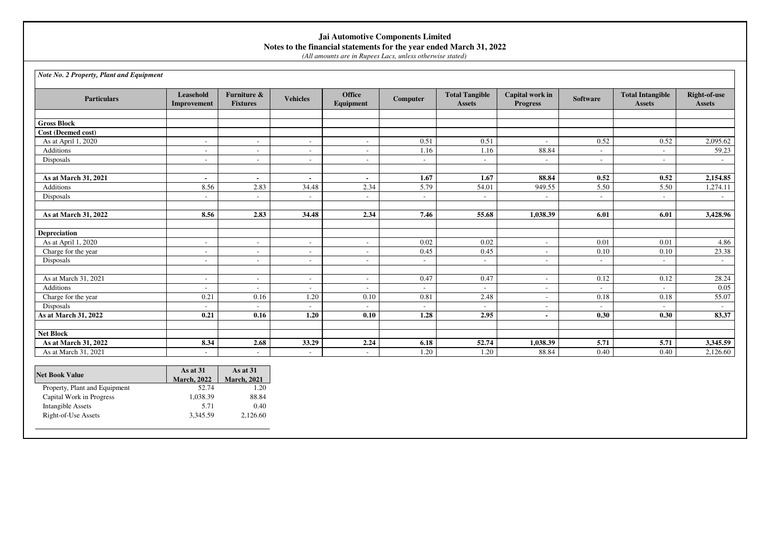## **Jai Automotive Components LimitedNotes to the financial statements for the year ended March 31, 2022** *(All amounts are in Rupees Lacs, unless otherwise stated)*

| <b>Particulars</b>   | Leasehold<br>Improvement | Furniture &<br><b>Fixtures</b> | <b>Vehicles</b>          | <b>Office</b><br>Equipment | Computer                 | <b>Total Tangible</b><br><b>Assets</b> | Capital work in<br><b>Progress</b> | <b>Software</b> | <b>Total Intangible</b><br><b>Assets</b> | Right-of-use<br><b>Assets</b> |
|----------------------|--------------------------|--------------------------------|--------------------------|----------------------------|--------------------------|----------------------------------------|------------------------------------|-----------------|------------------------------------------|-------------------------------|
|                      |                          |                                |                          |                            |                          |                                        |                                    |                 |                                          |                               |
| <b>Gross Block</b>   |                          |                                |                          |                            |                          |                                        |                                    |                 |                                          |                               |
| Cost (Deemed cost)   |                          |                                |                          |                            |                          |                                        |                                    |                 |                                          |                               |
| As at April 1, 2020  | $\sim$                   | $\sim$                         | $\overline{\phantom{a}}$ | $\overline{\phantom{a}}$   | 0.51                     | 0.51                                   | $\overline{\phantom{a}}$           | 0.52            | 0.52                                     | 2,095.62                      |
| <b>Additions</b>     | $\overline{\phantom{a}}$ | $\overline{\phantom{a}}$       | $\overline{\phantom{a}}$ | $\overline{\phantom{a}}$   | 1.16                     | 1.16                                   | 88.84                              | $\sim$          | $\overline{\phantom{a}}$                 | 59.23                         |
| Disposals            | $\sim$                   | $\overline{\phantom{a}}$       | $\overline{\phantom{a}}$ | $\sim$                     | $\sim$                   | $\sim$                                 | $\sim$                             | $\sim$          | $\overline{\phantom{a}}$                 | $\sim$                        |
| As at March 31, 2021 | $\sim$                   | $\sim$                         | $\blacksquare$           | $\blacksquare$             | $\overline{1.67}$        | 1.67                                   | 88.84                              | 0.52            | 0.52                                     | 2,154.85                      |
| Additions            | 8.56                     | 2.83                           | 34.48                    | 2.34                       | 5.79                     | 54.01                                  | 949.55                             | 5.50            | 5.50                                     | 1,274.11                      |
| Disposals            | $\sim$                   | $\sim$                         | $\overline{\phantom{a}}$ | $\overline{\phantom{a}}$   | $\overline{\phantom{a}}$ | $\sim$                                 | $\overline{\phantom{a}}$           | $\sim$          | $\overline{\phantom{a}}$                 | $\sim$                        |
| As at March 31, 2022 | 8.56                     | 2.83                           | 34.48                    | 2.34                       | 7.46                     | 55.68                                  | 1.038.39                           | 6.01            | 6.01                                     | 3,428.96                      |
|                      |                          |                                |                          |                            |                          |                                        |                                    |                 |                                          |                               |
| Depreciation         |                          |                                |                          |                            |                          |                                        |                                    |                 |                                          |                               |
| As at April 1, 2020  | $\sim$                   | $\overline{\phantom{a}}$       | $\overline{\phantom{a}}$ | $\overline{\phantom{a}}$   | 0.02                     | 0.02                                   | $\sim$                             | 0.01            | 0.01                                     | 4.86                          |
| Charge for the year  | $\overline{\phantom{a}}$ | ٠                              | $\overline{\phantom{a}}$ | $\overline{a}$             | 0.45                     | 0.45                                   | $\overline{\phantom{0}}$           | 0.10            | 0.10                                     | 23.38                         |
| Disposals            | $\overline{\phantom{a}}$ | $\sim$                         | $\overline{\phantom{a}}$ | $\overline{\phantom{a}}$   | $\overline{\phantom{a}}$ | $\sim$                                 | $\overline{\phantom{a}}$           | $\sim$          | $\overline{\phantom{a}}$                 | $\sim$                        |
| As at March 31, 2021 | $\sim$                   | $\overline{\phantom{a}}$       | $\overline{\phantom{a}}$ | $\overline{\phantom{a}}$   | 0.47                     | 0.47                                   | $\overline{\phantom{a}}$           | 0.12            | 0.12                                     | 28.24                         |
| <b>Additions</b>     | $\sim$                   | $\overline{\phantom{a}}$       | $\overline{\phantom{a}}$ | $\overline{\phantom{a}}$   | $\sim$                   | $\sim$                                 | $\overline{\phantom{a}}$           | $\sim$          | $\overline{\phantom{a}}$                 | 0.05                          |
| Charge for the year  | 0.21                     | 0.16                           | 1.20                     | 0.10                       | 0.81                     | 2.48                                   | $\overline{\phantom{a}}$           | 0.18            | 0.18                                     | 55.07                         |
| Disposals            | $\sim$                   | $\sim$                         |                          |                            | $\overline{\phantom{a}}$ | $\overline{\phantom{a}}$               | $\overline{\phantom{a}}$           | $\sim$          | $\overline{\phantom{a}}$                 | $\sim$                        |
| As at March 31, 2022 | 0.21                     | 0.16                           | 1.20                     | 0.10                       | 1.28                     | 2.95                                   | $\blacksquare$                     | 0.30            | 0.30                                     | 83.37                         |
| <b>Net Block</b>     |                          |                                |                          |                            |                          |                                        |                                    |                 |                                          |                               |
| As at March 31, 2022 | 8.34                     | 2.68                           | 33.29                    | 2.24                       | 6.18                     | 52.74                                  | 1,038.39                           | 5.71            | 5.71                                     | 3,345.59                      |
| As at March 31, 2021 | $\overline{\phantom{a}}$ | $\overline{\phantom{a}}$       |                          |                            | 1.20                     | 1.20                                   | 88.84                              | 0.40            | 0.40                                     | 2,126.60                      |

| <b>Net Book Value</b>         | As at 31<br><b>March, 2022</b> | As at 31<br><b>March</b> , 2021 |
|-------------------------------|--------------------------------|---------------------------------|
| Property, Plant and Equipment | 52.74                          | 1.20                            |
| Capital Work in Progress      | 1.038.39                       | 88.84                           |
| Intangible Assets             | 5.71                           | 0.40                            |
| Right-of-Use Assets           | 3.345.59                       | 2.126.60                        |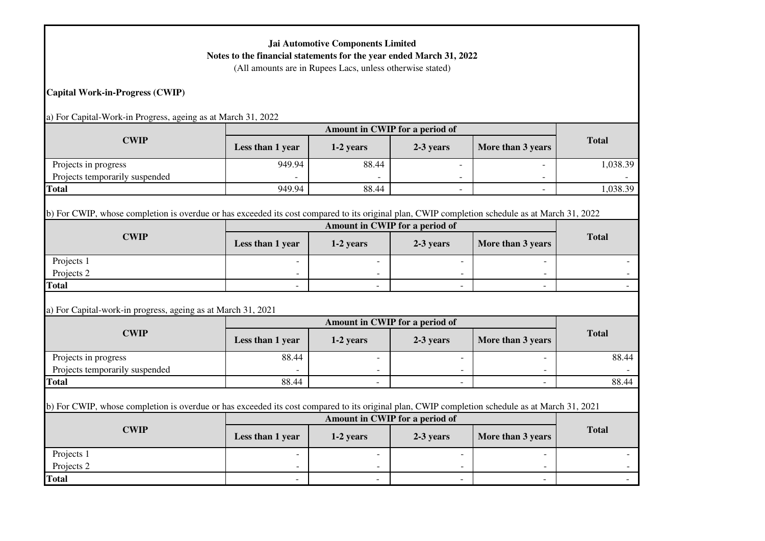**Notes to the financial statements for the year ended March 31, 2022**

(All amounts are in Rupees Lacs, unless otherwise stated)

## **Capital Work-in-Progress (CWIP)**

a) For Capital-Work-in Progress, ageing as at March 31, 2022

|                                                                                                                                                | Amount in CWIP for a period of |                          |                                |                   |              |  |
|------------------------------------------------------------------------------------------------------------------------------------------------|--------------------------------|--------------------------|--------------------------------|-------------------|--------------|--|
| <b>CWIP</b>                                                                                                                                    | Less than 1 year               | 1-2 years                | 2-3 years                      | More than 3 years | <b>Total</b> |  |
| Projects in progress                                                                                                                           | 949.94                         | 88.44                    | $\overline{\phantom{a}}$       |                   | 1,038.39     |  |
| Projects temporarily suspended                                                                                                                 |                                |                          |                                |                   |              |  |
| <b>Total</b>                                                                                                                                   | 949.94                         | 88.44                    | ۰                              |                   | 1,038.39     |  |
| b) For CWIP, whose completion is overdue or has exceeded its cost compared to its original plan, CWIP completion schedule as at March 31, 2022 |                                |                          |                                |                   |              |  |
|                                                                                                                                                |                                |                          | Amount in CWIP for a period of |                   |              |  |
| <b>CWIP</b>                                                                                                                                    | Less than 1 year               | 1-2 years                | 2-3 years                      | More than 3 years | <b>Total</b> |  |
| Projects 1                                                                                                                                     |                                | $\overline{\phantom{a}}$ |                                |                   |              |  |
| Projects 2                                                                                                                                     |                                |                          |                                |                   |              |  |
| <b>Total</b>                                                                                                                                   |                                | $\overline{\phantom{a}}$ |                                |                   |              |  |
| a) For Capital-work-in progress, ageing as at March 31, 2021                                                                                   |                                |                          |                                |                   |              |  |
|                                                                                                                                                |                                |                          | Amount in CWIP for a period of |                   |              |  |
| <b>CWIP</b>                                                                                                                                    | Less than 1 year               | 1-2 years                | 2-3 years                      | More than 3 years | <b>Total</b> |  |
| Projects in progress                                                                                                                           | 88.44                          | $\overline{\phantom{a}}$ |                                |                   | 88.44        |  |
| Projects temporarily suspended                                                                                                                 |                                |                          |                                |                   |              |  |
| <b>Total</b>                                                                                                                                   | 88.44                          | $\overline{\phantom{a}}$ |                                |                   | 88.44        |  |
| b) For CWIP, whose completion is overdue or has exceeded its cost compared to its original plan, CWIP completion schedule as at March 31, 2021 |                                |                          |                                |                   |              |  |
|                                                                                                                                                | Amount in CWIP for a period of |                          |                                |                   |              |  |
| <b>CWIP</b>                                                                                                                                    | Less than 1 year               | 1-2 years                | 2-3 years                      | More than 3 years | <b>Total</b> |  |
| Projects 1                                                                                                                                     |                                | $\overline{\phantom{0}}$ |                                |                   |              |  |
| Projects 2                                                                                                                                     |                                |                          |                                |                   |              |  |
| <b>Total</b>                                                                                                                                   |                                |                          |                                |                   |              |  |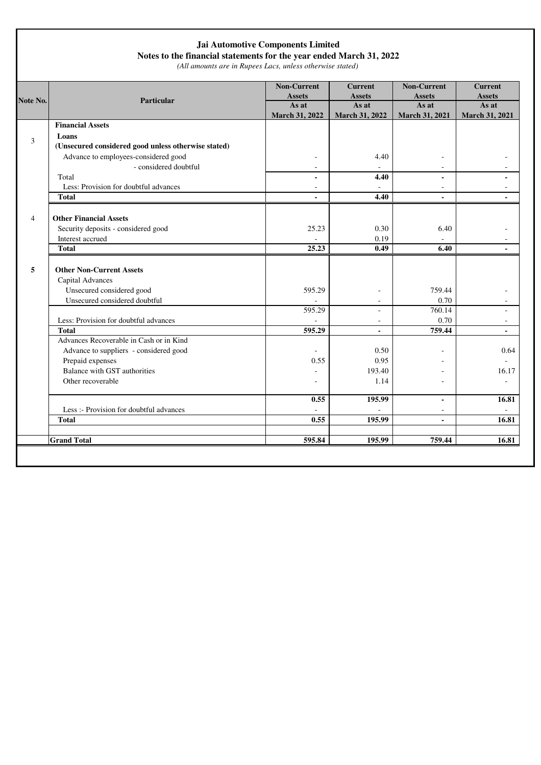### **Notes to the financial statements for the year ended March 31, 2022**

|                                         | <b>Non-Current</b>                                                                                                                                                                                                                                                                                                                                                                                                                                                                                                                                                                                                 | <b>Current</b>                                                                                                             | <b>Non-Current</b>                                                                                                                                                    | <b>Current</b>                                                                                         |
|-----------------------------------------|--------------------------------------------------------------------------------------------------------------------------------------------------------------------------------------------------------------------------------------------------------------------------------------------------------------------------------------------------------------------------------------------------------------------------------------------------------------------------------------------------------------------------------------------------------------------------------------------------------------------|----------------------------------------------------------------------------------------------------------------------------|-----------------------------------------------------------------------------------------------------------------------------------------------------------------------|--------------------------------------------------------------------------------------------------------|
|                                         | <b>Assets</b>                                                                                                                                                                                                                                                                                                                                                                                                                                                                                                                                                                                                      | <b>Assets</b>                                                                                                              | <b>Assets</b>                                                                                                                                                         | <b>Assets</b>                                                                                          |
|                                         |                                                                                                                                                                                                                                                                                                                                                                                                                                                                                                                                                                                                                    |                                                                                                                            |                                                                                                                                                                       | As at                                                                                                  |
|                                         |                                                                                                                                                                                                                                                                                                                                                                                                                                                                                                                                                                                                                    |                                                                                                                            |                                                                                                                                                                       | March 31, 2021                                                                                         |
|                                         |                                                                                                                                                                                                                                                                                                                                                                                                                                                                                                                                                                                                                    |                                                                                                                            |                                                                                                                                                                       |                                                                                                        |
| Loans                                   |                                                                                                                                                                                                                                                                                                                                                                                                                                                                                                                                                                                                                    |                                                                                                                            |                                                                                                                                                                       |                                                                                                        |
|                                         |                                                                                                                                                                                                                                                                                                                                                                                                                                                                                                                                                                                                                    |                                                                                                                            |                                                                                                                                                                       |                                                                                                        |
|                                         | ÷,                                                                                                                                                                                                                                                                                                                                                                                                                                                                                                                                                                                                                 | 4.40                                                                                                                       |                                                                                                                                                                       |                                                                                                        |
| - considered doubtful                   | $\sim$                                                                                                                                                                                                                                                                                                                                                                                                                                                                                                                                                                                                             |                                                                                                                            | $\overline{\phantom{a}}$                                                                                                                                              |                                                                                                        |
| Total                                   | $\blacksquare$                                                                                                                                                                                                                                                                                                                                                                                                                                                                                                                                                                                                     | 4.40                                                                                                                       | $\blacksquare$                                                                                                                                                        |                                                                                                        |
| Less: Provision for doubtful advances   | $\overline{\phantom{a}}$                                                                                                                                                                                                                                                                                                                                                                                                                                                                                                                                                                                           |                                                                                                                            | $\overline{\phantom{a}}$                                                                                                                                              | $\overline{\phantom{a}}$                                                                               |
| <b>Total</b>                            | $\blacksquare$                                                                                                                                                                                                                                                                                                                                                                                                                                                                                                                                                                                                     | 4.40                                                                                                                       | $\blacksquare$                                                                                                                                                        |                                                                                                        |
|                                         |                                                                                                                                                                                                                                                                                                                                                                                                                                                                                                                                                                                                                    |                                                                                                                            |                                                                                                                                                                       |                                                                                                        |
|                                         |                                                                                                                                                                                                                                                                                                                                                                                                                                                                                                                                                                                                                    |                                                                                                                            |                                                                                                                                                                       |                                                                                                        |
|                                         |                                                                                                                                                                                                                                                                                                                                                                                                                                                                                                                                                                                                                    |                                                                                                                            |                                                                                                                                                                       |                                                                                                        |
|                                         |                                                                                                                                                                                                                                                                                                                                                                                                                                                                                                                                                                                                                    |                                                                                                                            |                                                                                                                                                                       |                                                                                                        |
|                                         |                                                                                                                                                                                                                                                                                                                                                                                                                                                                                                                                                                                                                    |                                                                                                                            |                                                                                                                                                                       |                                                                                                        |
|                                         |                                                                                                                                                                                                                                                                                                                                                                                                                                                                                                                                                                                                                    |                                                                                                                            |                                                                                                                                                                       |                                                                                                        |
|                                         |                                                                                                                                                                                                                                                                                                                                                                                                                                                                                                                                                                                                                    |                                                                                                                            |                                                                                                                                                                       |                                                                                                        |
|                                         |                                                                                                                                                                                                                                                                                                                                                                                                                                                                                                                                                                                                                    |                                                                                                                            |                                                                                                                                                                       |                                                                                                        |
|                                         |                                                                                                                                                                                                                                                                                                                                                                                                                                                                                                                                                                                                                    |                                                                                                                            |                                                                                                                                                                       |                                                                                                        |
|                                         |                                                                                                                                                                                                                                                                                                                                                                                                                                                                                                                                                                                                                    |                                                                                                                            |                                                                                                                                                                       |                                                                                                        |
|                                         |                                                                                                                                                                                                                                                                                                                                                                                                                                                                                                                                                                                                                    |                                                                                                                            |                                                                                                                                                                       |                                                                                                        |
|                                         |                                                                                                                                                                                                                                                                                                                                                                                                                                                                                                                                                                                                                    |                                                                                                                            |                                                                                                                                                                       |                                                                                                        |
|                                         |                                                                                                                                                                                                                                                                                                                                                                                                                                                                                                                                                                                                                    |                                                                                                                            |                                                                                                                                                                       | $\blacksquare$                                                                                         |
|                                         |                                                                                                                                                                                                                                                                                                                                                                                                                                                                                                                                                                                                                    |                                                                                                                            |                                                                                                                                                                       | 0.64                                                                                                   |
|                                         |                                                                                                                                                                                                                                                                                                                                                                                                                                                                                                                                                                                                                    |                                                                                                                            |                                                                                                                                                                       |                                                                                                        |
|                                         |                                                                                                                                                                                                                                                                                                                                                                                                                                                                                                                                                                                                                    |                                                                                                                            |                                                                                                                                                                       | 16.17                                                                                                  |
|                                         |                                                                                                                                                                                                                                                                                                                                                                                                                                                                                                                                                                                                                    |                                                                                                                            |                                                                                                                                                                       |                                                                                                        |
|                                         |                                                                                                                                                                                                                                                                                                                                                                                                                                                                                                                                                                                                                    |                                                                                                                            |                                                                                                                                                                       |                                                                                                        |
|                                         | 0.55                                                                                                                                                                                                                                                                                                                                                                                                                                                                                                                                                                                                               | 195.99                                                                                                                     | $\blacksquare$                                                                                                                                                        | 16.81                                                                                                  |
| Less: - Provision for doubtful advances |                                                                                                                                                                                                                                                                                                                                                                                                                                                                                                                                                                                                                    |                                                                                                                            |                                                                                                                                                                       |                                                                                                        |
| <b>Total</b>                            | 0.55                                                                                                                                                                                                                                                                                                                                                                                                                                                                                                                                                                                                               | 195.99                                                                                                                     | $\blacksquare$                                                                                                                                                        | 16.81                                                                                                  |
|                                         |                                                                                                                                                                                                                                                                                                                                                                                                                                                                                                                                                                                                                    |                                                                                                                            |                                                                                                                                                                       | 16.81                                                                                                  |
|                                         | Particular<br><b>Financial Assets</b><br>(Unsecured considered good unless otherwise stated)<br>Advance to employees-considered good<br><b>Other Financial Assets</b><br>Security deposits - considered good<br>Interest accrued<br><b>Total</b><br><b>Other Non-Current Assets</b><br>Capital Advances<br>Unsecured considered good<br>Unsecured considered doubtful<br>Less: Provision for doubtful advances<br><b>Total</b><br>Advances Recoverable in Cash or in Kind<br>Advance to suppliers - considered good<br>Prepaid expenses<br>Balance with GST authorities<br>Other recoverable<br><b>Grand Total</b> | As at<br>March 31, 2022<br>25.23<br>25.23<br>595.29<br>$\overline{\phantom{a}}$<br>595.29<br>595.29<br>÷<br>0.55<br>595.84 | As at<br>March 31, 2022<br>0.30<br>0.19<br>0.49<br>$\overline{\phantom{a}}$<br>$\overline{\phantom{a}}$<br>$\blacksquare$<br>0.50<br>0.95<br>193.40<br>1.14<br>195.99 | As at<br><b>March 31, 2021</b><br>6.40<br>6.40<br>759.44<br>0.70<br>760.14<br>0.70<br>759.44<br>759.44 |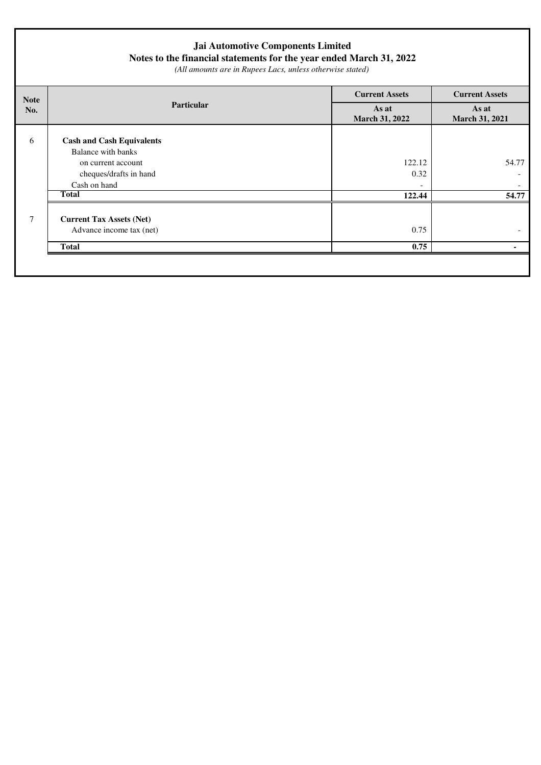**Notes to the financial statements for the year ended March 31, 2022**

| <b>Note</b> |                                  | <b>Current Assets</b>    | <b>Current Assets</b>    |  |
|-------------|----------------------------------|--------------------------|--------------------------|--|
| No.         | Particular                       | As at                    | As at                    |  |
|             |                                  | <b>March 31, 2022</b>    | <b>March 31, 2021</b>    |  |
|             |                                  |                          |                          |  |
| 6           | <b>Cash and Cash Equivalents</b> |                          |                          |  |
|             | Balance with banks               |                          |                          |  |
|             | on current account               | 122.12                   | 54.77                    |  |
|             | cheques/drafts in hand           | 0.32                     | $\overline{\phantom{a}}$ |  |
|             | Cash on hand                     | $\overline{\phantom{a}}$ |                          |  |
|             | <b>Total</b>                     | 122.44                   | 54.77                    |  |
| $\tau$      | <b>Current Tax Assets (Net)</b>  |                          |                          |  |
|             |                                  |                          |                          |  |
|             | Advance income tax (net)         | 0.75                     | $\overline{\phantom{0}}$ |  |
|             | <b>Total</b>                     | 0.75                     |                          |  |
|             |                                  |                          |                          |  |
|             |                                  |                          |                          |  |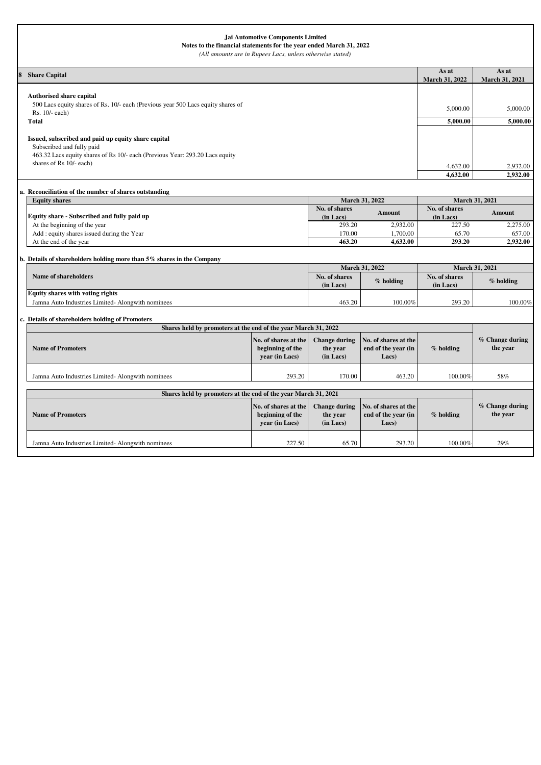**Notes to the financial statements for the year ended March 31, 2022** *(All amounts are in Rupees Lacs, unless otherwise stated)*

**8** Share Capital<br> **8** Share Capital<br> **As at As at As at As at As at As at As at As at March 31, 2022 As at March 31, 2021 Authorised share capital** 500 Lacs equity shares of Rs. 10/- each (Previous year 500 Lacs equity shares of 5,000.00 5,000.00 5,000.00 5,000.00 5,000.00 5,000.00 5,000.00 5,000 f S (10) 5,000 f  $\sim$  5,000.00 5,000 f  $\sim$  5,000.00 5,000 f  $\sim$  5,000. **Total 5,000.00 5,000.00 Issued, subscribed and paid up equity share capital** Subscribed and fully paid 463.32 Lacs equity shares of Rs 10/- each (Previous Year: 293.20 Lacs equity shares of Rs 10/- each) 2,932.00 2,932.00 2,932.00 2,932.00  **4,632.00 2,932.00** 

| a. Reconciliation of the number of shares outstanding |                       |          |                       |          |
|-------------------------------------------------------|-----------------------|----------|-----------------------|----------|
| <b>Equity shares</b>                                  | <b>March 31, 2022</b> |          | <b>March 31, 2021</b> |          |
|                                                       | No. of shares         |          | No. of shares         |          |
| Equity share - Subscribed and fully paid up           | (in Lacs)             | Amount   | $(in$ Lacs $)$        | Amount   |
| At the beginning of the year                          | 293.20                | 2.932.00 | 227.50                | 2,275.00 |
| Add: equity shares issued during the Year             | 170.00                | .700.00  | 65.70                 | 657.00   |
| At the end of the year                                | 463.20                | 4,632.00 | 293.20                | 2.932.00 |

## **b. Details of shareholders holding more than 5% shares in the Company**

|                                                  | <b>March 31, 2022</b>      | <b>March 31, 2021</b> |                                 |             |
|--------------------------------------------------|----------------------------|-----------------------|---------------------------------|-------------|
| Name of shareholders                             | No. of shares<br>(in Lacs) | $%$ holding           | No. of shares<br>$(in$ Lacs $)$ | $%$ holding |
| <b>Equity shares with voting rights</b>          |                            |                       |                                 |             |
| Jamna Auto Industries Limited-Alongwith nominees | 463.20                     | 100.00%               | 293.20                          | 100.00%     |

### **c. Details of shareholders holding of Promoters**

| Shares held by promoters at the end of the year March 31, 2022 |                                                            |                                                    |                                                      |             |                               |
|----------------------------------------------------------------|------------------------------------------------------------|----------------------------------------------------|------------------------------------------------------|-------------|-------------------------------|
| <b>Name of Promoters</b>                                       | No. of shares at the<br>beginning of the<br>vear (in Lacs) | <b>Change during</b><br>the year<br>$(in$ Lacs $)$ | No. of shares at the<br>end of the year (in<br>Lacs) | $%$ holding | $%$ Change during<br>the year |
| Jamna Auto Industries Limited-Alongwith nominees               | 293.20                                                     | 170.00                                             | 463.20                                               | 100.00%     | 58%                           |
|                                                                |                                                            |                                                    |                                                      |             |                               |
| Shares held by promoters at the end of the year March 31, 2021 |                                                            |                                                    |                                                      |             |                               |
| <b>Name of Promoters</b>                                       | No. of shares at the<br>beginning of the<br>vear (in Lacs) | <b>Change during</b><br>the year<br>$(in$ Lacs $)$ | No. of shares at the<br>end of the year (in<br>Lacs) | $%$ holding | $%$ Change during<br>the year |
| Jamna Auto Industries Limited-Alongwith nominees               | 227.50                                                     | 65.70                                              | 293.20                                               | 100.00%     | 29%                           |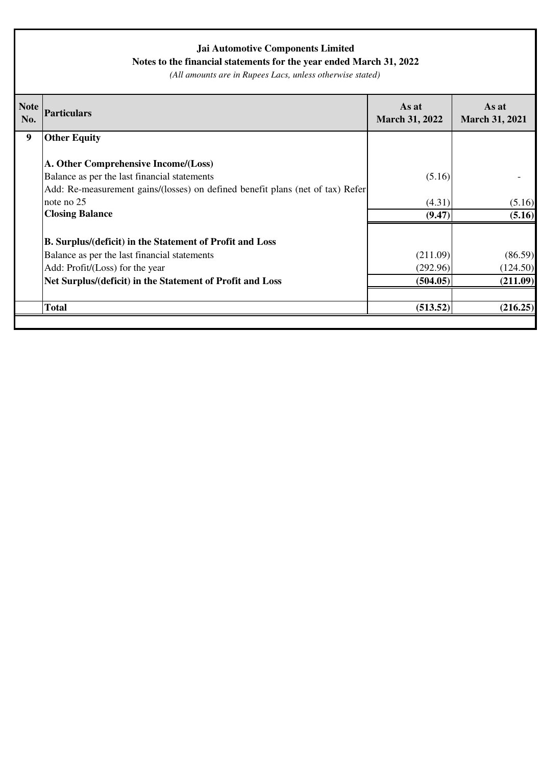## **Notes to the financial statements for the year ended March 31, 2022**

| <b>Note</b><br>No. | <b>Particulars</b>                                                             | As at<br><b>March 31, 2022</b> | As at<br><b>March 31, 2021</b> |
|--------------------|--------------------------------------------------------------------------------|--------------------------------|--------------------------------|
| 9                  | <b>Other Equity</b>                                                            |                                |                                |
|                    | A. Other Comprehensive Income/(Loss)                                           |                                |                                |
|                    | Balance as per the last financial statements                                   | (5.16)                         |                                |
|                    | Add: Re-measurement gains/(losses) on defined benefit plans (net of tax) Refer |                                |                                |
|                    | note no 25                                                                     | (4.31)                         | (5.16)                         |
|                    | <b>Closing Balance</b>                                                         | (9.47)                         | (5.16)                         |
|                    | B. Surplus/(deficit) in the Statement of Profit and Loss                       |                                |                                |
|                    | Balance as per the last financial statements                                   | (211.09)                       | (86.59)                        |
|                    | Add: Profit/(Loss) for the year                                                | (292.96)                       | (124.50)                       |
|                    | Net Surplus/(deficit) in the Statement of Profit and Loss                      | (504.05)                       | (211.09)                       |
|                    | <b>Total</b>                                                                   | (513.52)                       | (216.25)                       |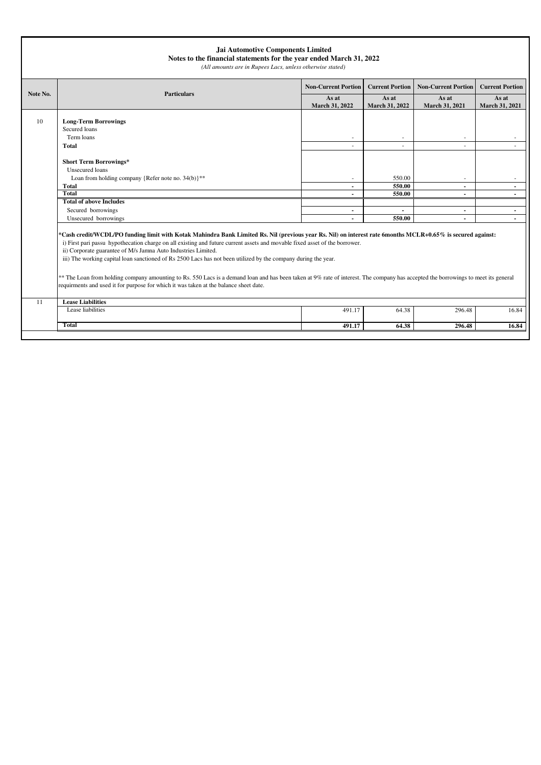### **Jai Automotive Components Limited Notes to the financial statements for the year ended March 31, 2022**

|          |                                                                                                                                                                                    | <b>Non-Current Portion</b> | <b>Current Portion</b> | <b>Non-Current Portion</b> | <b>Current Portion</b> |
|----------|------------------------------------------------------------------------------------------------------------------------------------------------------------------------------------|----------------------------|------------------------|----------------------------|------------------------|
| Note No. | <b>Particulars</b>                                                                                                                                                                 | As at                      | As at                  | As at                      | As at                  |
|          |                                                                                                                                                                                    | <b>March 31, 2022</b>      | March 31, 2022         | <b>March 31, 2021</b>      | March 31, 2021         |
| 10       | <b>Long-Term Borrowings</b>                                                                                                                                                        |                            |                        |                            |                        |
|          | Secured loans                                                                                                                                                                      |                            |                        |                            |                        |
|          | Term loans                                                                                                                                                                         |                            |                        |                            |                        |
|          | <b>Total</b>                                                                                                                                                                       |                            | ٠                      |                            |                        |
|          |                                                                                                                                                                                    |                            |                        |                            |                        |
|          | <b>Short Term Borrowings*</b>                                                                                                                                                      |                            |                        |                            |                        |
|          | Unsecured loans                                                                                                                                                                    |                            |                        |                            |                        |
|          | Loan from holding company {Refer note no. 34(b)}**                                                                                                                                 |                            | 550.00                 |                            |                        |
|          | <b>Total</b>                                                                                                                                                                       |                            | 550.00                 | $\blacksquare$             |                        |
|          | <b>Total</b>                                                                                                                                                                       |                            | 550.00                 |                            |                        |
|          | <b>Total of above Includes</b>                                                                                                                                                     |                            |                        |                            |                        |
|          | Secured borrowings                                                                                                                                                                 |                            | $\blacksquare$         | $\blacksquare$             |                        |
|          | Unsecured borrowings                                                                                                                                                               | $\blacksquare$             | 550.00                 | $\sim$                     | $\blacksquare$         |
|          |                                                                                                                                                                                    |                            |                        |                            |                        |
|          | *Cash credit/WCDL/PO funding limit with Kotak Mahindra Bank Limited Rs. Nil (previous year Rs. Nil) on interest rate 6months MCLR+0.65% is secured against:                        |                            |                        |                            |                        |
|          | i) First pari passu hypothecation charge on all existing and future current assets and movable fixed asset of the borrower.                                                        |                            |                        |                            |                        |
|          | ii) Corporate guarantee of M/s Jamna Auto Industries Limited.                                                                                                                      |                            |                        |                            |                        |
|          | iii) The working capital loan sanctioned of Rs 2500 Lacs has not been utilized by the company during the year.                                                                     |                            |                        |                            |                        |
|          |                                                                                                                                                                                    |                            |                        |                            |                        |
|          | ** The Loan from holding company amounting to Rs. 550 Lacs is a demand loan and has been taken at 9% rate of interest. The company has accepted the borrowings to meet its general |                            |                        |                            |                        |
|          | requirments and used it for purpose for which it was taken at the balance sheet date.                                                                                              |                            |                        |                            |                        |
|          |                                                                                                                                                                                    |                            |                        |                            |                        |
| 11       | <b>Lease Liabilities</b>                                                                                                                                                           |                            |                        |                            |                        |
|          | Lease liabilities                                                                                                                                                                  | 491.17                     | 64.38                  | 296.48                     | 16.84                  |
|          |                                                                                                                                                                                    |                            |                        |                            |                        |
|          | <b>Total</b>                                                                                                                                                                       | 491.17                     | 64.38                  | 296.48                     | 16.84                  |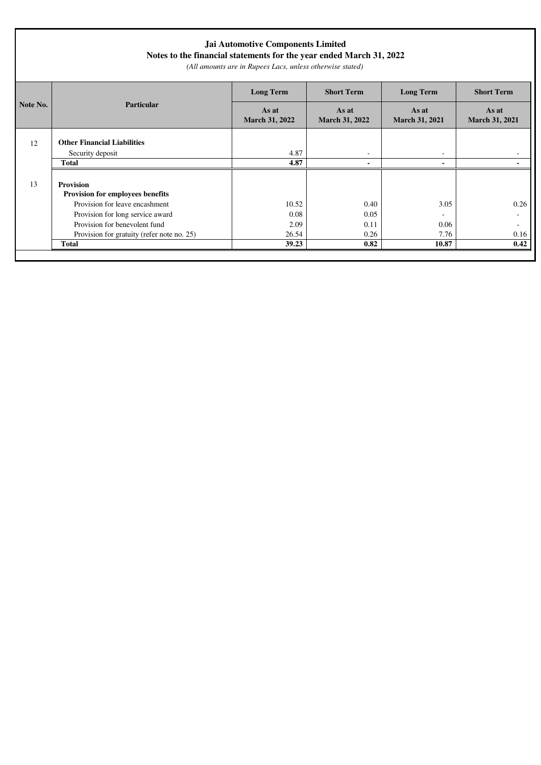### **Notes to the financial statements for the year ended March 31, 2022**

| Note No.<br><b>Particular</b><br>As at<br>As at<br>As at<br>March 31, 2022<br>March 31, 2022<br><b>March 31, 2021</b><br><b>Other Financial Liabilities</b><br>12<br>4.87<br>Security deposit<br>$\sim$<br>۰.<br>4.87<br>Total |  |  | <b>Long Term</b> | <b>Short Term</b> | <b>Long Term</b> | <b>Short Term</b>              |
|--------------------------------------------------------------------------------------------------------------------------------------------------------------------------------------------------------------------------------|--|--|------------------|-------------------|------------------|--------------------------------|
|                                                                                                                                                                                                                                |  |  |                  |                   |                  | As at<br><b>March 31, 2021</b> |
|                                                                                                                                                                                                                                |  |  |                  |                   |                  |                                |
|                                                                                                                                                                                                                                |  |  |                  |                   |                  |                                |
|                                                                                                                                                                                                                                |  |  |                  |                   |                  |                                |
| 13<br><b>Provision</b><br><b>Provision for employees benefits</b>                                                                                                                                                              |  |  |                  |                   |                  |                                |
| Provision for leave encashment<br>10.52<br>0.40                                                                                                                                                                                |  |  |                  |                   | 3.05             | 0.26                           |
| 0.08<br>0.05<br>Provision for long service award<br>٠                                                                                                                                                                          |  |  |                  |                   |                  |                                |
| Provision for benevolent fund<br>2.09<br>0.11                                                                                                                                                                                  |  |  |                  |                   | 0.06             |                                |
| 26.54<br>0.26<br>Provision for gratuity (refer note no. 25)                                                                                                                                                                    |  |  |                  |                   | 7.76             | 0.16                           |
| 10.87<br><b>Total</b><br>39.23<br>0.82                                                                                                                                                                                         |  |  |                  |                   |                  | 0.42                           |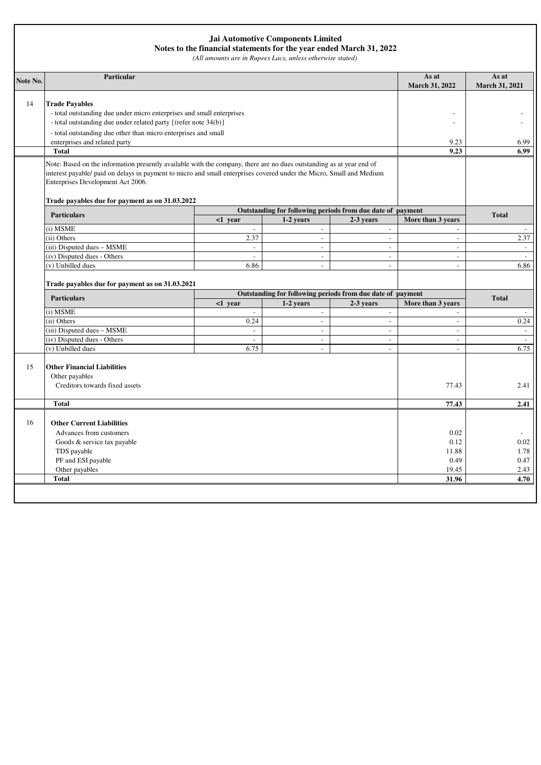**Notes to the financial statements for the year ended March 31, 2022**

| Note No. | Particular                                                                                                                                                |                          |                                                            |                                                            | As at<br><b>March 31, 2022</b> | As at<br>March 31, 2021  |
|----------|-----------------------------------------------------------------------------------------------------------------------------------------------------------|--------------------------|------------------------------------------------------------|------------------------------------------------------------|--------------------------------|--------------------------|
|          |                                                                                                                                                           |                          |                                                            |                                                            |                                |                          |
| 14       | <b>Trade Payables</b>                                                                                                                                     |                          |                                                            |                                                            |                                |                          |
|          | - total outstanding due under micro enterprises and small enterprises                                                                                     |                          |                                                            |                                                            |                                |                          |
|          | - total outstanding due under related party {(refer note 34(b)}                                                                                           |                          |                                                            |                                                            |                                |                          |
|          | - total outstanding due other than micro enterprises and small                                                                                            |                          |                                                            |                                                            | 9.23                           | 6.99                     |
|          | enterprises and related party<br><b>Total</b>                                                                                                             |                          |                                                            |                                                            | 9.23                           | 6.99                     |
|          |                                                                                                                                                           |                          |                                                            |                                                            |                                |                          |
|          | Note: Based on the information presently available with the company, there are no dues outstanding as at year end of                                      |                          |                                                            |                                                            |                                |                          |
|          | interest payable/ paid on delays in payment to micro and small enterprises covered under the Micro, Small and Medium<br>Enterprises Development Act 2006. |                          |                                                            |                                                            |                                |                          |
|          |                                                                                                                                                           |                          |                                                            |                                                            |                                |                          |
|          | Trade payables due for payment as on 31.03.2022                                                                                                           |                          |                                                            |                                                            |                                |                          |
|          |                                                                                                                                                           |                          |                                                            | Outstanding for following periods from due date of payment |                                |                          |
|          | <b>Particulars</b>                                                                                                                                        | $1$ year                 | 1-2 years                                                  | 2-3 years                                                  | More than 3 years              | <b>Total</b>             |
|          | (i) MSME                                                                                                                                                  | $\overline{\phantom{a}}$ | $\blacksquare$                                             | $\blacksquare$                                             | $\sim$                         |                          |
|          | (ii) Others                                                                                                                                               | 2.37                     | $\overline{\phantom{a}}$                                   | $\overline{\phantom{a}}$                                   | $\sim$                         | 2.37                     |
|          | (iii) Disputed dues - MSME                                                                                                                                | $\mathbb{Z}^2$           | $\mathcal{L}$                                              | $\mathcal{L}$                                              | $\mathcal{L}$                  | $\mathbb{Z}^2$           |
|          | (iv) Disputed dues - Others                                                                                                                               | $\sim$                   | $\sim$                                                     | $\sim$                                                     | $\sim$                         | $\sim$                   |
|          | (v) Unbilled dues                                                                                                                                         | 6.86                     | $\sim$                                                     | $\sim$                                                     | $\mathcal{L}$                  | 6.86                     |
|          |                                                                                                                                                           |                          |                                                            |                                                            |                                |                          |
|          | Trade payables due for payment as on 31.03.2021                                                                                                           |                          | Outstanding for following periods from due date of payment |                                                            |                                |                          |
|          | <b>Particulars</b>                                                                                                                                        | $<1$ year                | 1-2 years                                                  | 2-3 years                                                  | More than 3 years              | <b>Total</b>             |
|          | (i) MSME                                                                                                                                                  |                          | $\overline{\phantom{a}}$                                   | $\overline{\phantom{a}}$                                   |                                |                          |
|          | (ii) Others                                                                                                                                               | 0.24                     | $\mathbb{L}$                                               | $\mathbb{L}$                                               | $\blacksquare$                 | 0.24                     |
|          | (iii) Disputed dues - MSME                                                                                                                                | $\mathcal{L}$            | $\sim$                                                     | $\overline{\phantom{a}}$                                   | $\overline{\phantom{a}}$       | $\overline{\phantom{a}}$ |
|          | (iv) Disputed dues - Others                                                                                                                               | $\blacksquare$           | $\blacksquare$                                             | $\overline{\phantom{a}}$                                   | $\overline{\phantom{a}}$       | $\blacksquare$           |
|          | (v) Unbilled dues                                                                                                                                         | 6.75                     | $\sim$                                                     | $\sim$                                                     | $\sim$                         | 6.75                     |
|          |                                                                                                                                                           |                          |                                                            |                                                            |                                |                          |
| 15       | <b>Other Financial Liabilities</b>                                                                                                                        |                          |                                                            |                                                            |                                |                          |
|          | Other payables                                                                                                                                            |                          |                                                            |                                                            |                                |                          |
|          | Creditors towards fixed assets                                                                                                                            |                          |                                                            |                                                            | 77.43                          | 2.41                     |
|          | <b>Total</b>                                                                                                                                              |                          |                                                            |                                                            | 77.43                          | 2.41                     |
|          |                                                                                                                                                           |                          |                                                            |                                                            |                                |                          |
| 16       | <b>Other Current Liabilities</b>                                                                                                                          |                          |                                                            |                                                            |                                |                          |
|          | Advances from customers                                                                                                                                   |                          |                                                            |                                                            | 0.02                           |                          |
|          | Goods & service tax payable                                                                                                                               |                          |                                                            |                                                            | 0.12                           | 0.02                     |
|          | TDS payable                                                                                                                                               |                          |                                                            |                                                            | 11.88                          | 1.78                     |
|          | PF and ESI payable                                                                                                                                        |                          |                                                            |                                                            | 0.49                           | 0.47                     |
|          | Other payables                                                                                                                                            |                          |                                                            |                                                            | 19.45                          | 2.43                     |
|          | <b>Total</b>                                                                                                                                              |                          |                                                            |                                                            | 31.96                          | 4.70                     |
|          |                                                                                                                                                           |                          |                                                            |                                                            |                                |                          |
|          |                                                                                                                                                           |                          |                                                            |                                                            |                                |                          |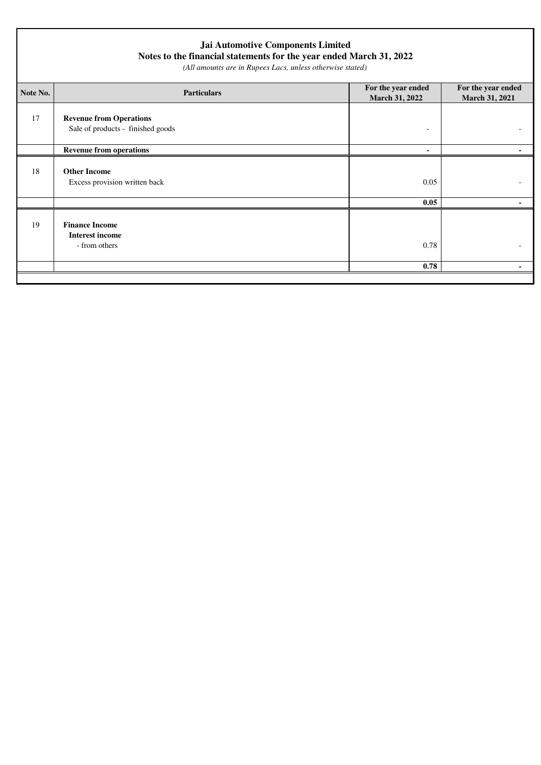## **Jai Automotive Components Limited Notes to the financial statements for the year ended March 31, 2022**

| Note No. | <b>Particulars</b>                                                  | For the year ended<br><b>March 31, 2022</b> | For the year ended<br>March 31, 2021 |
|----------|---------------------------------------------------------------------|---------------------------------------------|--------------------------------------|
| 17       | <b>Revenue from Operations</b><br>Sale of products - finished goods | $\qquad \qquad \blacksquare$                |                                      |
|          | <b>Revenue from operations</b>                                      | ۰                                           |                                      |
| 18       | <b>Other Income</b><br>Excess provision written back                | 0.05                                        |                                      |
|          |                                                                     | 0.05                                        |                                      |
| 19       | <b>Finance Income</b><br><b>Interest income</b><br>- from others    | 0.78                                        |                                      |
|          |                                                                     | 0.78                                        |                                      |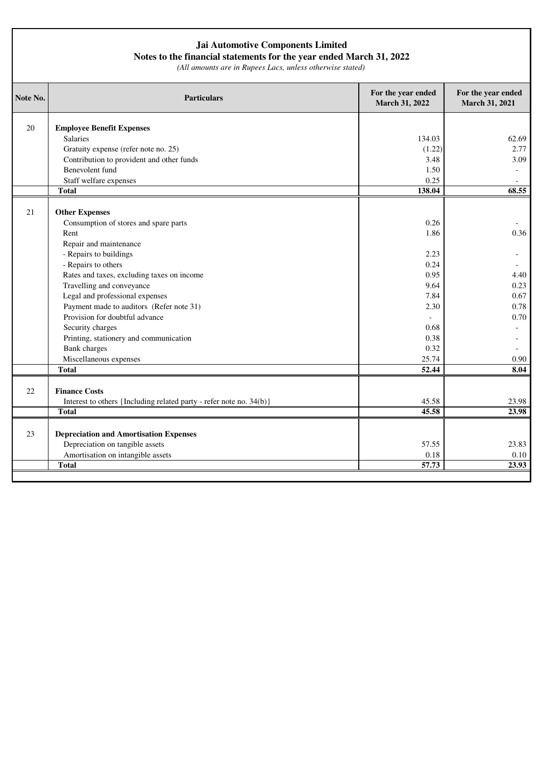## **Jai Automotive Components Limited Notes to the financial statements for the year ended March 31, 2022**

| Note No. | <b>Particulars</b>                                                  | For the year ended<br>March 31, 2022 | For the year ended<br>March 31, 2021 |
|----------|---------------------------------------------------------------------|--------------------------------------|--------------------------------------|
| 20       | <b>Employee Benefit Expenses</b>                                    |                                      |                                      |
|          | <b>Salaries</b>                                                     | 134.03                               | 62.69                                |
|          | Gratuity expense (refer note no. 25)                                | (1.22)                               | 2.77                                 |
|          | Contribution to provident and other funds                           | 3.48                                 | 3.09                                 |
|          | Benevolent fund                                                     | 1.50                                 |                                      |
|          | Staff welfare expenses                                              | 0.25                                 |                                      |
|          | <b>Total</b>                                                        | 138.04                               | 68.55                                |
|          |                                                                     |                                      |                                      |
| 21       | <b>Other Expenses</b>                                               |                                      |                                      |
|          | Consumption of stores and spare parts                               | 0.26                                 |                                      |
|          | Rent                                                                | 1.86                                 | 0.36                                 |
|          | Repair and maintenance                                              |                                      |                                      |
|          | - Repairs to buildings                                              | 2.23                                 |                                      |
|          | - Repairs to others                                                 | 0.24                                 |                                      |
|          | Rates and taxes, excluding taxes on income                          | 0.95                                 | 4.40                                 |
|          | Travelling and conveyance                                           | 9.64                                 | 0.23                                 |
|          | Legal and professional expenses                                     | 7.84                                 | 0.67                                 |
|          | Payment made to auditors (Refer note 31)                            | 2.30                                 | 0.78                                 |
|          | Provision for doubtful advance                                      |                                      | 0.70                                 |
|          | Security charges                                                    | 0.68                                 |                                      |
|          | Printing, stationery and communication                              | 0.38                                 |                                      |
|          | <b>Bank</b> charges                                                 | 0.32                                 |                                      |
|          | Miscellaneous expenses                                              | 25.74                                | 0.90                                 |
|          | <b>Total</b>                                                        | 52.44                                | 8.04                                 |
|          |                                                                     |                                      |                                      |
| 22       | <b>Finance Costs</b>                                                |                                      |                                      |
|          | Interest to others {Including related party - refer note no. 34(b)} | 45.58                                | 23.98                                |
|          | <b>Total</b>                                                        | 45.58                                | 23.98                                |
|          |                                                                     |                                      |                                      |
| 23       | <b>Depreciation and Amortisation Expenses</b>                       |                                      |                                      |
|          | Depreciation on tangible assets                                     | 57.55                                | 23.83                                |
|          | Amortisation on intangible assets                                   | 0.18                                 | 0.10                                 |
|          | <b>Total</b>                                                        | 57.73                                | 23.93                                |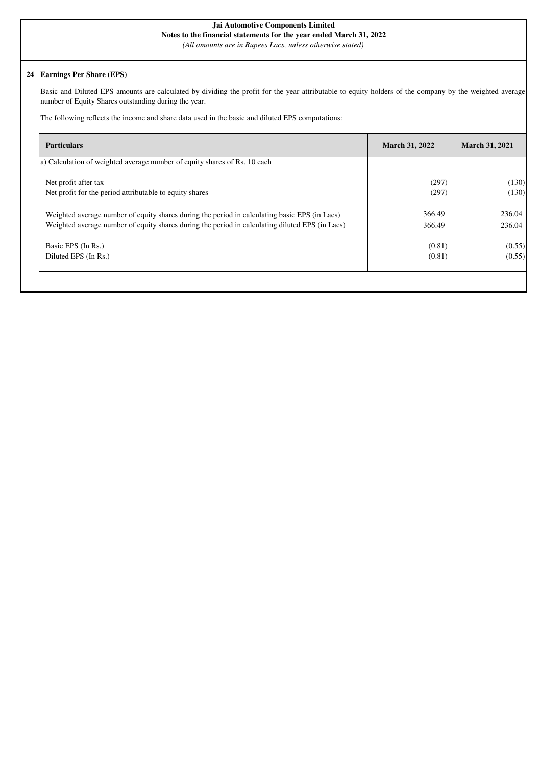### **Notes to the financial statements for the year ended March 31, 2022**

*(All amounts are in Rupees Lacs, unless otherwise stated)*

### **24 Earnings Per Share (EPS)**

Basic and Diluted EPS amounts are calculated by dividing the profit for the year attributable to equity holders of the company by the weighted average number of Equity Shares outstanding during the year.

The following reflects the income and share data used in the basic and diluted EPS computations:

| <b>Particulars</b>                                                                              | <b>March 31, 2022</b> | <b>March 31, 2021</b> |
|-------------------------------------------------------------------------------------------------|-----------------------|-----------------------|
| a) Calculation of weighted average number of equity shares of Rs. 10 each                       |                       |                       |
| Net profit after tax                                                                            | (297)                 | (130)                 |
| Net profit for the period attributable to equity shares                                         | (297)                 | (130)                 |
| Weighted average number of equity shares during the period in calculating basic EPS (in Lacs)   | 366.49                | 236.04                |
| Weighted average number of equity shares during the period in calculating diluted EPS (in Lacs) | 366.49                | 236.04                |
| Basic EPS (In Rs.)                                                                              | (0.81)                | (0.55)                |
| Diluted EPS (In Rs.)                                                                            | (0.81)                | (0.55)                |
|                                                                                                 |                       |                       |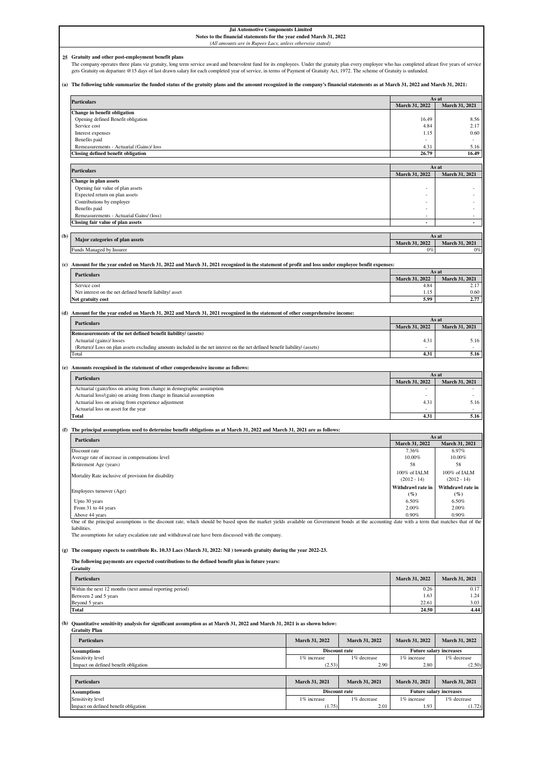|     | Jai Automotive Components Limited<br>Notes to the financial statements for the year ended March 31, 2022<br>(All amounts are in Rupees Lacs, unless otherwise stated)                                                                                                                                                                                                                                                                                                                                                                                                                                                           |                                     |                     |                          |                                               |
|-----|---------------------------------------------------------------------------------------------------------------------------------------------------------------------------------------------------------------------------------------------------------------------------------------------------------------------------------------------------------------------------------------------------------------------------------------------------------------------------------------------------------------------------------------------------------------------------------------------------------------------------------|-------------------------------------|---------------------|--------------------------|-----------------------------------------------|
|     | 25 Gratuity and other post-employment benefit plans<br>The company operates three plans viz gratuity, long term service award and benevolent fund for its employees. Under the gratuity plan every employee who has completed atleast five years of service<br>gets Gratuity on departure @15 days of last drawn salary for each completed year of service, in terms of Payment of Gratuity Act, 1972. The scheme of Gratuity is unfunded.<br>(a) The following table summarize the funded status of the gratuity plans and the amount recognized in the company's financial statements as at March 31, 2022 and March 31, 2022 |                                     |                     |                          |                                               |
|     | <b>Particulars</b>                                                                                                                                                                                                                                                                                                                                                                                                                                                                                                                                                                                                              |                                     |                     | March 31, 2022           | As at<br>March 31, 2021                       |
|     | Change in benefit obligation                                                                                                                                                                                                                                                                                                                                                                                                                                                                                                                                                                                                    |                                     |                     |                          |                                               |
|     | Opening defined Benefit obligation<br>Service cost                                                                                                                                                                                                                                                                                                                                                                                                                                                                                                                                                                              |                                     |                     | 16.49<br>4.84            | 8.56<br>2.17                                  |
|     | Interest expenses                                                                                                                                                                                                                                                                                                                                                                                                                                                                                                                                                                                                               |                                     |                     | 1.15                     | 0.60                                          |
|     | Benefits paid<br>Remeasurements - Actuarial (Gains)/ loss                                                                                                                                                                                                                                                                                                                                                                                                                                                                                                                                                                       |                                     |                     | 4.31                     | 5.16                                          |
|     | Closing defined benefit obligation                                                                                                                                                                                                                                                                                                                                                                                                                                                                                                                                                                                              |                                     |                     | 26.79                    | 16.49                                         |
|     | <b>Particulars</b>                                                                                                                                                                                                                                                                                                                                                                                                                                                                                                                                                                                                              |                                     |                     | March 31, 2022           | As at<br>March 31, 2021                       |
|     | Change in plan assets<br>Opening fair value of plan assets                                                                                                                                                                                                                                                                                                                                                                                                                                                                                                                                                                      |                                     |                     |                          |                                               |
|     | Expected return on plan assets                                                                                                                                                                                                                                                                                                                                                                                                                                                                                                                                                                                                  |                                     |                     |                          |                                               |
|     | Contributions by employer<br>Benefits paid                                                                                                                                                                                                                                                                                                                                                                                                                                                                                                                                                                                      |                                     |                     |                          |                                               |
|     | Remeasurements - Actuarial Gains/ (loss)                                                                                                                                                                                                                                                                                                                                                                                                                                                                                                                                                                                        |                                     |                     |                          |                                               |
|     | Closing fair value of plan assets                                                                                                                                                                                                                                                                                                                                                                                                                                                                                                                                                                                               |                                     |                     | ÷,                       | $\overline{a}$                                |
| (b) | Major categories of plan assets                                                                                                                                                                                                                                                                                                                                                                                                                                                                                                                                                                                                 |                                     |                     |                          | As at                                         |
|     | Funds Managed by Insurer                                                                                                                                                                                                                                                                                                                                                                                                                                                                                                                                                                                                        |                                     |                     | March 31, 2022<br>0%     | March 31, 2021<br>$0\%$                       |
|     | (c) Amount for the year ended on March 31, 2022 and March 31, 2021 recognized in the statement of profit and loss under employee benfit expenses:                                                                                                                                                                                                                                                                                                                                                                                                                                                                               |                                     |                     |                          |                                               |
|     | <b>Particulars</b>                                                                                                                                                                                                                                                                                                                                                                                                                                                                                                                                                                                                              |                                     |                     |                          | As at                                         |
|     | Service cost                                                                                                                                                                                                                                                                                                                                                                                                                                                                                                                                                                                                                    |                                     |                     | March 31, 2022<br>4.84   | March 31, 2021<br>2.17                        |
|     | Net interest on the net defined benefit liability/ asset                                                                                                                                                                                                                                                                                                                                                                                                                                                                                                                                                                        |                                     |                     | 1.15                     | 0.60                                          |
|     | Net gratuity cost                                                                                                                                                                                                                                                                                                                                                                                                                                                                                                                                                                                                               |                                     |                     | 5.99                     | 2.77                                          |
|     | (d) Amount for the year ended on March 31, 2022 and March 31, 2021 recognized in the statement of other comprehensive income:                                                                                                                                                                                                                                                                                                                                                                                                                                                                                                   |                                     |                     |                          | As at                                         |
|     | <b>Particulars</b>                                                                                                                                                                                                                                                                                                                                                                                                                                                                                                                                                                                                              |                                     |                     | March 31, 2022           | March 31, 2021                                |
|     | Remeasurements of the net defined benefit liability/ (assets)<br>Actuarial (gains)/ losses                                                                                                                                                                                                                                                                                                                                                                                                                                                                                                                                      |                                     |                     | 4.31                     | 5.16                                          |
|     | (Return)/ Loss on plan assets excluding amounts included in the net interest on the net defined benefit liability/ (assets)                                                                                                                                                                                                                                                                                                                                                                                                                                                                                                     |                                     |                     | 4.31                     | 5.16                                          |
|     | Total                                                                                                                                                                                                                                                                                                                                                                                                                                                                                                                                                                                                                           |                                     |                     |                          |                                               |
|     | (e) Amounts recognised in the statement of other comprehensive income as follows:                                                                                                                                                                                                                                                                                                                                                                                                                                                                                                                                               |                                     |                     |                          |                                               |
|     |                                                                                                                                                                                                                                                                                                                                                                                                                                                                                                                                                                                                                                 |                                     |                     |                          |                                               |
|     | <b>Particulars</b>                                                                                                                                                                                                                                                                                                                                                                                                                                                                                                                                                                                                              |                                     |                     | March 31, 2022           | As at<br>March 31, 2021                       |
|     | Actuarial (gain)/loss on arising from change in demographic assumption<br>Actuarial loss/(gain) on arising from change in financial assumption                                                                                                                                                                                                                                                                                                                                                                                                                                                                                  |                                     |                     |                          |                                               |
|     | Actuarial loss on arising from experience adjustment                                                                                                                                                                                                                                                                                                                                                                                                                                                                                                                                                                            |                                     |                     | 4.31                     | 5.16                                          |
|     | Actuarial loss on asset for the year<br>Total                                                                                                                                                                                                                                                                                                                                                                                                                                                                                                                                                                                   |                                     |                     | 4.31                     | 5.16                                          |
|     | (f) The principal assumptions used to determine benefit obligations as at March 31, 2022 and March 31, 2021 are as follows:                                                                                                                                                                                                                                                                                                                                                                                                                                                                                                     |                                     |                     |                          |                                               |
|     | <b>Particulars</b>                                                                                                                                                                                                                                                                                                                                                                                                                                                                                                                                                                                                              |                                     |                     |                          | As at                                         |
|     | Discount rate                                                                                                                                                                                                                                                                                                                                                                                                                                                                                                                                                                                                                   |                                     |                     | March 31, 2022<br>7.36%  | March 31, 2021<br>6.97%                       |
|     | Average rate of increase in compensations level                                                                                                                                                                                                                                                                                                                                                                                                                                                                                                                                                                                 |                                     |                     | 10.00%                   | 10.00%                                        |
|     | Retirement Age (years)                                                                                                                                                                                                                                                                                                                                                                                                                                                                                                                                                                                                          |                                     |                     | 58<br>100% of IALM       | 58<br>100% of IALM                            |
|     | Mortality Rate inclusive of provision for disability                                                                                                                                                                                                                                                                                                                                                                                                                                                                                                                                                                            |                                     |                     | $(2012 - 14)$            | $(2012 - 14)$                                 |
|     | Employees turnover (Age)                                                                                                                                                                                                                                                                                                                                                                                                                                                                                                                                                                                                        |                                     |                     | Withdrawl rate in<br>(%) | Withdrawl rate in<br>$($ %)                   |
|     | Upto 30 years                                                                                                                                                                                                                                                                                                                                                                                                                                                                                                                                                                                                                   |                                     |                     | 6.50%                    | 6.50%                                         |
|     | From 31 to 44 years<br>Above 44 years                                                                                                                                                                                                                                                                                                                                                                                                                                                                                                                                                                                           |                                     |                     | 2.00%<br>0.90%           | 2.00%<br>0.90%                                |
|     | One of the principal assumptions is the discount rate, which should be based upon the market yields available on Government bonds at the accounting date with a term that matches that of the<br>liabilities.                                                                                                                                                                                                                                                                                                                                                                                                                   |                                     |                     |                          |                                               |
|     | The assumptions for salary escalation rate and withdrawal rate have been discussed with the company.                                                                                                                                                                                                                                                                                                                                                                                                                                                                                                                            |                                     |                     |                          |                                               |
|     | (g) The company expects to contribute Rs. 10.33 Lacs (March 31, 2022: Nil ) towards gratuity during the year 2022-23.                                                                                                                                                                                                                                                                                                                                                                                                                                                                                                           |                                     |                     |                          |                                               |
|     | The following payments are expected contributions to the defined benefit plan in future years:                                                                                                                                                                                                                                                                                                                                                                                                                                                                                                                                  |                                     |                     |                          |                                               |
|     | Gratuity                                                                                                                                                                                                                                                                                                                                                                                                                                                                                                                                                                                                                        |                                     |                     |                          |                                               |
|     | <b>Particulars</b>                                                                                                                                                                                                                                                                                                                                                                                                                                                                                                                                                                                                              |                                     |                     | March 31, 2022           | March 31, 2021                                |
|     | Within the next 12 months (next annual reporting period)<br>Between 2 and 5 years                                                                                                                                                                                                                                                                                                                                                                                                                                                                                                                                               |                                     |                     | 0.26<br>1.63             | 0.17<br>1.24                                  |
|     | Beyond 5 years                                                                                                                                                                                                                                                                                                                                                                                                                                                                                                                                                                                                                  |                                     |                     | 22.61                    | 3.03<br>4.44                                  |
|     | <b>Total</b>                                                                                                                                                                                                                                                                                                                                                                                                                                                                                                                                                                                                                    |                                     |                     | 24.50                    |                                               |
|     | (h) Quantitative sensitivity analysis for significant assumption as at March 31, 2022 and March 31, 2021 is as shown below:<br><b>Gratuity Plan</b>                                                                                                                                                                                                                                                                                                                                                                                                                                                                             |                                     |                     |                          |                                               |
|     | <b>Particulars</b>                                                                                                                                                                                                                                                                                                                                                                                                                                                                                                                                                                                                              | March 31, 2022                      | March 31, 2022      | March 31, 2022           | March 31, 2022                                |
|     | <b>Assumptions</b>                                                                                                                                                                                                                                                                                                                                                                                                                                                                                                                                                                                                              | <b>Discount rate</b>                |                     |                          | <b>Future salary increases</b>                |
|     | Sensitivity level<br>Impact on defined benefit obligation                                                                                                                                                                                                                                                                                                                                                                                                                                                                                                                                                                       | 1% increase<br>(2.53)               | 1% decrease<br>2.90 | 1% increase<br>2.80      | 1% decrease<br>(2.50)                         |
|     |                                                                                                                                                                                                                                                                                                                                                                                                                                                                                                                                                                                                                                 |                                     |                     |                          |                                               |
|     | <b>Particulars</b>                                                                                                                                                                                                                                                                                                                                                                                                                                                                                                                                                                                                              | March 31, 2021                      | March 31, 2021      | March 31, 2021           | March 31, 2021                                |
|     | <b>Assumptions</b><br>Sensitivity level                                                                                                                                                                                                                                                                                                                                                                                                                                                                                                                                                                                         | <b>Discount rate</b><br>1% increase | 1% decrease         | 1% increase              | <b>Future salary increases</b><br>1% decrease |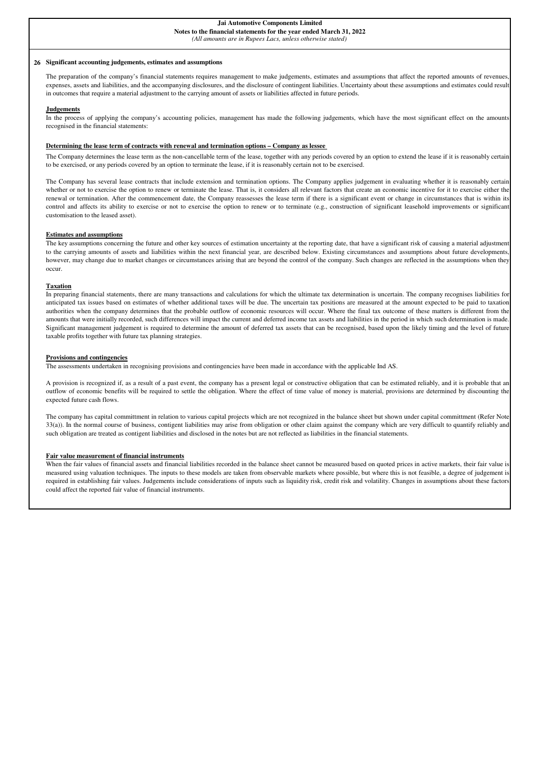### **Jai Automotive Components Limited Notes to the financial statements for the year ended March 31, 2022** *(All amounts are in Rupees Lacs, unless otherwise stated)*

### **26 Significant accounting judgements, estimates and assumptions**

The preparation of the company's financial statements requires management to make judgements, estimates and assumptions that affect the reported amounts of revenues, expenses, assets and liabilities, and the accompanying disclosures, and the disclosure of contingent liabilities. Uncertainty about these assumptions and estimates could result in outcomes that require a material adjustment to the carrying amount of assets or liabilities affected in future periods.

### **Judgements**

In the process of applying the company's accounting policies, management has made the following judgements, which have the most significant effect on the amounts recognised in the financial statements:

### **Determining the lease term of contracts with renewal and termination options – Company as lessee**

The Company determines the lease term as the non-cancellable term of the lease, together with any periods covered by an option to extend the lease if it is reasonably certain to be exercised, or any periods covered by an option to terminate the lease, if it is reasonably certain not to be exercised.

The Company has several lease contracts that include extension and termination options. The Company applies judgement in evaluating whether it is reasonably certain whether or not to exercise the option to renew or terminate the lease. That is, it considers all relevant factors that create an economic incentive for it to exercise either the renewal or termination. After the commencement date, the Company reassesses the lease term if there is a significant event or change in circumstances that is within its control and affects its ability to exercise or not to exercise the option to renew or to terminate (e.g., construction of significant leasehold improvements or significant customisation to the leased asset).

### **Estimates and assumptions**

The key assumptions concerning the future and other key sources of estimation uncertainty at the reporting date, that have a significant risk of causing a material adjustment to the carrying amounts of assets and liabilities within the next financial year, are described below. Existing circumstances and assumptions about future developments, however, may change due to market changes or circumstances arising that are beyond the control of the company. Such changes are reflected in the assumptions when they occur.

### **Taxation**

In preparing financial statements, there are many transactions and calculations for which the ultimate tax determination is uncertain. The company recognises liabilities for anticipated tax issues based on estimates of whether additional taxes will be due. The uncertain tax positions are measured at the amount expected to be paid to taxation authorities when the company determines that the probable outflow of economic resources will occur. Where the final tax outcome of these matters is different from the amounts that were initially recorded, such differences will impact the current and deferred income tax assets and liabilities in the period in which such determination is made. Significant management judgement is required to determine the amount of deferred tax assets that can be recognised, based upon the likely timing and the level of future taxable profits together with future tax planning strategies.

### **Provisions and contingencies**

The assessments undertaken in recognising provisions and contingencies have been made in accordance with the applicable Ind AS.

A provision is recognized if, as a result of a past event, the company has a present legal or constructive obligation that can be estimated reliably, and it is probable that an outflow of economic benefits will be required to settle the obligation. Where the effect of time value of money is material, provisions are determined by discounting the expected future cash flows.

The company has capital committment in relation to various capital projects which are not recognized in the balance sheet but shown under capital committment (Refer Note 33(a)). In the normal course of business, contigent liabilities may arise from obligation or other claim against the company which are very difficult to quantify reliably and such obligation are treated as contigent liabilities and disclosed in the notes but are not reflected as liabilities in the financial statements.

### **Fair value measurement of financial instruments**

When the fair values of financial assets and financial liabilities recorded in the balance sheet cannot be measured based on quoted prices in active markets, their fair value is measured using valuation techniques. The inputs to these models are taken from observable markets where possible, but where this is not feasible, a degree of judgement is required in establishing fair values. Judgements include considerations of inputs such as liquidity risk, credit risk and volatility. Changes in assumptions about these factors could affect the reported fair value of financial instruments.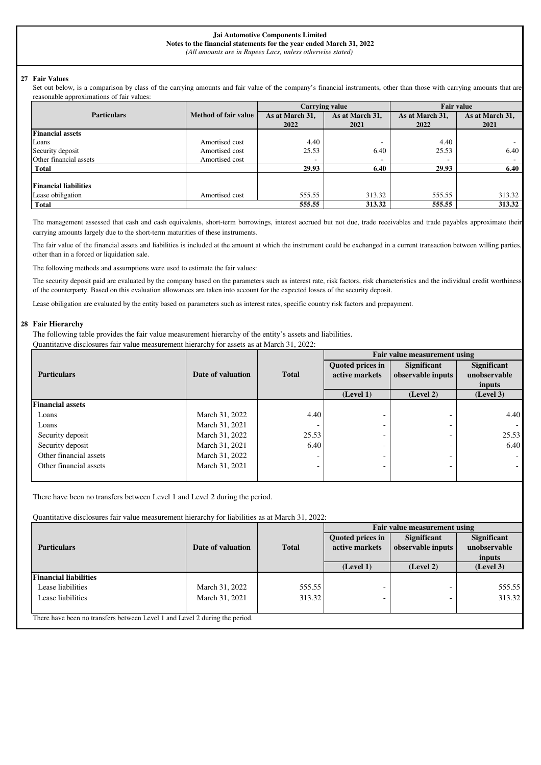### **Jai Automotive Components Limited Notes to the financial statements for the year ended March 31, 2022**

*(All amounts are in Rupees Lacs, unless otherwise stated)*

### **27 Fair Values**

Set out below, is a comparison by class of the carrying amounts and fair value of the company's financial instruments, other than those with carrying amounts that are reasonable approximations of fair values:

|                              |                             |                 | <b>Carrying value</b> | <b>Fair value</b> |                 |
|------------------------------|-----------------------------|-----------------|-----------------------|-------------------|-----------------|
| <b>Particulars</b>           | <b>Method of fair value</b> | As at March 31, | As at March 31,       | As at March 31,   | As at March 31, |
|                              |                             | 2022            | 2021                  | 2022              | 2021            |
| <b>Financial assets</b>      |                             |                 |                       |                   |                 |
| Loans                        | Amortised cost              | 4.40            |                       | 4.40              |                 |
| Security deposit             | Amortised cost              | 25.53           | 6.40                  | 25.53             | 6.40            |
| Other financial assets       | Amortised cost              | ۰               | ۰                     | ۰                 | $\sim$          |
| <b>Total</b>                 |                             | 29.93           | 6.40                  | 29.93             | 6.40            |
|                              |                             |                 |                       |                   |                 |
| <b>Financial liabilities</b> |                             |                 |                       |                   |                 |
| Lease obiligation            | Amortised cost              | 555.55          | 313.32                | 555.55            | 313.32          |
| <b>Total</b>                 |                             | 555.55          | 313.32                | 555.55            | 313.32          |

The management assessed that cash and cash equivalents, short-term borrowings, interest accrued but not due, trade receivables and trade payables approximate their carrying amounts largely due to the short-term maturities of these instruments.

The fair value of the financial assets and liabilities is included at the amount at which the instrument could be exchanged in a current transaction between willing parties, other than in a forced or liquidation sale.

The following methods and assumptions were used to estimate the fair values:

The security deposit paid are evaluated by the company based on the parameters such as interest rate, risk factors, risk characteristics and the individual credit worthiness of the counterparty. Based on this evaluation allowances are taken into account for the expected losses of the security deposit.

Lease obiligation are evaluated by the entity based on parameters such as interest rates, specific country risk factors and prepayment.

### **28 Fair Hierarchy**

The following table provides the fair value measurement hierarchy of the entity's assets and liabilities. Quantitative disclosures fair value measurement hierarchy for assets as at March 31, 2022:

|                         |                   |              | Fair value measurement using |                          |                    |
|-------------------------|-------------------|--------------|------------------------------|--------------------------|--------------------|
|                         |                   |              | Quoted prices in             | <b>Significant</b>       | <b>Significant</b> |
| <b>Particulars</b>      | Date of valuation | <b>Total</b> | active markets               | observable inputs        | unobservable       |
|                         |                   |              |                              |                          | inputs             |
|                         |                   |              | (Level 1)                    | (Level 2)                | (Level 3)          |
| <b>Financial assets</b> |                   |              |                              |                          |                    |
| Loans                   | March 31, 2022    | 4.40         | -                            |                          | 4.40               |
| Loans                   | March 31, 2021    |              | -                            | $\overline{\phantom{0}}$ | $\sim$             |
| Security deposit        | March 31, 2022    | 25.53        | -                            | $\overline{\phantom{0}}$ | 25.53              |
| Security deposit        | March 31, 2021    | 6.40         | -                            | $\overline{\phantom{0}}$ | 6.40               |
| Other financial assets  | March 31, 2022    | -            | -                            | $\overline{\phantom{a}}$ | $\sim$             |
| Other financial assets  | March 31, 2021    | -            | -                            | $\overline{\phantom{a}}$ | $\sim$             |
|                         |                   |              |                              |                          |                    |

There have been no transfers between Level 1 and Level 2 during the period.

| Quantitative disclosures fair value measurement hierarchy for liabilities as at March 31, 2022: |                   |              |                              |                    |                    |  |
|-------------------------------------------------------------------------------------------------|-------------------|--------------|------------------------------|--------------------|--------------------|--|
|                                                                                                 |                   |              | Fair value measurement using |                    |                    |  |
|                                                                                                 |                   |              | Quoted prices in             | <b>Significant</b> | <b>Significant</b> |  |
| <b>Particulars</b>                                                                              | Date of valuation | <b>Total</b> | active markets               | observable inputs  | unobservable       |  |
|                                                                                                 |                   |              |                              |                    | inputs             |  |
|                                                                                                 |                   |              | (Level 1)                    | (Level 2)          | (Level 3)          |  |
| <b>Financial liabilities</b>                                                                    |                   |              |                              |                    |                    |  |
| Lease liabilities                                                                               | March 31, 2022    | 555.55       | -                            |                    | 555.55             |  |
| Lease liabilities                                                                               | March 31, 2021    | 313.32       |                              |                    | 313.32             |  |
|                                                                                                 |                   |              |                              |                    |                    |  |
| There have been no transfers between Level 1 and Level 2 during the period.                     |                   |              |                              |                    |                    |  |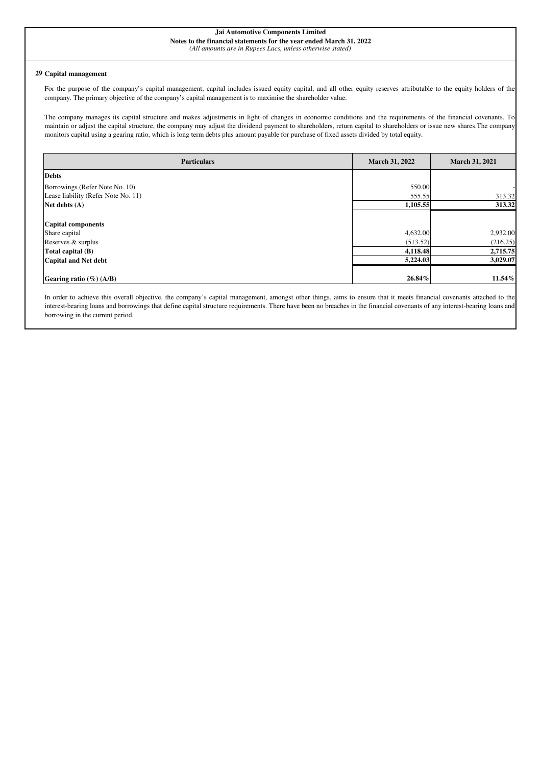### **Jai Automotive Components Limited Notes to the financial statements for the year ended March 31, 2022**

*(All amounts are in Rupees Lacs, unless otherwise stated)*

### **29 Capital management**

For the purpose of the company's capital management, capital includes issued equity capital, and all other equity reserves attributable to the equity holders of the company. The primary objective of the company's capital management is to maximise the shareholder value.

The company manages its capital structure and makes adjustments in light of changes in economic conditions and the requirements of the financial covenants. To maintain or adjust the capital structure, the company may adjust the dividend payment to shareholders, return capital to shareholders or issue new shares.The company monitors capital using a gearing ratio, which is long term debts plus amount payable for purchase of fixed assets divided by total equity.

| <b>Particulars</b>                  | <b>March 31, 2022</b> | <b>March 31, 2021</b> |
|-------------------------------------|-----------------------|-----------------------|
| <b>Debts</b>                        |                       |                       |
| Borrowings (Refer Note No. 10)      | 550.00                |                       |
| Lease liability (Refer Note No. 11) | 555.55                | 313.32                |
| Net debts $(A)$                     | 1,105.55              | 313.32                |
|                                     |                       |                       |
| <b>Capital components</b>           |                       |                       |
| Share capital                       | 4,632.00              | 2,932.00              |
| Reserves & surplus                  | (513.52)              | (216.25)              |
| Total capital (B)                   | 4,118.48              | 2,715.75              |
| <b>Capital and Net debt</b>         | 5,224.03              | 3,029.07              |
|                                     |                       |                       |
| Gearing ratio $(\%)(A/B)$           | 26.84%                | 11.54%                |

In order to achieve this overall objective, the company's capital management, amongst other things, aims to ensure that it meets financial covenants attached to the interest-bearing loans and borrowings that define capital structure requirements. There have been no breaches in the financial covenants of any interest-bearing loans and borrowing in the current period.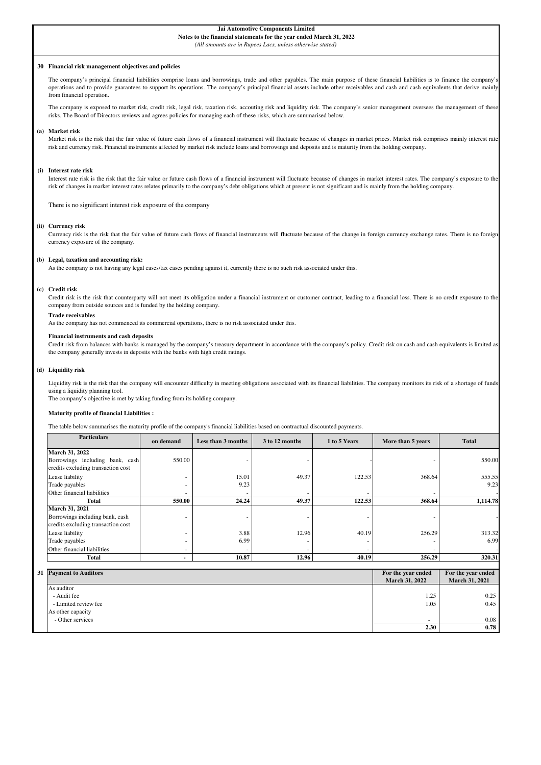**Notes to the financial statements for the year ended March 31, 2022**

*(All amounts are in Rupees Lacs, unless otherwise stated)*

### **30 Financial risk management objectives and policies**

The company's principal financial liabilities comprise loans and borrowings, trade and other payables. The main purpose of these financial liabilities is to finance the company's operations and to provide guarantees to support its operations. The company's principal financial assets include other receivables and cash and cash equivalents that derive mainly from financial operation.

The company is exposed to market risk, credit risk, legal risk, taxation risk, accouting risk and liquidity risk. The company's senior management oversees the management of these risks. The Board of Directors reviews and agrees policies for managing each of these risks, which are summarised below.

### **(a) Market risk**

Market risk is the risk that the fair value of future cash flows of a financial instrument will fluctuate because of changes in market prices. Market risk comprises mainly interest rate risk and currency risk. Financial instruments affected by market risk include loans and borrowings and deposits and is maturity from the holding company.

#### **(i) Interest rate risk**

Interest rate risk is the risk that the fair value or future cash flows of a financial instrument will fluctuate because of changes in market interest rates. The company's exposure to the risk of changes in market interest rates relates primarily to the company's debt obligations which at present is not significant and is mainly from the holding company.

There is no significant interest risk exposure of the company

### **(ii) Currency risk**

Currency risk is the risk that the fair value of future cash flows of financial instruments will fluctuate because of the change in foreign currency exchange rates. There is no foreign currency exposure of the company.

### **(b) Legal, taxation and accounting risk:**

As the company is not having any legal cases/tax cases pending against it, currently there is no such risk associated under this.

#### **(c) Credit risk**

Credit risk is the risk that counterparty will not meet its obligation under a financial instrument or customer contract, leading to a financial loss. There is no credit exposure to the company from outside sources and is funded by the holding company.

### **Trade receivables**

As the company has not commenced its commercial operations, there is no risk associated under this.

### **Financial instruments and cash deposits**

Credit risk from balances with banks is managed by the company's treasury department in accordance with the company's policy. Credit risk on cash and cash equivalents is limited as the company generally invests in deposits with the banks with high credit ratings.

#### **(d) Liquidity risk**

Liquidity risk is the risk that the company will encounter difficulty in meeting obligations associated with its financial liabilities. The company monitors its risk of a shortage of funds using a liquidity planning tool.

The company's objective is met by taking funding from its holding company.

### **Maturity profile of financial Liabilities :**

The table below summarises the maturity profile of the company's financial liabilities based on contractual discounted payments.

| <b>Particulars</b>                                                                      | on demand | Less than 3 months | 3 to 12 months | 1 to 5 Years | More than 5 years                    | <b>Total</b>                         |
|-----------------------------------------------------------------------------------------|-----------|--------------------|----------------|--------------|--------------------------------------|--------------------------------------|
| March 31, 2022<br>Borrowings including bank, cash<br>credits excluding transaction cost | 550.00    |                    |                |              |                                      | 550.00                               |
| Lease liability                                                                         |           | 15.01              | 49.37          | 122.53       | 368.64                               | 555.55                               |
| Trade payables<br>Other financial liabilities                                           |           | 9.23               |                |              |                                      | 9.23                                 |
| <b>Total</b>                                                                            | 550.00    | 24.24              | 49.37          | 122.53       | 368.64                               | 1,114.78                             |
| March 31, 2021<br>Borrowings including bank, cash<br>credits excluding transaction cost |           | 3.88               | 12.96          | 40.19        | 256.29                               | 313.32                               |
| Lease liability<br>Trade payables<br>Other financial liabilities                        |           | 6.99               |                |              |                                      | 6.99                                 |
| <b>Total</b>                                                                            |           | 10.87              | 12.96          | 40.19        | 256.29                               | 320.31                               |
| <b>Payment to Auditors</b><br>31                                                        |           |                    |                |              | For the year ended<br>March 31, 2022 | For the year ended<br>March 31, 2021 |
| As auditor<br>- Audit fee<br>- Limited review fee<br>As other capacity                  |           |                    |                |              | 1.25<br>1.05                         | 0.25<br>0.45                         |
| - Other services                                                                        |           |                    |                |              | $\overline{\phantom{a}}$<br>2.30     | 0.08<br>0.78                         |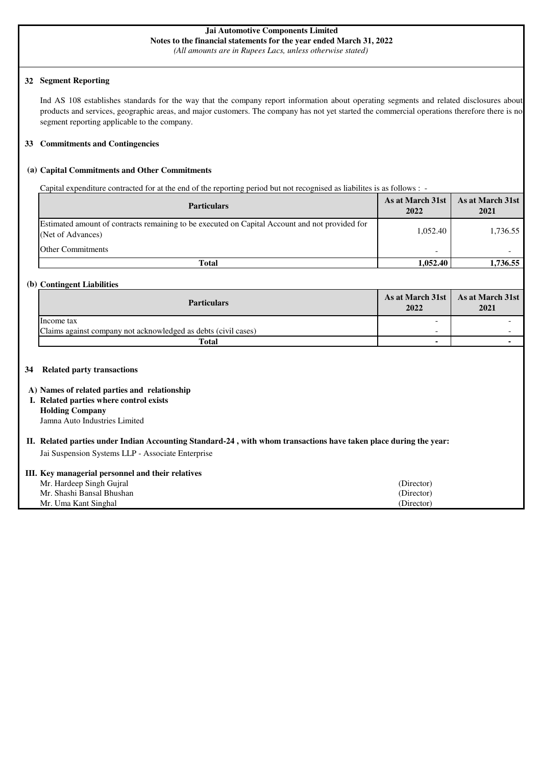## **Jai Automotive Components Limited Notes to the financial statements for the year ended March 31, 2022**

*(All amounts are in Rupees Lacs, unless otherwise stated)*

### **32 Segment Reporting**

Ind AS 108 establishes standards for the way that the company report information about operating segments and related disclosures about products and services, geographic areas, and major customers. The company has not yet started the commercial operations therefore there is no segment reporting applicable to the company.

## **33 Commitments and Contingencies**

### **(a) Capital Commitments and Other Commitments**

Capital expenditure contracted for at the end of the reporting period but not recognised as liabilites is as follows : -

|    | <b>Particulars</b>                                                                                                                                                                                                          | As at March 31st<br>2022 | As at March 31st<br>2021 |
|----|-----------------------------------------------------------------------------------------------------------------------------------------------------------------------------------------------------------------------------|--------------------------|--------------------------|
|    | Estimated amount of contracts remaining to be executed on Capital Account and not provided for<br>(Net of Advances)                                                                                                         | 1,052.40                 | 1,736.55                 |
|    | <b>Other Commitments</b>                                                                                                                                                                                                    |                          |                          |
|    | <b>Total</b>                                                                                                                                                                                                                | 1,052.40                 | 1,736.55                 |
|    | (b) Contingent Liabilities                                                                                                                                                                                                  |                          |                          |
|    | <b>Particulars</b>                                                                                                                                                                                                          | As at March 31st<br>2022 | As at March 31st<br>2021 |
|    | Income tax<br>Claims against company not acknowledged as debts (civil cases)                                                                                                                                                | $\overline{\phantom{a}}$ |                          |
|    | <b>Total</b>                                                                                                                                                                                                                |                          |                          |
| 34 | <b>Related party transactions</b><br>A) Names of related parties and relationship<br>I. Related parties where control exists<br><b>Holding Company</b><br>Jamna Auto Industries Limited                                     |                          |                          |
|    | II. Related parties under Indian Accounting Standard-24, with whom transactions have taken place during the year:<br>Jai Suspension Systems LLP - Associate Enterprise<br>III. Key managerial personnel and their relatives |                          |                          |
|    | Mr. Hardeep Singh Gujral<br>Mr. Shashi Bansal Bhushan                                                                                                                                                                       | (Director)<br>(Director) |                          |
|    | Mr. Uma Kant Singhal                                                                                                                                                                                                        | (Director)               |                          |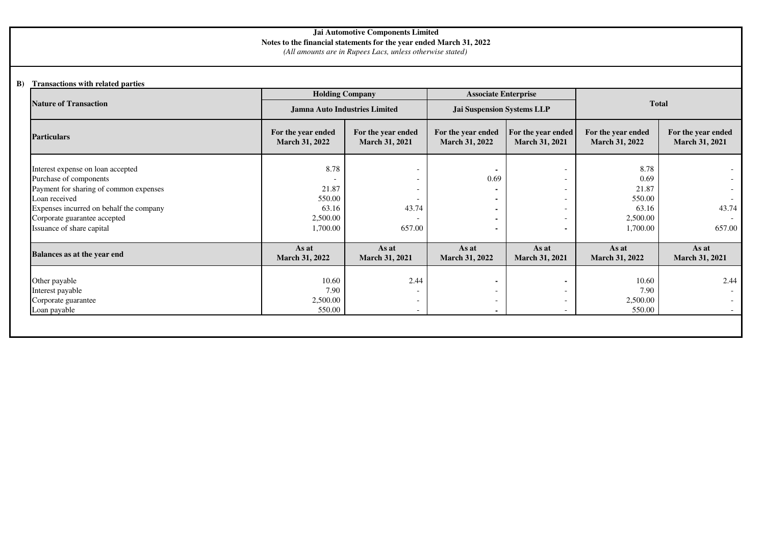# **Jai Automotive Components Limited Notes to the financial statements for the year ended March 31, 2022** *(All amounts are in Rupees Lacs, unless otherwise stated)*

### **B) Transactions with related parties**

| For the year ended<br><b>March 31, 2022</b><br>8.78<br>21.87<br>550.00<br>63.16 | Jamna Auto Industries Limited<br>For the year ended<br><b>March 31, 2021</b><br>$\overline{\phantom{a}}$<br>43.74 | <b>Jai Suspension Systems LLP</b><br>For the year ended<br><b>March 31, 2022</b><br>0.69<br>۰ | For the year ended<br><b>March 31, 2021</b><br>$\overline{\phantom{0}}$<br>$\overline{\phantom{0}}$ | <b>Total</b><br>For the year ended<br><b>March 31, 2022</b><br>8.78<br>0.69<br>21.87<br>550.00 | For the year ended<br><b>March 31, 2021</b> |
|---------------------------------------------------------------------------------|-------------------------------------------------------------------------------------------------------------------|-----------------------------------------------------------------------------------------------|-----------------------------------------------------------------------------------------------------|------------------------------------------------------------------------------------------------|---------------------------------------------|
|                                                                                 |                                                                                                                   |                                                                                               |                                                                                                     |                                                                                                |                                             |
|                                                                                 |                                                                                                                   |                                                                                               |                                                                                                     |                                                                                                |                                             |
|                                                                                 |                                                                                                                   |                                                                                               |                                                                                                     |                                                                                                |                                             |
|                                                                                 |                                                                                                                   |                                                                                               |                                                                                                     |                                                                                                |                                             |
|                                                                                 |                                                                                                                   |                                                                                               |                                                                                                     |                                                                                                |                                             |
|                                                                                 |                                                                                                                   |                                                                                               |                                                                                                     |                                                                                                |                                             |
|                                                                                 |                                                                                                                   | <b>м.</b>                                                                                     |                                                                                                     | 63.16                                                                                          | 43.74                                       |
| 2,500.00                                                                        |                                                                                                                   |                                                                                               |                                                                                                     | 2,500.00                                                                                       |                                             |
| 1,700.00                                                                        | 657.00                                                                                                            |                                                                                               |                                                                                                     | 1,700.00                                                                                       | 657.00                                      |
| As at                                                                           | As at                                                                                                             | As at                                                                                         | As at                                                                                               | As at                                                                                          | As at<br><b>March 31, 2021</b>              |
|                                                                                 |                                                                                                                   |                                                                                               |                                                                                                     |                                                                                                |                                             |
| 10.60                                                                           | 2.44                                                                                                              |                                                                                               |                                                                                                     | 10.60                                                                                          | 2.44                                        |
| 7.90                                                                            |                                                                                                                   |                                                                                               |                                                                                                     | 7.90                                                                                           |                                             |
| 2,500.00                                                                        | -                                                                                                                 | $\overline{\phantom{a}}$                                                                      |                                                                                                     | 2,500.00                                                                                       | $\overline{\phantom{0}}$                    |
| 550.00                                                                          |                                                                                                                   |                                                                                               |                                                                                                     | 550.00                                                                                         |                                             |
|                                                                                 | <b>March 31, 2022</b>                                                                                             | <b>March 31, 2021</b>                                                                         | <b>March 31, 2022</b>                                                                               | <b>March 31, 2021</b>                                                                          | <b>March 31, 2022</b>                       |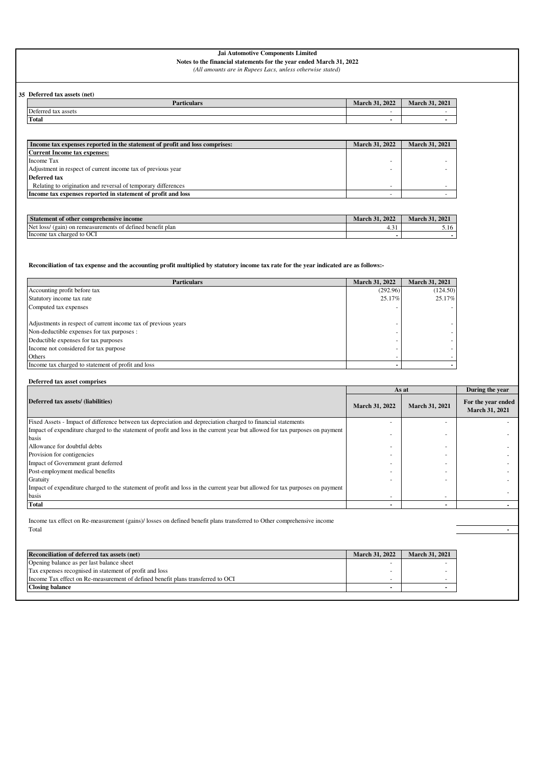**Notes to the financial statements for the year ended March 31, 2022** *(All amounts are in Rupees Lacs, unless otherwise stated)*

### **35 Deferred tax assets (net)**

| Particulars                   | 2022<br>March 31. | 2021<br>March 31. |
|-------------------------------|-------------------|-------------------|
| Deferred<br>. assets<br>l tax |                   |                   |
| <b>Total</b>                  |                   |                   |

| Income tax expenses reported in the statement of profit and loss comprises: | <b>March 31, 2022</b> | <b>March 31, 2021</b> |
|-----------------------------------------------------------------------------|-----------------------|-----------------------|
| <b>Current Income tax expenses:</b>                                         |                       |                       |
| Income Tax                                                                  |                       |                       |
| Adjustment in respect of current income tax of previous year                |                       |                       |
| Deferred tax                                                                |                       |                       |
| Relating to origination and reversal of temporary differences               |                       |                       |
| Income tax expenses reported in statement of profit and loss                |                       |                       |

| Statement of other comprehensive income                       | <b>March 31, 2022</b> | <b>March 31, 2021</b> |
|---------------------------------------------------------------|-----------------------|-----------------------|
| Net loss/<br>(gain) on remeasurements of defined benefit plan | T.J                   | 5.16                  |
| Income tax charged to OCI                                     |                       |                       |

### **Reconciliation of tax expense and the accounting profit multiplied by statutory income tax rate for the year indicated are as follows:-**

| <b>Particulars</b>                                             | March 31, 2022 | March 31, 2021 |
|----------------------------------------------------------------|----------------|----------------|
| Accounting profit before tax                                   | (292.96)       | (124.50)       |
| Statutory income tax rate                                      | 25.17%         | 25.17%         |
| Computed tax expenses                                          |                |                |
|                                                                |                |                |
| Adjustments in respect of current income tax of previous years |                |                |
| Non-deductible expenses for tax purposes :                     |                |                |
| Deductible expenses for tax purposes                           |                |                |
| Income not considered for tax purpose                          |                |                |
| Others                                                         |                |                |
| Income tax charged to statement of profit and loss             |                |                |

### **Deferred tax asset comprises**

|                                                                                                                                 |                | As at                 | During the year                             |
|---------------------------------------------------------------------------------------------------------------------------------|----------------|-----------------------|---------------------------------------------|
| Deferred tax assets/ (liabilities)                                                                                              |                | <b>March 31, 2021</b> | For the year ended<br><b>March 31, 2021</b> |
| Fixed Assets - Impact of difference between tax depreciation and depreciation charged to financial statements                   |                |                       |                                             |
| Impact of expenditure charged to the statement of profit and loss in the current year but allowed for tax purposes on payment   |                | ۰                     |                                             |
| basis                                                                                                                           |                |                       |                                             |
| Allowance for doubtful debts                                                                                                    |                |                       |                                             |
| Provision for contigencies                                                                                                      |                | ۰                     |                                             |
| Impact of Government grant deferred                                                                                             |                |                       |                                             |
| Post-employment medical benefits                                                                                                |                |                       |                                             |
| Gratuity                                                                                                                        |                |                       |                                             |
| Impact of expenditure charged to the statement of profit and loss in the current year but allowed for tax purposes on payment   |                |                       |                                             |
| basis                                                                                                                           |                |                       |                                             |
| <b>Total</b>                                                                                                                    |                | ٠                     |                                             |
| Income tax effect on Re-measurement (gains)/ losses on defined benefit plans transferred to Other comprehensive income<br>Total |                |                       |                                             |
|                                                                                                                                 |                |                       |                                             |
|                                                                                                                                 |                |                       |                                             |
| Reconciliation of deferred tax assets (net)                                                                                     | March 31, 2022 | <b>March 31, 2021</b> |                                             |
| Opening balance as per last balance sheet                                                                                       |                |                       |                                             |
| Tax expenses recognised in statement of profit and loss                                                                         |                |                       |                                             |

Income Tax effect on Re-measurement of defined benefit plans transferred to OCI - - **Closing balance - -**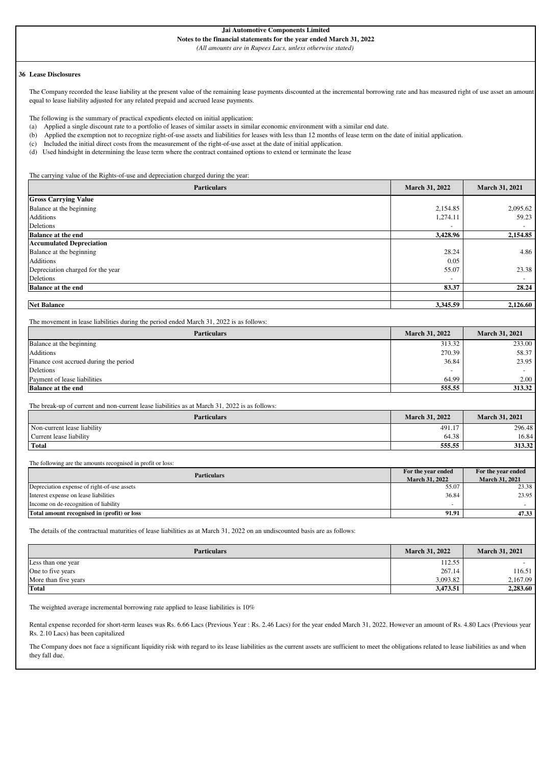**Notes to the financial statements for the year ended March 31, 2022**

*(All amounts are in Rupees Lacs, unless otherwise stated)*

### **36 Lease Disclosures**

The Company recorded the lease liability at the present value of the remaining lease payments discounted at the incremental borrowing rate and has measured right of use asset an amount equal to lease liability adjusted for any related prepaid and accrued lease payments.

The following is the summary of practical expedients elected on initial application:

(a) Applied a single discount rate to a portfolio of leases of similar assets in similar economic environment with a similar end date.

(b) Applied the exemption not to recognize right-of-use assets and liabilities for leases with less than 12 months of lease term on the date of initial application.

(c) Included the initial direct costs from the measurement of the right-of-use asset at the date of initial application.

(d) Used hindsight in determining the lease term where the contract contained options to extend or terminate the lease

The carrying value of the Rights-of-use and depreciation charged during the year:

| <b>Particulars</b>                | <b>March 31, 2022</b> | March 31, 2021           |
|-----------------------------------|-----------------------|--------------------------|
| <b>Gross Carrying Value</b>       |                       |                          |
| Balance at the beginning          | 2,154.85              | 2,095.62                 |
| <b>Additions</b>                  | 1,274.11              | 59.23                    |
| Deletions                         | <b>.</b>              | $\overline{\phantom{a}}$ |
| <b>Balance at the end</b>         | 3,428.96              | 2,154.85                 |
| <b>Accumulated Depreciation</b>   |                       |                          |
| Balance at the beginning          | 28.24                 | 4.86                     |
| <b>Additions</b>                  | 0.05                  |                          |
| Depreciation charged for the year | 55.07                 | 23.38                    |
| Deletions                         |                       | $\sim$                   |
| <b>Balance at the end</b>         | 83.37                 | 28.24                    |
|                                   |                       |                          |
| <b>Net Balance</b>                | 3,345.59              | 2,126.60                 |

| The movement in lease liabilities during the period ended March 31, 2022 is as follows: |                       |                       |
|-----------------------------------------------------------------------------------------|-----------------------|-----------------------|
| <b>Particulars</b>                                                                      | <b>March 31, 2022</b> | <b>March 31, 2021</b> |
| Balance at the beginning                                                                | 313.32                | 233.00                |
| Additions                                                                               | 270.39                | 58.37                 |
| Finance cost accrued during the period                                                  | 36.84                 | 23.95                 |
| Deletions                                                                               |                       |                       |
| Payment of lease liabilities                                                            | 64.99                 | 2.00                  |
| <b>Balance at the end</b>                                                               | 555.55                | 313.32                |

The break-up of current and non-current lease liabilities as at March 31, 2022 is as follows:

| <b>Particulars</b>          | <b>March 31, 2022</b> | <b>March 31, 2021</b> |
|-----------------------------|-----------------------|-----------------------|
| Non-current lease liability | 491.17                | 296.48                |
| Current lease liability     | 64.38                 | 16.84                 |
| <b>Total</b>                | 555.55                | 313.32                |
|                             |                       |                       |

| The following are the amounts recognised in profit or loss: |                          |                       |  |  |  |  |
|-------------------------------------------------------------|--------------------------|-----------------------|--|--|--|--|
| <b>Particulars</b>                                          | For the year ended       | For the year ended    |  |  |  |  |
|                                                             | <b>March 31, 2022</b>    | <b>March 31, 2021</b> |  |  |  |  |
| Depreciation expense of right-of-use assets                 | 55.07                    | 23.38                 |  |  |  |  |
| Interest expense on lease liabilities                       | 36.84                    | 23.95                 |  |  |  |  |
| Income on de-recognition of liability                       | $\overline{\phantom{a}}$ |                       |  |  |  |  |
| Total amount recognised in (profit) or loss                 | 91.91                    | 47.33                 |  |  |  |  |

The details of the contractual maturities of lease liabilities as at March 31, 2022 on an undiscounted basis are as follows:

| <b>Particulars</b>   | <b>March 31, 2022</b> | <b>March 31, 2021</b> |
|----------------------|-----------------------|-----------------------|
| Less than one year   | 112.55                |                       |
| One to five years    | 267.14                | 116.51                |
| More than five years | 3,093.82              | 2.167.09              |
| Total                | 3,473.51              | 2,283.60              |

The weighted average incremental borrowing rate applied to lease liabilities is 10%

Rental expense recorded for short-term leases was Rs. 6.66 Lacs (Previous Year : Rs. 2.46 Lacs) for the year ended March 31, 2022. However an amount of Rs. 4.80 Lacs (Previous year Rs. 2.10 Lacs) has been capitalized

The Company does not face a significant liquidity risk with regard to its lease liabilities as the current assets are sufficient to meet the obligations related to lease liabilities as and when they fall due.